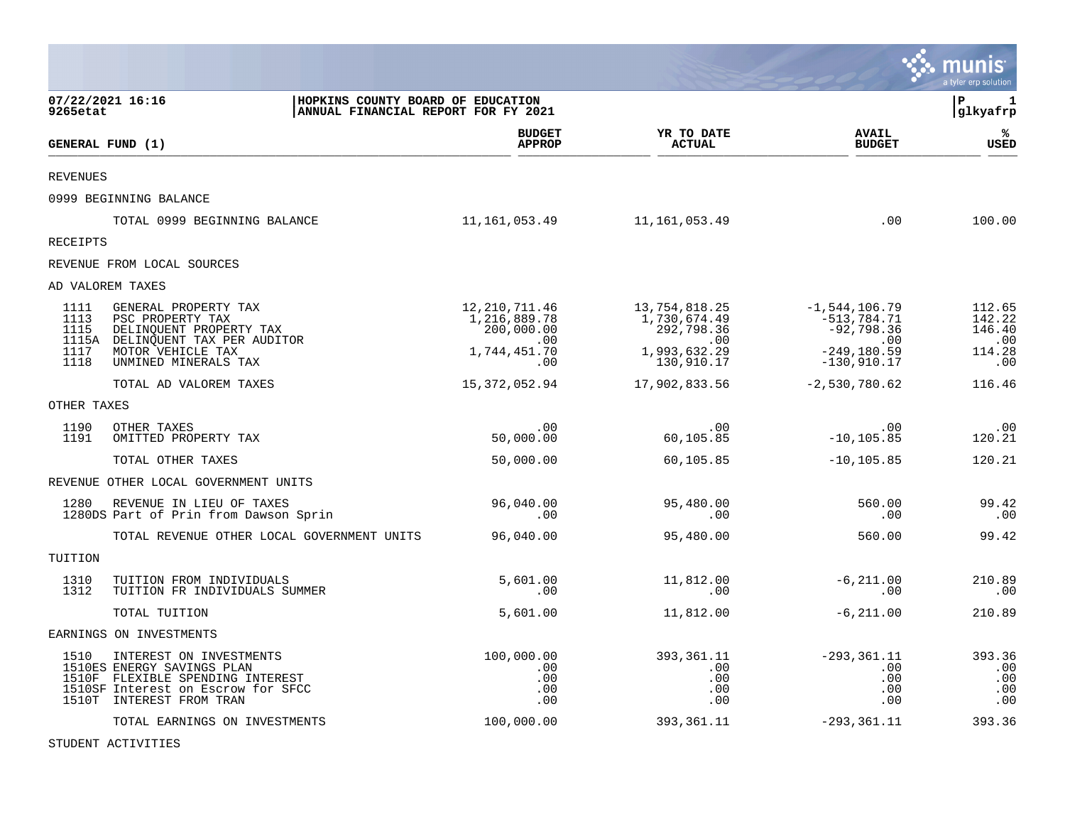|                      |                                                                                                                                                             |                                             |                                             |                                              | munis<br>a tyler erp solution      |
|----------------------|-------------------------------------------------------------------------------------------------------------------------------------------------------------|---------------------------------------------|---------------------------------------------|----------------------------------------------|------------------------------------|
| 9265etat             | 07/22/2021 16:16<br>HOPKINS COUNTY BOARD OF EDUCATION<br>ANNUAL FINANCIAL REPORT FOR FY 2021                                                                |                                             |                                             |                                              | ΙP<br>1<br>glkyafrp                |
|                      | GENERAL FUND (1)                                                                                                                                            | <b>BUDGET</b><br><b>APPROP</b>              | YR TO DATE<br><b>ACTUAL</b>                 | <b>AVAIL</b><br><b>BUDGET</b>                | ℁<br><b>USED</b>                   |
| <b>REVENUES</b>      |                                                                                                                                                             |                                             |                                             |                                              |                                    |
|                      | 0999 BEGINNING BALANCE                                                                                                                                      |                                             |                                             |                                              |                                    |
|                      | TOTAL 0999 BEGINNING BALANCE                                                                                                                                |                                             | 11, 161, 053. 49 11, 161, 053. 49           | .00                                          | 100.00                             |
| RECEIPTS             |                                                                                                                                                             |                                             |                                             |                                              |                                    |
|                      | REVENUE FROM LOCAL SOURCES                                                                                                                                  |                                             |                                             |                                              |                                    |
|                      | AD VALOREM TAXES                                                                                                                                            |                                             |                                             |                                              |                                    |
| 1111<br>1113<br>1115 | GENERAL PROPERTY TAX<br>PSC PROPERTY TAX<br>DELINQUENT PROPERTY TAX                                                                                         | 12,210,711.46<br>1,216,889.78<br>200,000.00 | 13,754,818.25<br>1,730,674.49<br>292,798.36 | $-1,544,106.79$<br>-513,784.71<br>-92,798.36 | 112.65<br>142.22<br>146.40         |
| 1117<br>1118         | 1115A DELINQUENT TAX PER AUDITOR<br>MOTOR VEHICLE TAX<br>UNMINED MINERALS TAX                                                                               | .00<br>1,744,451.70<br>.00                  | .00<br>1,993,632.29<br>130,910.17           | .00<br>$-249, 180.59$<br>$-130, 910.17$      | .00<br>114.28<br>.00               |
|                      | TOTAL AD VALOREM TAXES                                                                                                                                      | 15,372,052.94                               | 17,902,833.56                               | $-2,530,780.62$                              | 116.46                             |
| OTHER TAXES          |                                                                                                                                                             |                                             |                                             |                                              |                                    |
| 1190<br>1191         | OTHER TAXES<br>OMITTED PROPERTY TAX                                                                                                                         | .00<br>50,000.00                            | .00<br>60,105.85                            | .00<br>$-10, 105.85$                         | .00<br>120.21                      |
|                      | TOTAL OTHER TAXES                                                                                                                                           | 50,000.00                                   | 60,105.85                                   | $-10, 105.85$                                | 120.21                             |
|                      | REVENUE OTHER LOCAL GOVERNMENT UNITS                                                                                                                        |                                             |                                             |                                              |                                    |
| 1280                 | REVENUE IN LIEU OF TAXES<br>1280DS Part of Prin from Dawson Sprin                                                                                           | 96,040.00<br>.00                            | 95,480.00<br>.00                            | 560.00<br>.00                                | 99.42<br>.00                       |
|                      | TOTAL REVENUE OTHER LOCAL GOVERNMENT UNITS                                                                                                                  | 96,040.00                                   | 95,480.00                                   | 560.00                                       | 99.42                              |
| TUITION              |                                                                                                                                                             |                                             |                                             |                                              |                                    |
| 1310<br>1312         | TUITION FROM INDIVIDUALS<br>TUITION FR INDIVIDUALS SUMMER                                                                                                   | 5,601.00<br>.00                             | 11,812.00<br>$\overline{\phantom{0}}$ .00   | $-6, 211, 00$<br>.00                         | 210.89<br>.00                      |
|                      | TOTAL TUITION                                                                                                                                               | 5,601.00                                    | 11,812.00                                   | $-6, 211.00$                                 | 210.89                             |
|                      | EARNINGS ON INVESTMENTS                                                                                                                                     |                                             |                                             |                                              |                                    |
| 1510                 | INTEREST ON INVESTMENTS<br>1510ES ENERGY SAVINGS PLAN<br>1510F FLEXIBLE SPENDING INTEREST<br>1510SF Interest on Escrow for SFCC<br>1510T INTEREST FROM TRAN | 100,000.00<br>.00<br>.00<br>.00<br>.00      | 393, 361. 11<br>.00<br>.00<br>.00<br>.00    | $-293, 361.11$<br>.00<br>.00<br>.00<br>.00   | 393.36<br>.00<br>.00<br>.00<br>.00 |
|                      | TOTAL EARNINGS ON INVESTMENTS                                                                                                                               | 100,000.00                                  | 393, 361. 11                                | $-293, 361.11$                               | 393.36                             |

STUDENT ACTIVITIES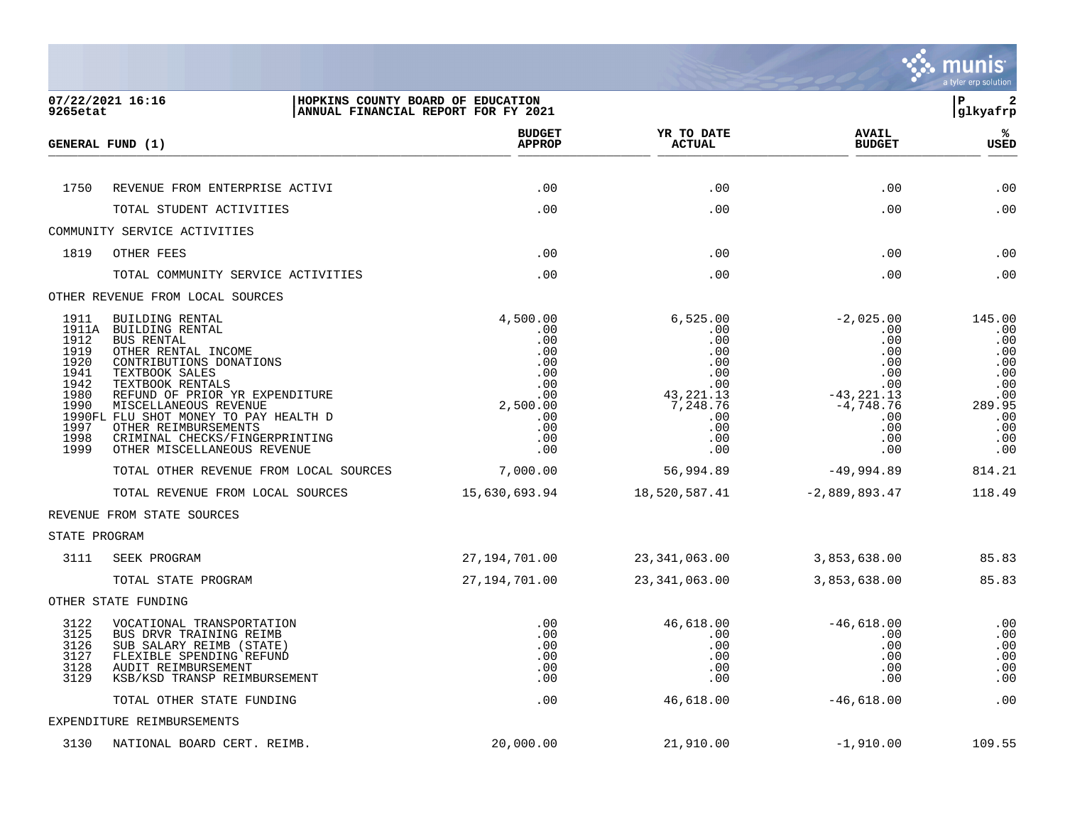

| 9265etat                                                                             | 07/22/2021 16:16                                                                                                                                                                                                                                                                                                                                                                                                                 | HOPKINS COUNTY BOARD OF EDUCATION | ANNUAL FINANCIAL REPORT FOR FY 2021                                                                                            |                                                                                                                                         |                                                                                                                                                     | lР<br>$\overline{\mathbf{2}}$<br> glkyafrp                                                                        |
|--------------------------------------------------------------------------------------|----------------------------------------------------------------------------------------------------------------------------------------------------------------------------------------------------------------------------------------------------------------------------------------------------------------------------------------------------------------------------------------------------------------------------------|-----------------------------------|--------------------------------------------------------------------------------------------------------------------------------|-----------------------------------------------------------------------------------------------------------------------------------------|-----------------------------------------------------------------------------------------------------------------------------------------------------|-------------------------------------------------------------------------------------------------------------------|
|                                                                                      | GENERAL FUND (1)                                                                                                                                                                                                                                                                                                                                                                                                                 |                                   | <b>BUDGET</b><br><b>APPROP</b>                                                                                                 | YR TO DATE<br><b>ACTUAL</b>                                                                                                             | <b>AVAIL</b><br><b>BUDGET</b>                                                                                                                       | %ะ<br><b>USED</b>                                                                                                 |
| 1750                                                                                 | REVENUE FROM ENTERPRISE ACTIVI                                                                                                                                                                                                                                                                                                                                                                                                   |                                   | .00                                                                                                                            | .00                                                                                                                                     | .00                                                                                                                                                 | .00                                                                                                               |
|                                                                                      | TOTAL STUDENT ACTIVITIES                                                                                                                                                                                                                                                                                                                                                                                                         |                                   | .00                                                                                                                            | .00                                                                                                                                     | .00                                                                                                                                                 | .00                                                                                                               |
|                                                                                      | COMMUNITY SERVICE ACTIVITIES                                                                                                                                                                                                                                                                                                                                                                                                     |                                   |                                                                                                                                |                                                                                                                                         |                                                                                                                                                     |                                                                                                                   |
| 1819                                                                                 | OTHER FEES                                                                                                                                                                                                                                                                                                                                                                                                                       |                                   | .00                                                                                                                            | .00                                                                                                                                     | .00                                                                                                                                                 | .00                                                                                                               |
|                                                                                      | TOTAL COMMUNITY SERVICE ACTIVITIES                                                                                                                                                                                                                                                                                                                                                                                               |                                   | .00                                                                                                                            | .00                                                                                                                                     | .00                                                                                                                                                 | .00                                                                                                               |
|                                                                                      | OTHER REVENUE FROM LOCAL SOURCES                                                                                                                                                                                                                                                                                                                                                                                                 |                                   |                                                                                                                                |                                                                                                                                         |                                                                                                                                                     |                                                                                                                   |
| 1911<br>1912<br>1919<br>1920<br>1941<br>1942<br>1980<br>1990<br>1997<br>1998<br>1999 | BUILDING RENTAL<br>1911A BUILDING RENTAL<br><b>BUS RENTAL</b><br>OTHER RENTAL INCOME<br>CONTRIBUTIONS DONATIONS<br>TEXTBOOK SALES<br>TEXTBOOK RENTALS<br>REFUND OF PRIOR YR EXPENDITURE<br>MISCELLANEOUS REVENUE<br>1990FL FLU SHOT MONEY TO PAY HEALTH D<br>OTHER REIMBURSEMENTS<br>CRIMINAL CHECKS/FINGERPRINTING<br>OTHER MISCELLANEOUS REVENUE<br>TOTAL OTHER REVENUE FROM LOCAL SOURCES<br>TOTAL REVENUE FROM LOCAL SOURCES |                                   | 4,500.00<br>.00<br>.00<br>.00<br>.00<br>.00<br>.00<br>.00<br>2,500.00<br>.00<br>.00<br>.00<br>.00<br>7,000.00<br>15,630,693.94 | 6,525.00<br>.00<br>.00<br>.00<br>.00<br>.00<br>.00<br>43, 221. 13<br>7,248.76<br>.00<br>.00<br>.00<br>.00<br>56,994.89<br>18,520,587.41 | $-2,025.00$<br>.00<br>.00<br>.00<br>.00<br>.00<br>.00<br>$-43, 221.13$<br>$-4, 748.76$<br>.00<br>.00<br>.00<br>.00<br>-49,994.89<br>$-2,889,893.47$ | 145.00<br>.00<br>.00<br>.00<br>.00<br>.00<br>.00<br>.00<br>289.95<br>.00<br>.00<br>.00<br>.00<br>814.21<br>118.49 |
|                                                                                      | REVENUE FROM STATE SOURCES                                                                                                                                                                                                                                                                                                                                                                                                       |                                   |                                                                                                                                |                                                                                                                                         |                                                                                                                                                     |                                                                                                                   |
| STATE PROGRAM                                                                        |                                                                                                                                                                                                                                                                                                                                                                                                                                  |                                   |                                                                                                                                |                                                                                                                                         |                                                                                                                                                     |                                                                                                                   |
| 3111                                                                                 | SEEK PROGRAM<br>TOTAL STATE PROGRAM                                                                                                                                                                                                                                                                                                                                                                                              |                                   | 27, 194, 701.00<br>27,194,701.00                                                                                               | 23,341,063.00<br>23,341,063.00                                                                                                          | 3,853,638.00<br>3,853,638.00                                                                                                                        | 85.83<br>85.83                                                                                                    |
|                                                                                      | OTHER STATE FUNDING                                                                                                                                                                                                                                                                                                                                                                                                              |                                   |                                                                                                                                |                                                                                                                                         |                                                                                                                                                     |                                                                                                                   |
| 3122<br>3125<br>3126<br>3127<br>3128<br>3129                                         | VOCATIONAL TRANSPORTATION<br>BUS DRVR TRAINING REIMB<br>SUB SALARY REIMB (STATE)<br>FLEXIBLE SPENDING REFUND<br>AUDIT REIMBURSEMENT<br>KSB/KSD TRANSP REIMBURSEMENT                                                                                                                                                                                                                                                              |                                   | .00<br>.00<br>.00<br>.00<br>.00<br>.00                                                                                         | 46,618.00<br>.00<br>.00<br>.00<br>.00<br>.00                                                                                            | $-46,618.00$<br>.00<br>.00<br>.00<br>.00<br>.00                                                                                                     | .00<br>.00<br>.00<br>.00<br>.00<br>.00                                                                            |
|                                                                                      | TOTAL OTHER STATE FUNDING                                                                                                                                                                                                                                                                                                                                                                                                        |                                   | .00                                                                                                                            | 46,618.00                                                                                                                               | $-46,618.00$                                                                                                                                        | .00                                                                                                               |
|                                                                                      | EXPENDITURE REIMBURSEMENTS                                                                                                                                                                                                                                                                                                                                                                                                       |                                   |                                                                                                                                |                                                                                                                                         |                                                                                                                                                     |                                                                                                                   |

3130 NATIONAL BOARD CERT. REIMB. 20,000.00 21,910.00 21,910.00 -1,910.00 109.55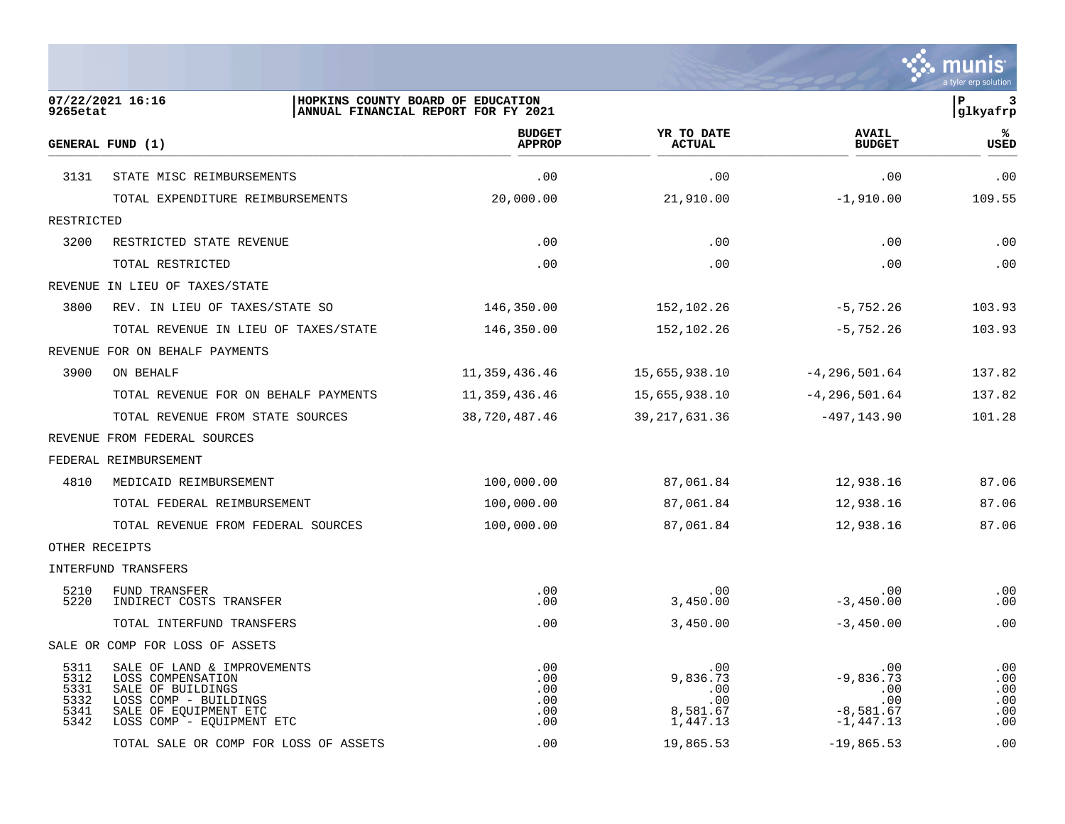

| 9265etat                             | 07/22/2021 16:16                                                                                                        | HOPKINS COUNTY BOARD OF EDUCATION<br> ANNUAL FINANCIAL REPORT FOR FY 2021 |                                           |                                                      | P<br>3<br>glkyafrp              |
|--------------------------------------|-------------------------------------------------------------------------------------------------------------------------|---------------------------------------------------------------------------|-------------------------------------------|------------------------------------------------------|---------------------------------|
|                                      | GENERAL FUND (1)                                                                                                        | <b>BUDGET</b><br><b>APPROP</b>                                            | YR TO DATE<br><b>ACTUAL</b>               | <b>AVAIL</b><br><b>BUDGET</b>                        | %ะ<br><b>USED</b>               |
| 3131                                 | STATE MISC REIMBURSEMENTS                                                                                               | .00                                                                       | .00                                       | .00                                                  | .00                             |
|                                      | TOTAL EXPENDITURE REIMBURSEMENTS                                                                                        | 20,000.00                                                                 | 21,910.00                                 | $-1,910.00$                                          | 109.55                          |
| RESTRICTED                           |                                                                                                                         |                                                                           |                                           |                                                      |                                 |
| 3200                                 | RESTRICTED STATE REVENUE                                                                                                | .00                                                                       | .00                                       | .00                                                  | .00                             |
|                                      | TOTAL RESTRICTED                                                                                                        | .00                                                                       | .00                                       | .00                                                  | .00                             |
|                                      | REVENUE IN LIEU OF TAXES/STATE                                                                                          |                                                                           |                                           |                                                      |                                 |
| 3800                                 | REV. IN LIEU OF TAXES/STATE SO                                                                                          | 146,350.00                                                                | 152,102.26                                | $-5,752.26$                                          | 103.93                          |
|                                      | TOTAL REVENUE IN LIEU OF TAXES/STATE                                                                                    | 146,350.00                                                                | 152,102.26                                | $-5,752.26$                                          | 103.93                          |
|                                      | REVENUE FOR ON BEHALF PAYMENTS                                                                                          |                                                                           |                                           |                                                      |                                 |
| 3900                                 | ON BEHALF                                                                                                               | 11,359,436.46                                                             | 15,655,938.10                             | $-4, 296, 501.64$                                    | 137.82                          |
|                                      | TOTAL REVENUE FOR ON BEHALF PAYMENTS                                                                                    | 11,359,436.46                                                             | 15,655,938.10                             | $-4, 296, 501.64$                                    | 137.82                          |
|                                      | TOTAL REVENUE FROM STATE SOURCES                                                                                        | 38,720,487.46                                                             | 39, 217, 631.36                           | $-497, 143.90$                                       | 101.28                          |
|                                      | REVENUE FROM FEDERAL SOURCES                                                                                            |                                                                           |                                           |                                                      |                                 |
|                                      | FEDERAL REIMBURSEMENT                                                                                                   |                                                                           |                                           |                                                      |                                 |
| 4810                                 | MEDICAID REIMBURSEMENT                                                                                                  | 100,000.00                                                                | 87,061.84                                 | 12,938.16                                            | 87.06                           |
|                                      | TOTAL FEDERAL REIMBURSEMENT                                                                                             | 100,000.00                                                                | 87,061.84                                 | 12,938.16                                            | 87.06                           |
|                                      | TOTAL REVENUE FROM FEDERAL SOURCES                                                                                      | 100,000.00                                                                | 87,061.84                                 | 12,938.16                                            | 87.06                           |
|                                      | OTHER RECEIPTS                                                                                                          |                                                                           |                                           |                                                      |                                 |
|                                      | INTERFUND TRANSFERS                                                                                                     |                                                                           |                                           |                                                      |                                 |
| 5210<br>5220                         | FUND TRANSFER<br>INDIRECT COSTS TRANSFER                                                                                | .00<br>.00                                                                | .00<br>3,450.00                           | .00<br>$-3,450.00$                                   | .00<br>.00                      |
|                                      | TOTAL INTERFUND TRANSFERS                                                                                               | .00                                                                       | 3,450.00                                  | $-3,450.00$                                          | .00                             |
|                                      | SALE OR COMP FOR LOSS OF ASSETS                                                                                         |                                                                           |                                           |                                                      |                                 |
| 5311<br>5312<br>5331<br>5332<br>5341 | SALE OF LAND & IMPROVEMENTS<br>LOSS COMPENSATION<br>SALE OF BUILDINGS<br>LOSS COMP - BUILDINGS<br>SALE OF EQUIPMENT ETC | .00<br>.00<br>.00<br>.00<br>.00                                           | .00<br>9,836.73<br>.00<br>.00<br>8,581.67 | $.00 \,$<br>$-9,836.73$<br>.00<br>.00<br>$-8,581.67$ | .00<br>.00<br>.00<br>.00<br>.00 |
| 5342                                 | LOSS COMP - EQUIPMENT ETC                                                                                               | .00                                                                       | 1,447.13                                  | $-1,447.13$                                          | .00                             |
|                                      | TOTAL SALE OR COMP FOR LOSS OF ASSETS                                                                                   | .00                                                                       | 19,865.53                                 | $-19,865.53$                                         | .00                             |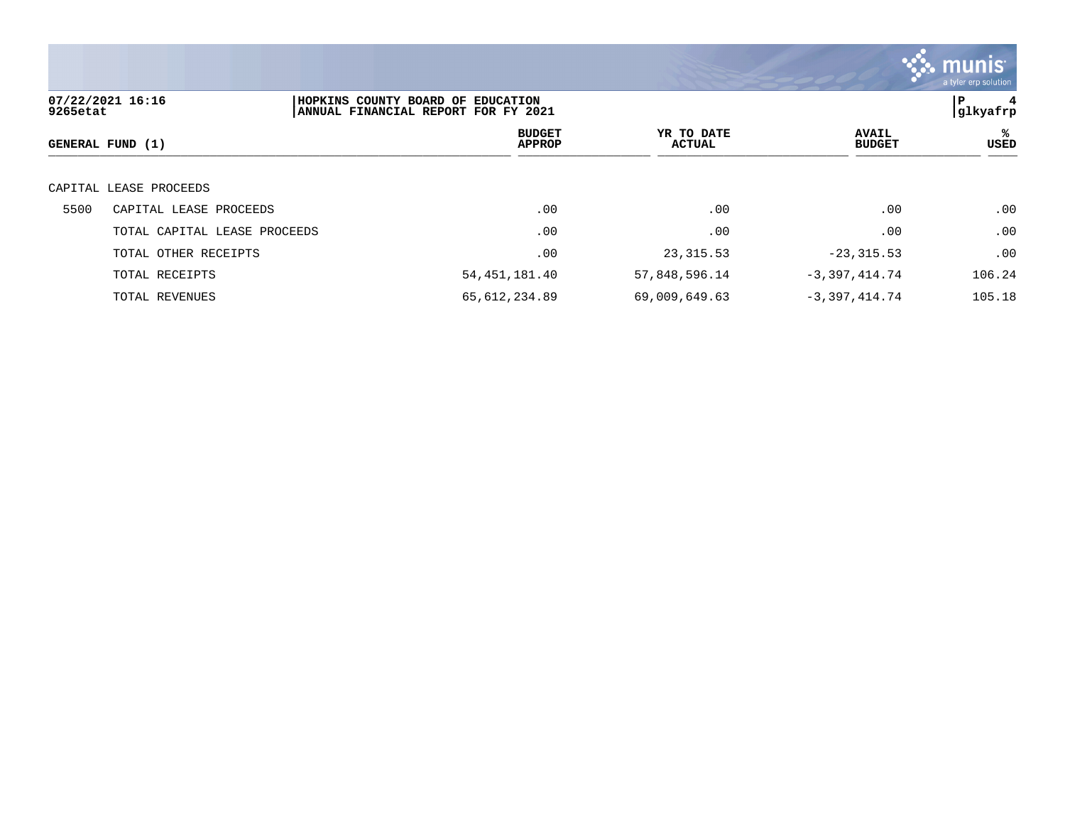

| 9265etat | 07/22/2021 16:16             | HOPKINS COUNTY BOARD OF EDUCATION<br>ANNUAL FINANCIAL REPORT FOR FY 2021 |                             |                               | the contract of the contract of<br>P<br>4<br> glkyafrp |
|----------|------------------------------|--------------------------------------------------------------------------|-----------------------------|-------------------------------|--------------------------------------------------------|
|          | GENERAL FUND (1)             | <b>BUDGET</b><br><b>APPROP</b>                                           | YR TO DATE<br><b>ACTUAL</b> | <b>AVAIL</b><br><b>BUDGET</b> | ℁<br>USED                                              |
|          | CAPITAL LEASE PROCEEDS       |                                                                          |                             |                               |                                                        |
| 5500     | CAPITAL LEASE PROCEEDS       | .00                                                                      | .00                         | .00                           | .00                                                    |
|          | TOTAL CAPITAL LEASE PROCEEDS | .00                                                                      | .00                         | .00                           | .00                                                    |
|          | TOTAL OTHER RECEIPTS         | .00                                                                      | 23, 315.53                  | $-23, 315.53$                 | .00                                                    |
|          | TOTAL RECEIPTS               | 54, 451, 181.40                                                          | 57,848,596.14               | $-3,397,414.74$               | 106.24                                                 |
|          | TOTAL REVENUES               | 65,612,234.89                                                            | 69,009,649.63               | $-3,397,414.74$               | 105.18                                                 |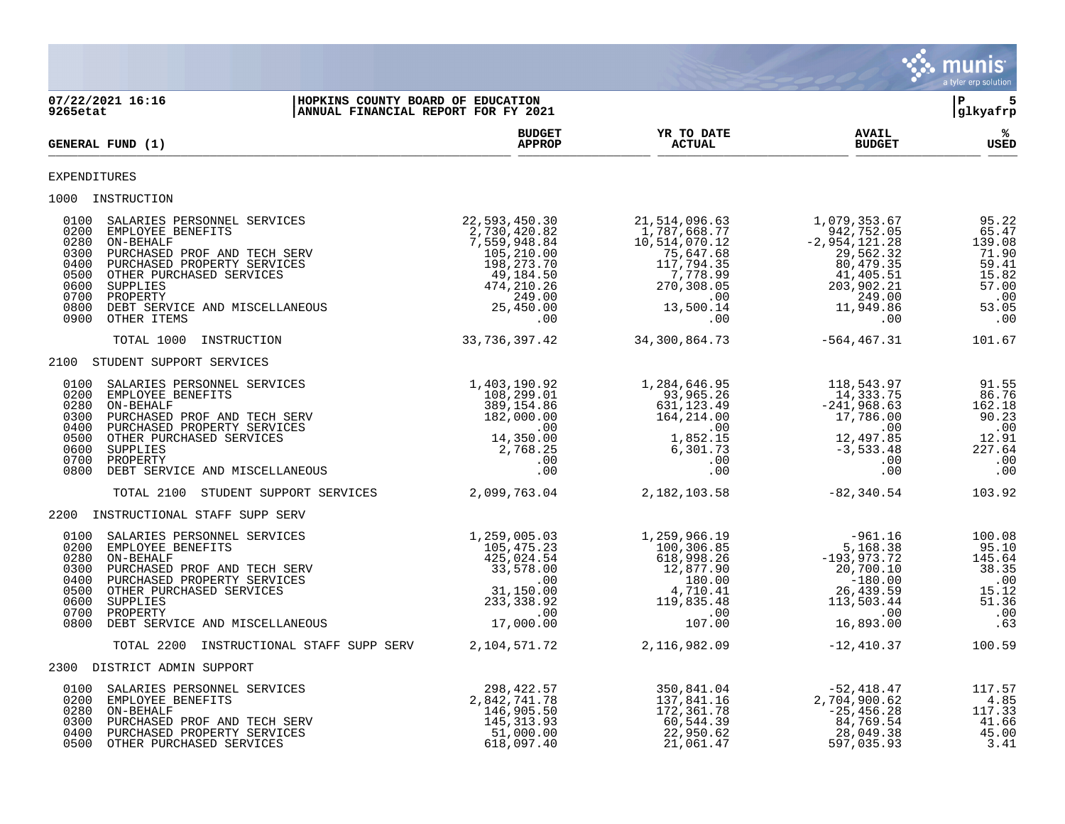

| 9265etat                                                                     | 07/22/2021 16:16<br>HOPKINS COUNTY BOARD OF EDUCATION<br>ANNUAL FINANCIAL REPORT FOR FY 2021                                                                                                                                      |                                                                                                                                                          |                                                                                                                                            |                                                                                                                                          | 5<br>l P<br>glkyafrp                                                                |
|------------------------------------------------------------------------------|-----------------------------------------------------------------------------------------------------------------------------------------------------------------------------------------------------------------------------------|----------------------------------------------------------------------------------------------------------------------------------------------------------|--------------------------------------------------------------------------------------------------------------------------------------------|------------------------------------------------------------------------------------------------------------------------------------------|-------------------------------------------------------------------------------------|
|                                                                              | GENERAL FUND (1)                                                                                                                                                                                                                  | <b>BUDGET</b><br><b>APPROP</b>                                                                                                                           | YR TO DATE<br><b>ACTUAL</b>                                                                                                                | <b>AVAIL</b><br><b>BUDGET</b>                                                                                                            | %ะ<br>USED                                                                          |
| <b>EXPENDITURES</b>                                                          |                                                                                                                                                                                                                                   |                                                                                                                                                          |                                                                                                                                            |                                                                                                                                          |                                                                                     |
|                                                                              | 1000 INSTRUCTION                                                                                                                                                                                                                  |                                                                                                                                                          |                                                                                                                                            |                                                                                                                                          |                                                                                     |
| 0100<br>0200<br>0280<br>0300<br>0400<br>0500<br>0600<br>0700<br>0800<br>0900 | SALARIES PERSONNEL SERVICES<br>EMPLOYEE BENEFITS<br>ON-BEHALF<br>PURCHASED PROF AND TECH SERV<br>PURCHASED PROPERTY SERVICES<br>OTHER PURCHASED SERVICES<br>SUPPLIES<br>PROPERTY<br>DEBT SERVICE AND MISCELLANEOUS<br>OTHER ITEMS | 22,593,450.30<br>2,730,420.82<br>7,559,948.84<br>105,210.00<br>198,273.70<br>49,184.50<br>474, 210.26<br>249.00<br>25, 450.00<br>.00                     | 21,514,096.63<br>1,787,668.77<br>10,514,070.12<br>75,647.68<br>117,794.35<br>117,794.35<br>7,778.99<br>270,308.05<br>00<br>13,500.14<br>00 | 1,079,353.67<br>942,752.05<br>$-2, 954, 121.28$<br>29,562.32<br>80,479.35<br>41,405.51<br>203,902.21<br>249.00<br>11,949.86<br>$\sim 00$ | 95.22<br>65.47<br>139.08<br>71.90<br>59.41<br>15.82<br>57.00<br>.00<br>53.05<br>.00 |
|                                                                              | TOTAL 1000<br>INSTRUCTION                                                                                                                                                                                                         | 33,736,397.42                                                                                                                                            | 34, 300, 864. 73                                                                                                                           | -564,467.31                                                                                                                              | 101.67                                                                              |
|                                                                              | 2100 STUDENT SUPPORT SERVICES                                                                                                                                                                                                     |                                                                                                                                                          |                                                                                                                                            |                                                                                                                                          |                                                                                     |
| 0100<br>0200<br>0280<br>0300<br>0400<br>0500<br>0600<br>0700<br>0800         | SALARIES PERSONNEL SERVICES<br>EMPLOYEE BENEFITS<br>ON-BEHALF<br>PURCHASED PROF AND TECH SERV<br>PURCHASED PROPERTY SERVICES<br>OTHER PURCHASED SERVICES<br>SUPPLIES<br>PROPERTY<br>DEBT SERVICE AND MISCELLANEOUS                | 1,403,190.92<br>$108, 299$<br>$389, 154.86$<br>$182, 000.00$<br>$0.00$<br>$14, 350.00$<br>$2, 768.25$<br>$0.0$<br>00                                     | 1,284,646.95<br>93,965.26<br>631,123.49<br>164,214.00<br>$1,852.15$<br>6,301.73<br>.00<br>.00                                              | 118,543.97<br>14,333.75<br>$-241,968.63$<br>17,786.00<br>.00<br>12,497.85<br>$-3,533.48$<br>.00<br>.00                                   | 91.55<br>86.76<br>162.18<br>90.23<br>$\ldots$<br>12.91<br>227.64<br>.00<br>.00      |
|                                                                              | TOTAL 2100 STUDENT SUPPORT SERVICES                                                                                                                                                                                               | 2,099,763.04                                                                                                                                             | 2,182,103.58                                                                                                                               | $-82,340.54$                                                                                                                             | 103.92                                                                              |
|                                                                              | 2200 INSTRUCTIONAL STAFF SUPP SERV                                                                                                                                                                                                |                                                                                                                                                          |                                                                                                                                            |                                                                                                                                          |                                                                                     |
| 0100<br>0200<br>0280<br>0300<br>0400<br>0500<br>0600<br>0700<br>0800         | SALARIES PERSONNEL SERVICES<br>EMPLOYEE BENEFITS<br>ON-BEHALF<br>PURCHASED PROF AND TECH SERV<br>PURCHASED PROPERTY SERVICES<br>OTHER PURCHASED SERVICES<br>SUPPLIES<br>PROPERTY<br>DEBT SERVICE AND MISCELLANEOUS                | 1,259,005.03<br>105,475.23<br>$105, 475.23$<br>$425, 024.54$<br>$33, 578.00$<br>$00$<br>$31, 150.00$<br>$233, 338.92$<br>233, 338.92<br>.00<br>17,000.00 | 1,259,966.19<br>100,306.85<br>618,998.26<br>12,877.90<br>180.00<br>4,710.41<br>4,710.41<br>119,835.48<br>.00<br>107.00                     | -961.16<br>5,168.38<br>$-193,973.72$<br>20,700.10<br>$-180.00$<br>26,439.59<br>113,503.44<br>$.00\,$<br>16,893.00                        | 100.08<br>95.10<br>145.64<br>38.35<br>.00<br>15.12<br>51.36<br>.00<br>.63           |
|                                                                              | INSTRUCTIONAL STAFF SUPP SERV 2,104,571.72<br>TOTAL 2200                                                                                                                                                                          |                                                                                                                                                          | 2,116,982.09                                                                                                                               | $-12,410.37$                                                                                                                             | 100.59                                                                              |
|                                                                              | 2300 DISTRICT ADMIN SUPPORT                                                                                                                                                                                                       |                                                                                                                                                          |                                                                                                                                            |                                                                                                                                          |                                                                                     |
| 0100<br>0200<br>0280<br>0300<br>0400<br>0500                                 | SALARIES PERSONNEL SERVICES<br>EMPLOYEE BENEFITS<br>ON-BEHALF<br>PURCHASED PROF AND TECH SERV<br>PURCHASED PROPERTY SERVICES<br>OTHER PURCHASED SERVICES                                                                          | 298,422.57<br>2,842,741.78<br>146,905.50<br>145, 313.93<br>51,000.00<br>618,097.40                                                                       | 350,841.04<br>137,841.16<br>172,361.78<br>60,544.39<br>22,950.62<br>21,061.47                                                              | -52,418.47<br>2,704,900.62<br>$-25,456.28$<br>84,769.54<br>28,049.38<br>597,035.93                                                       | 117.57<br>4.85<br>117.33<br>41.66<br>45.00<br>3.41                                  |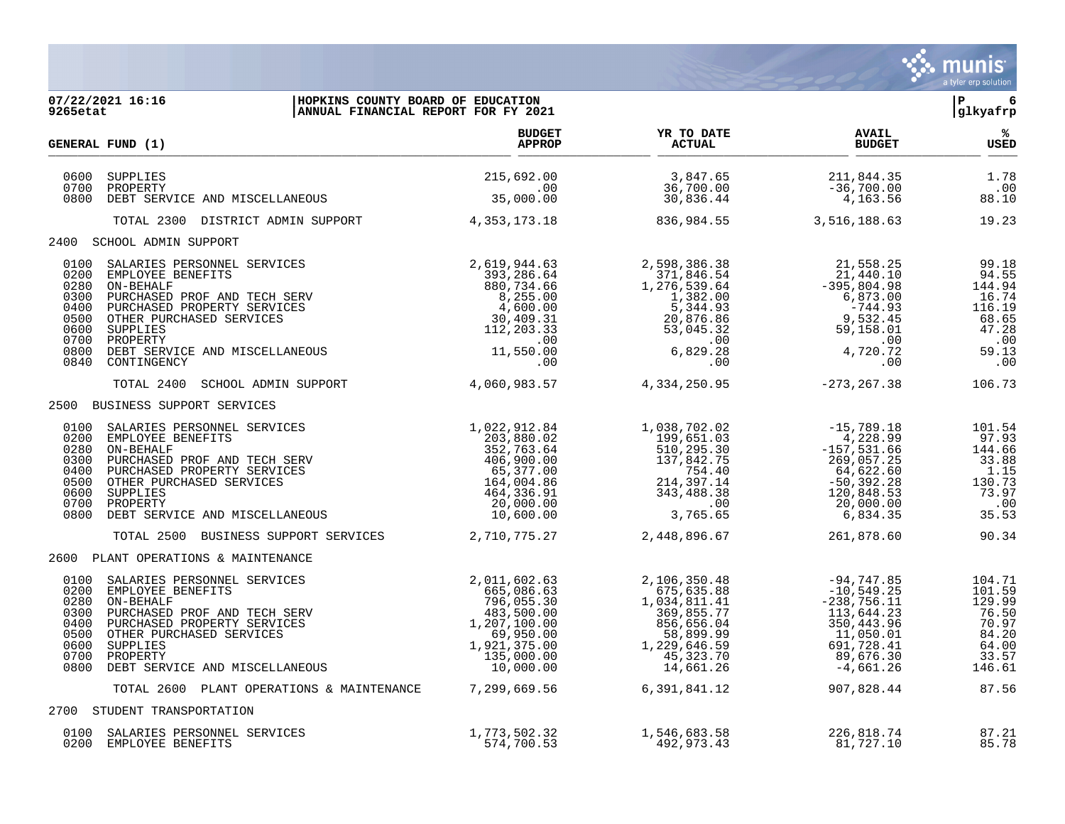

| 07/22/2021 16:16<br>HOPKINS COUNTY BOARD OF EDUCATION<br>9265etat<br>ANNUAL FINANCIAL REPORT FOR FY 2021                                                                                                                                                                                                          |                                                                                                                                                                           |                                                                                                                                                                     |                                                                                                                              | P <br>6<br>glkyafrp                                                                  |
|-------------------------------------------------------------------------------------------------------------------------------------------------------------------------------------------------------------------------------------------------------------------------------------------------------------------|---------------------------------------------------------------------------------------------------------------------------------------------------------------------------|---------------------------------------------------------------------------------------------------------------------------------------------------------------------|------------------------------------------------------------------------------------------------------------------------------|--------------------------------------------------------------------------------------|
| GENERAL FUND (1)                                                                                                                                                                                                                                                                                                  | <b>BUDGET</b><br><b>APPROP</b>                                                                                                                                            | YR TO DATE<br><b>ACTUAL</b>                                                                                                                                         | <b>AVAIL</b><br><b>BUDGET</b>                                                                                                | %≽<br><b>USED</b>                                                                    |
| 0600<br>SUPPLIES<br>0700<br>PROPERTY<br>0800<br>DEBT SERVICE AND MISCELLANEOUS                                                                                                                                                                                                                                    | 215,692.00<br>.00<br>35,000.00                                                                                                                                            | 3,847.65<br>36,700.00<br>30,836.44                                                                                                                                  | 211,844.35<br>$-36,700.00$<br>4,163.56                                                                                       | 1.78<br>$\ldots$<br>88.10                                                            |
| TOTAL 2300 DISTRICT ADMIN SUPPORT                                                                                                                                                                                                                                                                                 | 4, 353, 173. 18                                                                                                                                                           | 836,984.55                                                                                                                                                          | 3,516,188.63                                                                                                                 | 19.23                                                                                |
| 2400 SCHOOL ADMIN SUPPORT                                                                                                                                                                                                                                                                                         |                                                                                                                                                                           |                                                                                                                                                                     |                                                                                                                              |                                                                                      |
| 0100<br>SALARIES PERSONNEL SERVICES<br>0200<br>EMPLOYEE BENEFITS<br>0280<br>ON-BEHALF<br>0300<br>PURCHASED PROF AND TECH SERV<br>0400<br>PURCHASED PROPERTY SERVICES<br>0500<br>OTHER PURCHASED SERVICES<br>0600<br>SUPPLIES<br>0700<br>PROPERTY<br>0800<br>DEBT SERVICE AND MISCELLANEOUS<br>0840<br>CONTINGENCY | 2,619,944.63<br>393,286.64<br>880,734.66<br>$\begin{array}{r} 0,255.00 \\ 4,600.00 \\ 30,409.31 \\ 112,203.33 \end{array}$<br>112,203.33<br>.00<br>11,550.00<br>00<br>.00 | 2,598,386.38<br>371,846.54<br>1,276,539.64<br>$1,382.00$<br>$5,344.93$<br>$20,876.86$<br>$3,045.32$<br>$00$<br>$829.28$<br>$00$<br>50<br>1,382.00<br>00.<br>۶۶ ۶۹.6 | 21,558.25<br>21,440.10<br>$-395,804.98$<br>6,873.00<br>-744.93<br>9,532.45<br>59,158.01<br>00.<br>4,720.72<br>.00            | 99.18<br>94.55<br>144.94<br>16.74<br>116.19<br>68.65<br>47.28<br>.00<br>59.13<br>.00 |
| TOTAL 2400<br>SCHOOL ADMIN SUPPORT                                                                                                                                                                                                                                                                                | 4,060,983.57                                                                                                                                                              | 4,334,250.95                                                                                                                                                        | $-273, 267.38$                                                                                                               | 106.73                                                                               |
| 2500 BUSINESS SUPPORT SERVICES                                                                                                                                                                                                                                                                                    |                                                                                                                                                                           |                                                                                                                                                                     |                                                                                                                              |                                                                                      |
| 0100<br>SALARIES PERSONNEL SERVICES<br>0200<br>EMPLOYEE BENEFITS<br>0280<br>ON-BEHALF<br>0300<br>PURCHASED PROF AND TECH SERV<br>0400<br>PURCHASED PROPERTY SERVICES<br>0500<br>OTHER PURCHASED SERVICES<br>0600<br>SUPPLIES<br>0700<br>PROPERTY<br>0800<br>DEBT SERVICE AND MISCELLANEOUS                        | 1,022,912.84<br>203,880.02<br>352,763.64<br>406,900.00<br>$65,377.00$<br>$164,004.86$<br>$464,336.91$<br>$20,000.00$<br>$10,600.00$<br>$11,775$                           | 1,038,702.02<br>199,651.03<br>510,295.30<br>510, 295. 30<br>137, 842. 75<br>754. 40<br>214, 397. 14<br>343, 488. 38<br>.00<br>3, 765. 65                            | -15,789.18<br>4,228.99<br>$-157, 531.66$<br>269,057.25<br>64,622.60<br>$-50,392.28$<br>120,848.53<br>20,000.00<br>6,834.35   | 101.54<br>97.93<br>144.66<br>33.88<br>1.15<br>130.73<br>73.97<br>$\cdot$ 00<br>35.53 |
| TOTAL 2500 BUSINESS SUPPORT SERVICES                                                                                                                                                                                                                                                                              | 2,710,775.27                                                                                                                                                              | 2,448,896.67                                                                                                                                                        | 261,878.60                                                                                                                   | 90.34                                                                                |
| 2600 PLANT OPERATIONS & MAINTENANCE                                                                                                                                                                                                                                                                               |                                                                                                                                                                           |                                                                                                                                                                     |                                                                                                                              |                                                                                      |
| 0100<br>SALARIES PERSONNEL SERVICES<br>0200<br>EMPLOYEE BENEFITS<br>0280<br>ON-BEHALF<br>0300<br>PURCHASED PROF AND TECH SERV<br>0400<br>PURCHASED PROPERTY SERVICES<br>0500<br>OTHER PURCHASED SERVICES<br>0600<br>SUPPLIES<br>0700<br>PROPERTY<br>0800<br>DEBT SERVICE AND MISCELLANEOUS                        | 2,011,602.63<br>665,086.63<br>796,055.30<br>$1,207,100.00$<br>$69,950.00$<br>$1,921,375.00$<br>$135,000.00$<br>$10,000.00$                                                | 2,106,350.48<br>675,635.88<br>1,034,811.41<br>369,855.77<br>856,656.04<br>58,899.99<br>1,229,646.59<br>45,323.70<br>14,661.26                                       | -94,747.85<br>$-10,549.25$<br>$-238,756.11$<br>113,644.23<br>350,443.96<br>11,050.01<br>691,728.41<br>89,676.30<br>-4,661.26 | 104.71<br>101.59<br>129.99<br>76.50<br>70.97<br>84.20<br>64.00<br>33.57<br>146.61    |
| TOTAL 2600 PLANT OPERATIONS & MAINTENANCE 7,299,669.56                                                                                                                                                                                                                                                            |                                                                                                                                                                           | 6,391,841.12                                                                                                                                                        | 907,828.44                                                                                                                   | 87.56                                                                                |
| 2700 STUDENT TRANSPORTATION                                                                                                                                                                                                                                                                                       |                                                                                                                                                                           |                                                                                                                                                                     |                                                                                                                              |                                                                                      |
| 0100 SALARIES PERSONNEL SERVICES<br>0200 EMPLOYEE BENEFITS                                                                                                                                                                                                                                                        | 1,773,502.32<br>574,700.53                                                                                                                                                | 1,546,683.58<br>492,973.43                                                                                                                                          | 226,818.74<br>81,727.10                                                                                                      | 87.21<br>85.78                                                                       |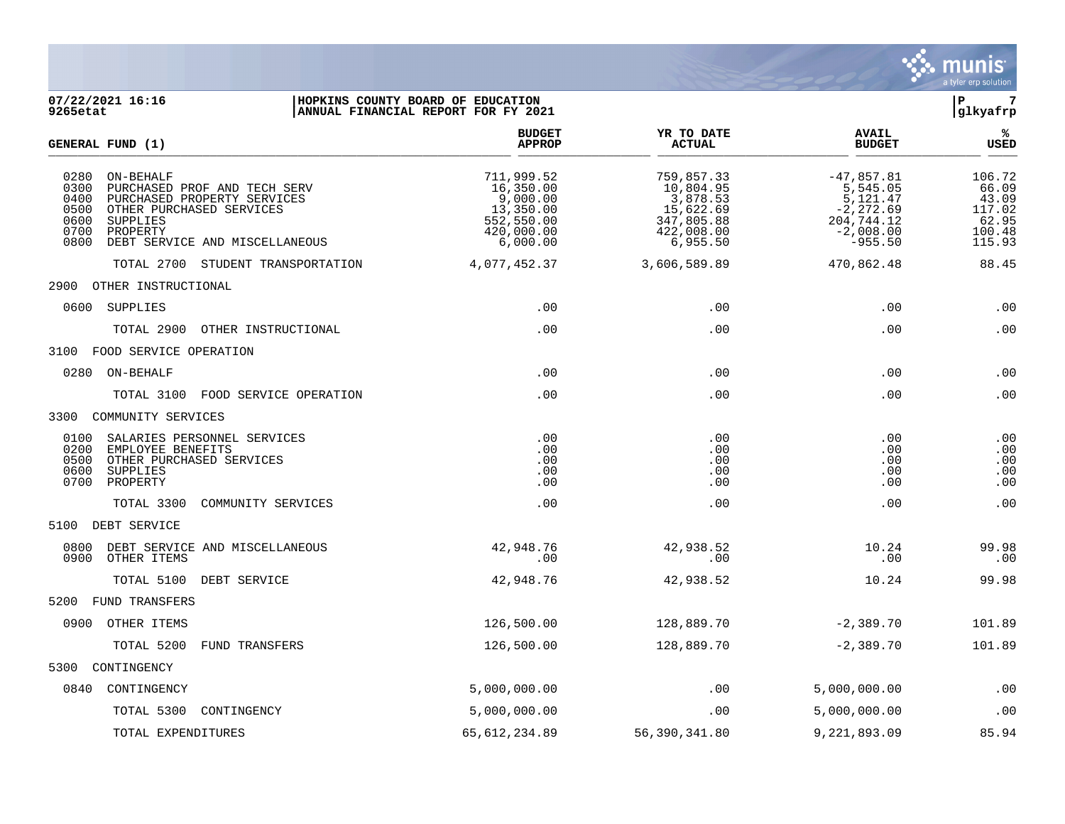

| 07/22/2021 16:16<br>9265etat                                                                                                                                                                                           |                                   | HOPKINS COUNTY BOARD OF EDUCATION<br>ANNUAL FINANCIAL REPORT FOR FY 2021                 |                                                                                          |                                                                                                | 7<br>lР<br> glkyafrp                                            |
|------------------------------------------------------------------------------------------------------------------------------------------------------------------------------------------------------------------------|-----------------------------------|------------------------------------------------------------------------------------------|------------------------------------------------------------------------------------------|------------------------------------------------------------------------------------------------|-----------------------------------------------------------------|
| GENERAL FUND (1)                                                                                                                                                                                                       |                                   | <b>BUDGET</b><br><b>APPROP</b>                                                           | YR TO DATE<br><b>ACTUAL</b>                                                              | <b>AVAIL</b><br><b>BUDGET</b>                                                                  | %<br><b>USED</b>                                                |
| 0280<br>ON-BEHALF<br>0300<br>PURCHASED PROF AND TECH SERV<br>0400<br>PURCHASED PROPERTY SERVICES<br>0500<br>OTHER PURCHASED SERVICES<br>0600<br>SUPPLIES<br>0700<br>PROPERTY<br>0800<br>DEBT SERVICE AND MISCELLANEOUS |                                   | 711,999.52<br>16,350.00<br>9,000.00<br>13,350.00<br>552,550.00<br>420,000.00<br>6,000.00 | 759,857.33<br>10,804.95<br>3,878.53<br>15,622.69<br>347,805.88<br>422,008.00<br>6,955.50 | $-47,857.81$<br>5,545.05<br>5,121.47<br>$-2, 272.69$<br>204,744.12<br>$-2,008.00$<br>$-955.50$ | 106.72<br>66.09<br>43.09<br>117.02<br>62.95<br>100.48<br>115.93 |
|                                                                                                                                                                                                                        | TOTAL 2700 STUDENT TRANSPORTATION | 4,077,452.37                                                                             | 3,606,589.89                                                                             | 470,862.48                                                                                     | 88.45                                                           |
| 2900 OTHER INSTRUCTIONAL                                                                                                                                                                                               |                                   |                                                                                          |                                                                                          |                                                                                                |                                                                 |
| 0600<br>SUPPLIES                                                                                                                                                                                                       |                                   | .00                                                                                      | .00                                                                                      | .00                                                                                            | .00                                                             |
| TOTAL 2900                                                                                                                                                                                                             | OTHER INSTRUCTIONAL               | .00                                                                                      | .00                                                                                      | .00                                                                                            | .00                                                             |
| 3100 FOOD SERVICE OPERATION                                                                                                                                                                                            |                                   |                                                                                          |                                                                                          |                                                                                                |                                                                 |
| 0280 ON-BEHALF                                                                                                                                                                                                         |                                   | .00                                                                                      | .00                                                                                      | .00                                                                                            | .00                                                             |
|                                                                                                                                                                                                                        | TOTAL 3100 FOOD SERVICE OPERATION | .00                                                                                      | .00                                                                                      | .00                                                                                            | .00                                                             |
| 3300 COMMUNITY SERVICES                                                                                                                                                                                                |                                   |                                                                                          |                                                                                          |                                                                                                |                                                                 |
| 0100<br>SALARIES PERSONNEL SERVICES<br>0200<br>EMPLOYEE BENEFITS<br>0500<br>OTHER PURCHASED SERVICES<br>0600<br>SUPPLIES<br>0700<br>PROPERTY                                                                           |                                   | .00<br>.00<br>.00<br>.00<br>.00                                                          | .00<br>.00<br>$.00 \,$<br>$.00 \,$<br>.00                                                | .00<br>.00<br>.00<br>.00<br>.00                                                                | .00<br>.00<br>.00<br>.00<br>.00                                 |
| TOTAL 3300                                                                                                                                                                                                             | COMMUNITY SERVICES                | .00                                                                                      | .00                                                                                      | .00                                                                                            | .00                                                             |
| 5100 DEBT SERVICE                                                                                                                                                                                                      |                                   |                                                                                          |                                                                                          |                                                                                                |                                                                 |
| 0800<br>DEBT SERVICE AND MISCELLANEOUS<br>0900<br>OTHER ITEMS                                                                                                                                                          |                                   | 42,948.76<br>.00                                                                         | 42,938.52<br>.00                                                                         | 10.24<br>.00                                                                                   | 99.98<br>.00                                                    |
| TOTAL 5100                                                                                                                                                                                                             | DEBT SERVICE                      | 42,948.76                                                                                | 42,938.52                                                                                | 10.24                                                                                          | 99.98                                                           |
| 5200 FUND TRANSFERS                                                                                                                                                                                                    |                                   |                                                                                          |                                                                                          |                                                                                                |                                                                 |
| 0900 OTHER ITEMS                                                                                                                                                                                                       |                                   | 126,500.00                                                                               | 128,889.70                                                                               | $-2,389.70$                                                                                    | 101.89                                                          |
| TOTAL 5200                                                                                                                                                                                                             | FUND TRANSFERS                    | 126,500.00                                                                               | 128,889.70                                                                               | $-2,389.70$                                                                                    | 101.89                                                          |
| 5300 CONTINGENCY                                                                                                                                                                                                       |                                   |                                                                                          |                                                                                          |                                                                                                |                                                                 |
| 0840<br>CONTINGENCY                                                                                                                                                                                                    |                                   | 5,000,000.00                                                                             | .00                                                                                      | 5,000,000.00                                                                                   | .00                                                             |
| TOTAL 5300 CONTINGENCY                                                                                                                                                                                                 |                                   | 5,000,000.00                                                                             | .00                                                                                      | 5,000,000.00                                                                                   | .00                                                             |

TOTAL EXPENDITURES 65,612,234.89 56,390,341.80 9,221,893.09 85.94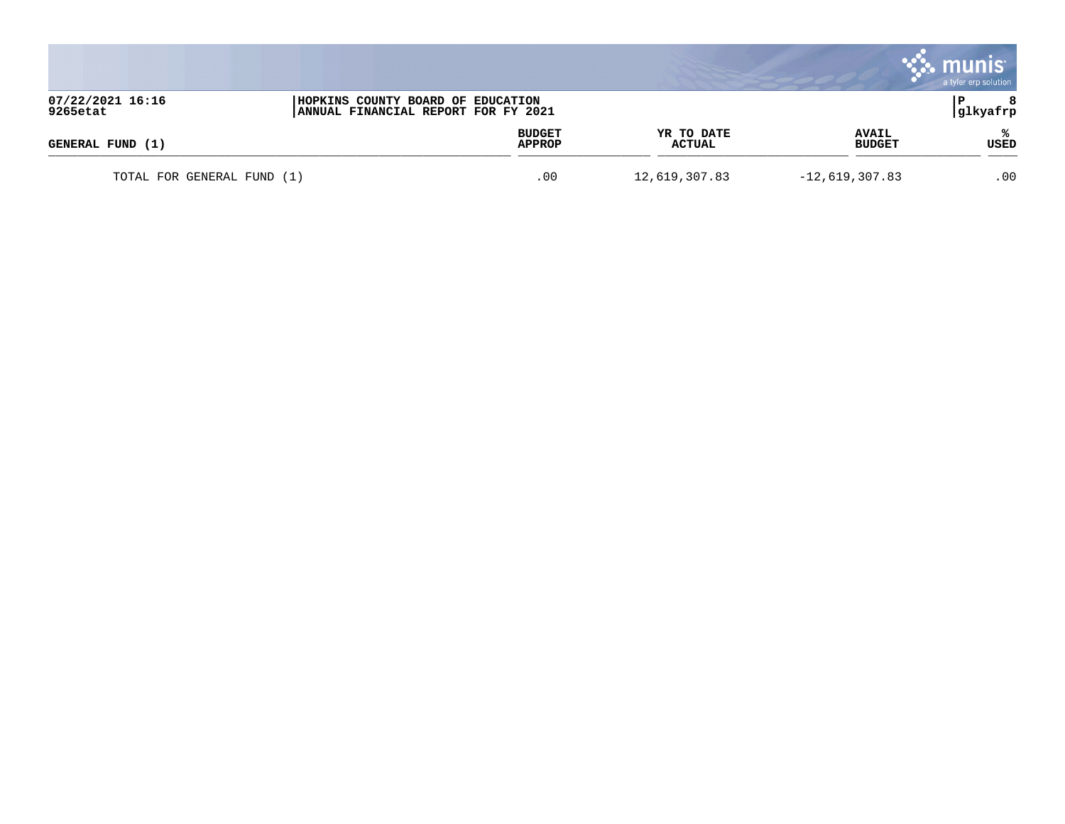|                                                                                                           |  |                         |                      |                               | a tyler erp solution |
|-----------------------------------------------------------------------------------------------------------|--|-------------------------|----------------------|-------------------------------|----------------------|
| 07/22/2021 16:16<br>HOPKINS COUNTY BOARD OF EDUCATION<br>9265etat<br> ANNUAL FINANCIAL REPORT FOR FY 2021 |  |                         |                      |                               | glkyafrp             |
| GENERAL FUND (1)                                                                                          |  | <b>BUDGET</b><br>APPROP | YR TO DATE<br>ACTUAL | <b>AVAIL</b><br><b>BUDGET</b> | USED                 |
| TOTAL FOR GENERAL FUND (1)                                                                                |  | .00                     | 12,619,307.83        | $-12,619,307.83$              | .00                  |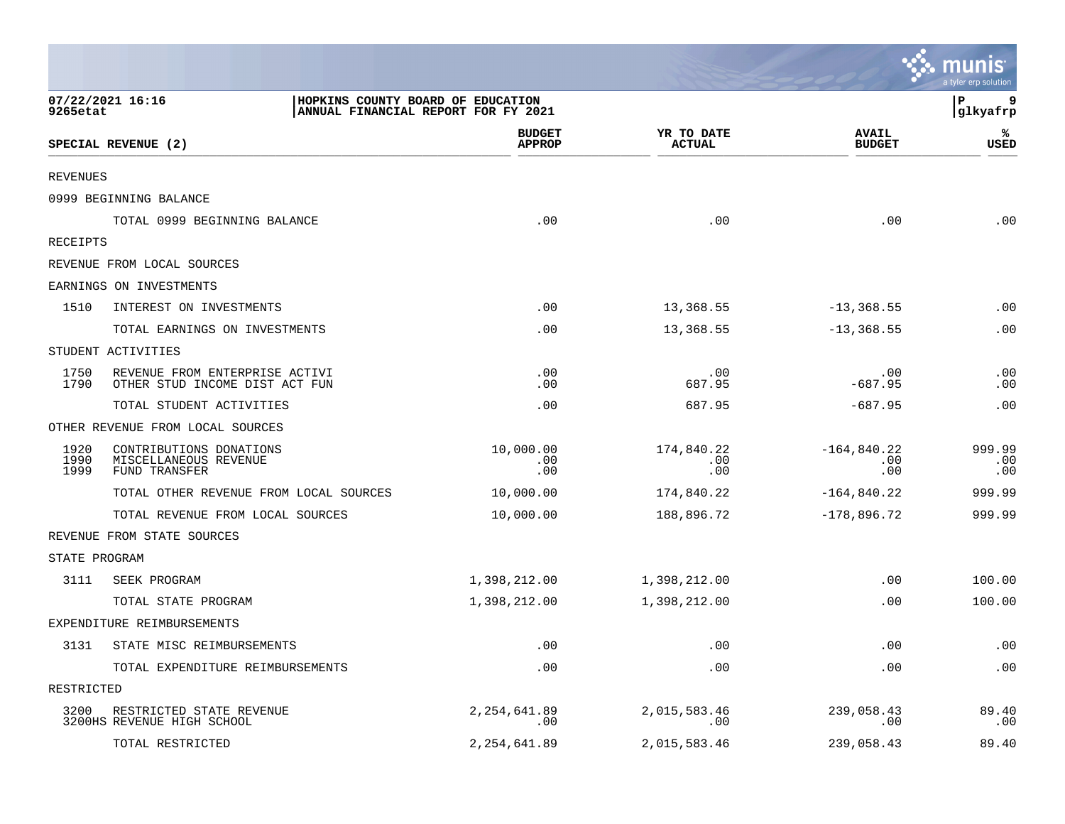|                      |                                                                   |                                     |                             |                               | munis<br>a tyler erp solution |
|----------------------|-------------------------------------------------------------------|-------------------------------------|-----------------------------|-------------------------------|-------------------------------|
| 9265etat             | 07/22/2021 16:16<br>HOPKINS COUNTY BOARD OF EDUCATION             | ANNUAL FINANCIAL REPORT FOR FY 2021 |                             |                               | P<br>9<br>glkyafrp            |
|                      | SPECIAL REVENUE (2)                                               | <b>BUDGET</b><br><b>APPROP</b>      | YR TO DATE<br><b>ACTUAL</b> | <b>AVAIL</b><br><b>BUDGET</b> | ℁<br><b>USED</b>              |
| <b>REVENUES</b>      |                                                                   |                                     |                             |                               |                               |
|                      | 0999 BEGINNING BALANCE                                            |                                     |                             |                               |                               |
|                      | TOTAL 0999 BEGINNING BALANCE                                      | .00                                 | .00                         | .00                           | .00                           |
| RECEIPTS             |                                                                   |                                     |                             |                               |                               |
|                      | REVENUE FROM LOCAL SOURCES                                        |                                     |                             |                               |                               |
|                      | EARNINGS ON INVESTMENTS                                           |                                     |                             |                               |                               |
| 1510                 | INTEREST ON INVESTMENTS                                           | .00                                 | 13,368.55                   | $-13, 368.55$                 | .00                           |
|                      | TOTAL EARNINGS ON INVESTMENTS                                     | .00                                 | 13,368.55                   | $-13, 368.55$                 | .00                           |
|                      | STUDENT ACTIVITIES                                                |                                     |                             |                               |                               |
| 1750<br>1790         | REVENUE FROM ENTERPRISE ACTIVI<br>OTHER STUD INCOME DIST ACT FUN  | .00<br>.00                          | .00<br>687.95               | .00<br>$-687.95$              | .00<br>.00                    |
|                      | TOTAL STUDENT ACTIVITIES                                          | .00                                 | 687.95                      | $-687.95$                     | .00                           |
|                      | OTHER REVENUE FROM LOCAL SOURCES                                  |                                     |                             |                               |                               |
| 1920<br>1990<br>1999 | CONTRIBUTIONS DONATIONS<br>MISCELLANEOUS REVENUE<br>FUND TRANSFER | 10,000.00<br>.00<br>.00             | 174,840.22<br>.00<br>.00    | $-164,840.22$<br>.00<br>.00   | 999.99<br>.00<br>.00          |
|                      | TOTAL OTHER REVENUE FROM LOCAL SOURCES                            | 10,000.00                           | 174,840.22                  | $-164, 840.22$                | 999.99                        |
|                      | TOTAL REVENUE FROM LOCAL SOURCES                                  | 10,000.00                           | 188,896.72                  | $-178,896.72$                 | 999.99                        |
|                      | REVENUE FROM STATE SOURCES                                        |                                     |                             |                               |                               |
| STATE PROGRAM        |                                                                   |                                     |                             |                               |                               |
| 3111                 | SEEK PROGRAM                                                      | 1,398,212.00                        | 1,398,212.00                | .00                           | 100.00                        |
|                      | TOTAL STATE PROGRAM                                               | 1,398,212.00                        | 1,398,212.00                | .00                           | 100.00                        |
|                      | EXPENDITURE REIMBURSEMENTS                                        |                                     |                             |                               |                               |
|                      | 3131 STATE MISC REIMBURSEMENTS                                    | .00                                 | .00                         | .00                           | .00                           |
|                      | TOTAL EXPENDITURE REIMBURSEMENTS                                  | .00                                 | .00                         | .00                           | .00                           |
| RESTRICTED           |                                                                   |                                     |                             |                               |                               |
| 3200                 | RESTRICTED STATE REVENUE<br>3200HS REVENUE HIGH SCHOOL            | 2, 254, 641.89<br>.00               | 2,015,583.46<br>.00         | 239,058.43<br>.00             | 89.40<br>.00                  |
|                      | TOTAL RESTRICTED                                                  | 2, 254, 641.89                      | 2,015,583.46                | 239,058.43                    | 89.40                         |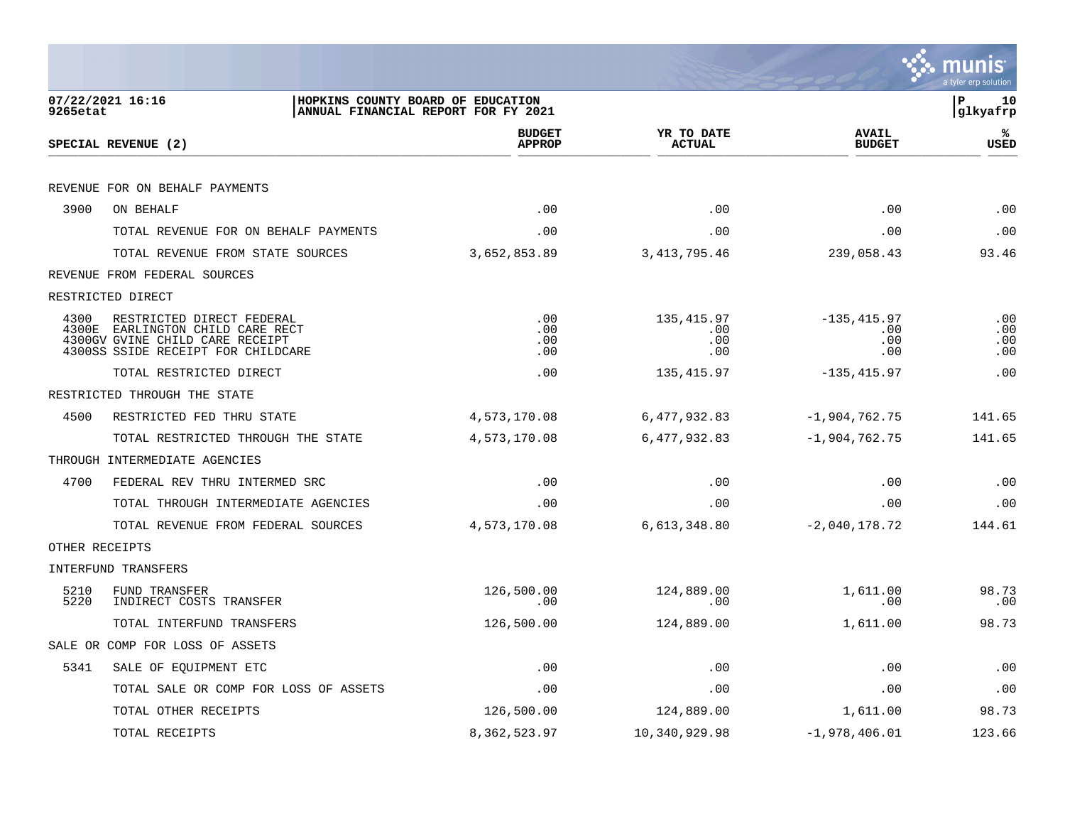|                |                                                                                                                                  |                                                                          |                                      |                                     | a tyler erp solution     |
|----------------|----------------------------------------------------------------------------------------------------------------------------------|--------------------------------------------------------------------------|--------------------------------------|-------------------------------------|--------------------------|
| 9265etat       | 07/22/2021 16:16                                                                                                                 | HOPKINS COUNTY BOARD OF EDUCATION<br>ANNUAL FINANCIAL REPORT FOR FY 2021 |                                      |                                     | l P<br>10<br> glkyafrp   |
|                | SPECIAL REVENUE (2)                                                                                                              | <b>BUDGET</b><br><b>APPROP</b>                                           | YR TO DATE<br><b>ACTUAL</b>          | <b>AVAIL</b><br><b>BUDGET</b>       | ℁<br><b>USED</b>         |
|                | REVENUE FOR ON BEHALF PAYMENTS                                                                                                   |                                                                          |                                      |                                     |                          |
| 3900           | ON BEHALF                                                                                                                        | .00                                                                      | .00                                  | .00                                 | .00                      |
|                | TOTAL REVENUE FOR ON BEHALF PAYMENTS                                                                                             | .00                                                                      | .00                                  | .00                                 | .00                      |
|                | TOTAL REVENUE FROM STATE SOURCES                                                                                                 | 3,652,853.89                                                             | 3, 413, 795.46                       | 239,058.43                          | 93.46                    |
|                | REVENUE FROM FEDERAL SOURCES                                                                                                     |                                                                          |                                      |                                     |                          |
|                | RESTRICTED DIRECT                                                                                                                |                                                                          |                                      |                                     |                          |
| 4300<br>4300E  | RESTRICTED DIRECT FEDERAL<br>EARLINGTON CHILD CARE RECT<br>4300GV GVINE CHILD CARE RECEIPT<br>4300SS SSIDE RECEIPT FOR CHILDCARE | .00<br>.00<br>.00<br>.00                                                 | 135,415.97<br>$.00 \,$<br>.00<br>.00 | $-135, 415.97$<br>.00<br>.00<br>.00 | .00<br>.00<br>.00<br>.00 |
|                | TOTAL RESTRICTED DIRECT                                                                                                          | .00                                                                      | 135,415.97                           | $-135, 415.97$                      | .00                      |
|                | RESTRICTED THROUGH THE STATE                                                                                                     |                                                                          |                                      |                                     |                          |
| 4500           | RESTRICTED FED THRU STATE                                                                                                        | 4,573,170.08                                                             | 6,477,932.83                         | $-1,904,762.75$                     | 141.65                   |
|                | TOTAL RESTRICTED THROUGH THE STATE                                                                                               | 4,573,170.08                                                             | 6,477,932.83                         | $-1,904,762.75$                     | 141.65                   |
|                | THROUGH INTERMEDIATE AGENCIES                                                                                                    |                                                                          |                                      |                                     |                          |
| 4700           | FEDERAL REV THRU INTERMED SRC                                                                                                    | .00                                                                      | .00                                  | .00                                 | .00                      |
|                | TOTAL THROUGH INTERMEDIATE AGENCIES                                                                                              | .00                                                                      | .00                                  | .00                                 | .00                      |
|                | TOTAL REVENUE FROM FEDERAL SOURCES                                                                                               | 4,573,170.08                                                             | 6,613,348.80                         | $-2,040,178.72$                     | 144.61                   |
| OTHER RECEIPTS |                                                                                                                                  |                                                                          |                                      |                                     |                          |
|                | <b>INTERFUND TRANSFERS</b>                                                                                                       |                                                                          |                                      |                                     |                          |
| 5210<br>5220   | FUND TRANSFER<br>INDIRECT COSTS TRANSFER                                                                                         | 126,500.00<br>.00                                                        | 124,889.00<br>.00                    | 1,611.00<br>.00                     | 98.73<br>.00             |
|                | TOTAL INTERFUND TRANSFERS                                                                                                        | 126,500.00                                                               | 124,889.00                           | 1,611.00                            | 98.73                    |
|                | SALE OR COMP FOR LOSS OF ASSETS                                                                                                  |                                                                          |                                      |                                     |                          |
| 5341           | SALE OF EQUIPMENT ETC                                                                                                            | .00                                                                      | .00                                  | .00                                 | .00                      |
|                | TOTAL SALE OR COMP FOR LOSS OF ASSETS                                                                                            | .00                                                                      | .00                                  | .00                                 | .00                      |
|                | TOTAL OTHER RECEIPTS                                                                                                             | 126,500.00                                                               | 124,889.00                           | 1,611.00                            | 98.73                    |
|                | TOTAL RECEIPTS                                                                                                                   | 8, 362, 523.97                                                           | 10,340,929.98                        | $-1,978,406.01$                     | 123.66                   |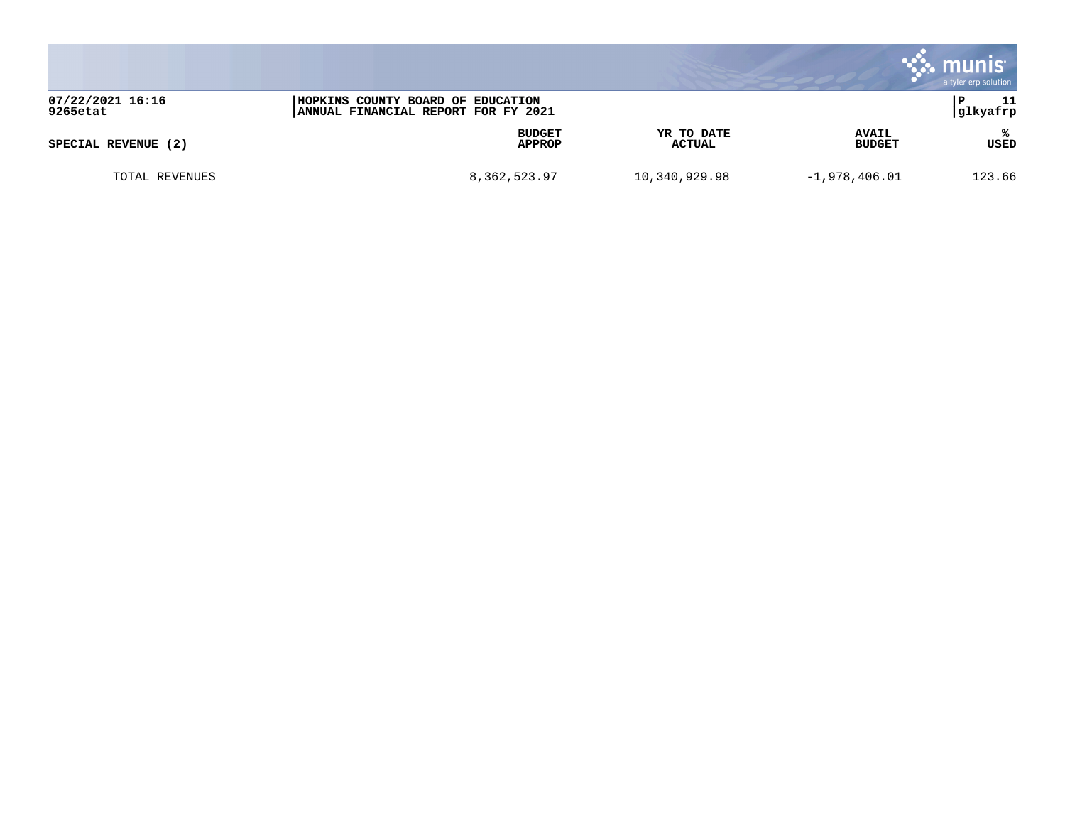|                              |                                                                           |                      |                               | a tyler erp solution |
|------------------------------|---------------------------------------------------------------------------|----------------------|-------------------------------|----------------------|
| 07/22/2021 16:16<br>9265etat | HOPKINS COUNTY BOARD OF EDUCATION<br> ANNUAL FINANCIAL REPORT FOR FY 2021 |                      |                               | 11<br> glkyafrp      |
| SPECIAL REVENUE (2)          | <b>BUDGET</b><br>APPROP                                                   | YR TO DATE<br>ACTUAL | <b>AVAIL</b><br><b>BUDGET</b> | USED                 |
| TOTAL REVENUES               | 8,362,523.97                                                              | 10,340,929.98        | $-1,978,406.01$               | 123.66               |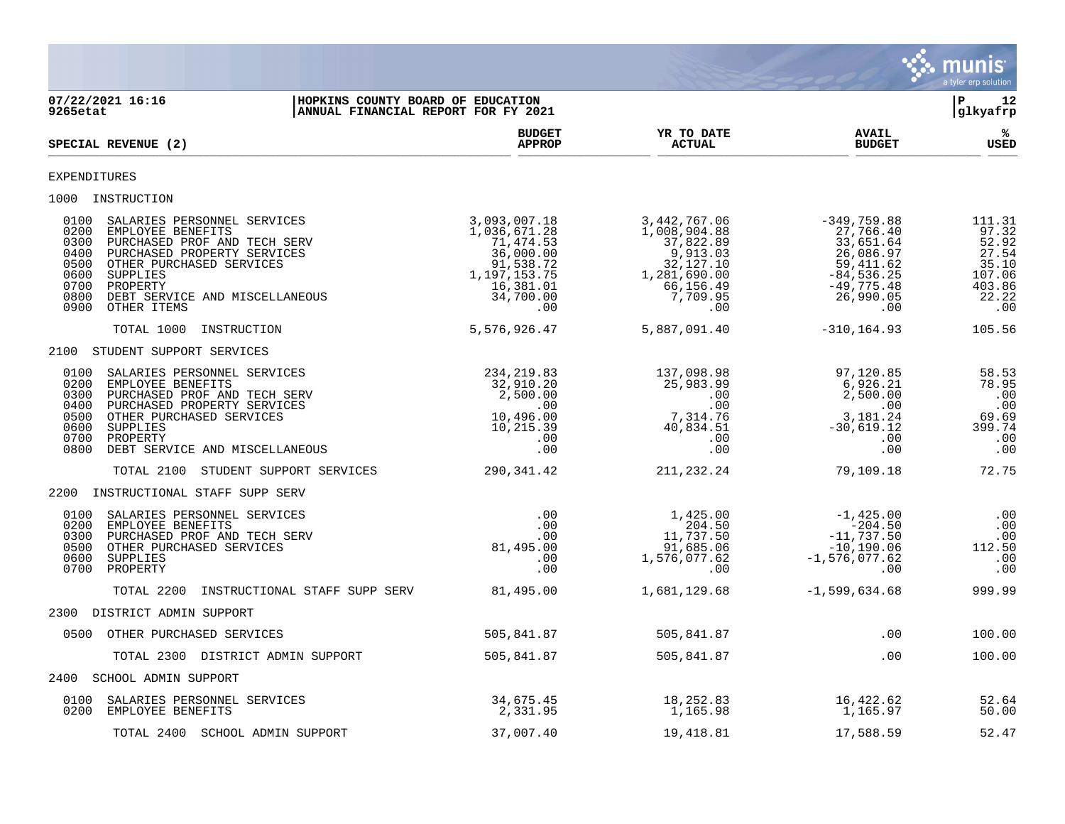

**07/22/2021 16:16 |HOPKINS COUNTY BOARD OF EDUCATION |P 12 ANNUAL FINANCIAL REPORT FOR FY 2021 BUDGET YR TO DATE AVAIL %**  $SPECTAL REVIEW (2)$  $\frac{\text{AFR} + \text{R}}{\text{AFR}}$ EXPENDITURES 1000 INSTRUCTION 0100 SALARIES PERSONNEL SERVICES 3,093,007.18 3,442,767.06 -349,759.88 111.31 0200 EMPLOYEE BENEFITS 1,036,671.28 1,008,904.88 27,766.40 97.32 0300 PURCHASED PROF AND TECH SERV 82.92 37,822.89 37,822.89 33,651.64 52.92 0400 PURCHASED PROPERTY SERVICES 36,000.00 9,913.03 26,086.97 27.54 0500 OTHER PURCHASED SERVICES 6.10 (1916) 91,538.72 32,127.10 59,411.62 35.10 0600 SUPPLIES 1,197,153.75 1,281,690.00 -84,536.25 107.06 0700 PROPERTY 16,381.01 66,156.49 -49,775.48 403.86 0800 DEBT SERVICE AND MISCELLANEOUS 34,700.00 7,709.95 26,990.05 22.22 0900 OTHER ITEMS .00 .00 .00 .00 TOTAL 1000 INSTRUCTION 5,576,926.47 5,887,091.40 -310,164.93 105.56 2100 STUDENT SUPPORT SERVICES 0100 SALARIES PERSONNEL SERVICES 234,219.83 137,098.98 97,120.85 58.53 0200 EMPLOYEE BENEFITS 32,910.20 25,983.99 6,926.21 78.95 0300 PURCHASED PROF AND TECH SERV 2,500.00 .00 2,500.00 .00 0400 PURCHASED PROPERTY SERVICES .00 .00 .00 .00 0500 OTHER PURCHASED SERVICES 10,496.00 7,314.76 3,181.24 69.69 0600 SUPPLIES 10,215.39 40,834.51 -30,619.12 399.74 0700 PROPERTY .00 .00 .00 .00 0800 DEBT SERVICE AND MISCELLANEOUS .00 .00 .00 .00 TOTAL 2100 STUDENT SUPPORT SERVICES 290,341.42 211,232.24 79,109.18 72.75 2200 INSTRUCTIONAL STAFF SUPP SERV 0100 SALARIES PERSONNEL SERVICES .00 1,425.00 -1,425.00 .00 0200 EMPLOYEE BENEFITS .00 204.50 -204.50 .00 0300 PURCHASED PROF AND TECH SERV .00 11,737.50 -11,737.50 .00 0500 OTHER PURCHASED SERVICES 81,495.00 91,685.06 -10,190.06 112.50 060 . 00 . 1,576,077.62 . 00 . 1,576,077.62 . 00 . 1,576,077.62 . 00 . 1,576,077.62 . 00 0700 PROPERTY .00 .00 .00 .00 TOTAL 2200 INSTRUCTIONAL STAFF SUPP SERV 81,495.00 1,681,129.68 -1,599,634.68 999.99 2300 DISTRICT ADMIN SUPPORT 0500 OTHER PURCHASED SERVICES 605.841.87 505.841.87 505.841.87 505.841.87 00 100.00 TOTAL 2300 DISTRICT ADMIN SUPPORT 505,841.87 505,841.87 .00 100.00 2400 SCHOOL ADMIN SUPPORT 0100 SALARIES PERSONNEL SERVICES 34,675.45 18,252.83 16,422.62 52.64 0200 EMPLOYEE BENEFITS TOTAL 2400 SCHOOL ADMIN SUPPORT 37,007.40 19,418.81 17,588.59 52.47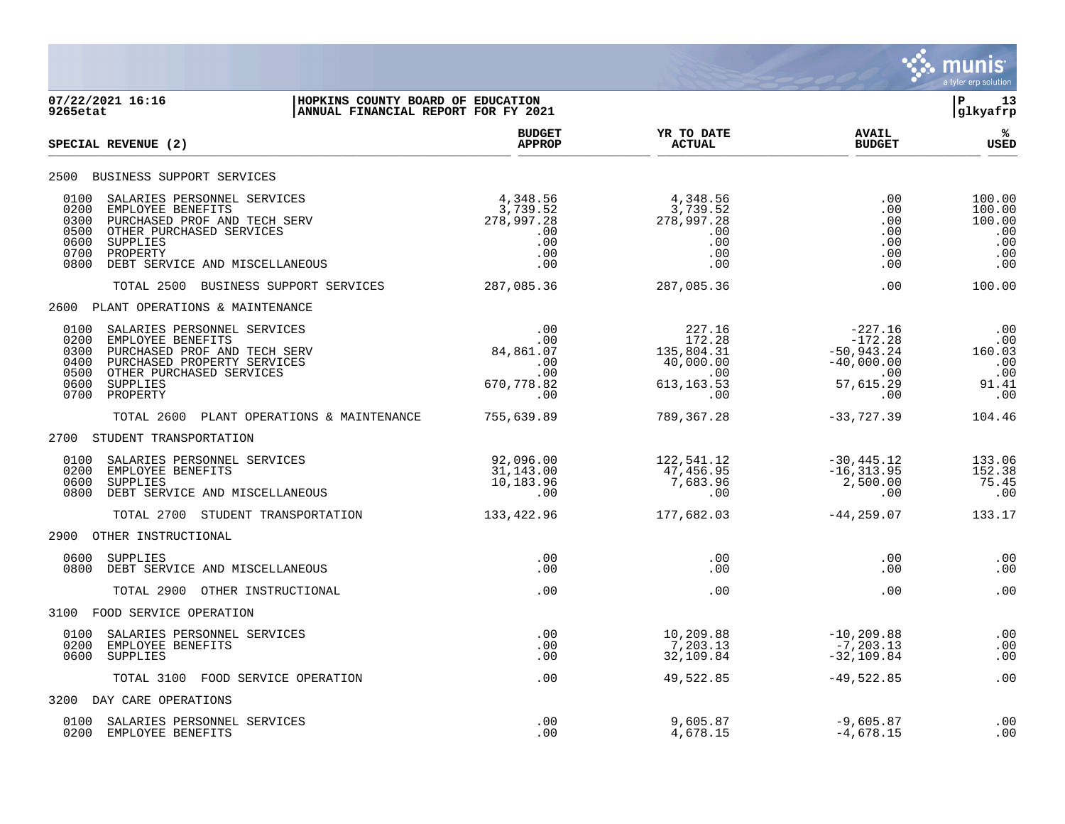

| 07/22/2021 16:16<br>9265etat                                                                                                                                                                                                   | HOPKINS COUNTY BOARD OF EDUCATION<br>ANNUAL FINANCIAL REPORT FOR FY 2021 |                                                                     |                                                                               |                                                                                   | P<br>13<br>glkyafrp                                    |
|--------------------------------------------------------------------------------------------------------------------------------------------------------------------------------------------------------------------------------|--------------------------------------------------------------------------|---------------------------------------------------------------------|-------------------------------------------------------------------------------|-----------------------------------------------------------------------------------|--------------------------------------------------------|
| SPECIAL REVENUE (2)                                                                                                                                                                                                            |                                                                          | <b>BUDGET</b><br><b>APPROP</b>                                      | YR TO DATE<br><b>ACTUAL</b>                                                   | <b>AVAIL</b><br><b>BUDGET</b>                                                     | %ะ<br><b>USED</b>                                      |
| 2500 BUSINESS SUPPORT SERVICES                                                                                                                                                                                                 |                                                                          |                                                                     |                                                                               |                                                                                   |                                                        |
| 0100<br>SALARIES PERSONNEL SERVICES<br>0200<br>EMPLOYEE BENEFITS<br>0300<br>PURCHASED PROF AND TECH SERV<br>0500<br>OTHER PURCHASED SERVICES<br>0600<br>SUPPLIES<br>0700<br>PROPERTY<br>0800<br>DEBT SERVICE AND MISCELLANEOUS |                                                                          | 4,348.56<br>3,739.52<br>278,997.28<br>.00<br>$.00 \,$<br>.00<br>.00 | 4,348.56<br>3,739.52<br>278,997.28<br>.00<br>.00<br>.00<br>.00                | .00<br>.00<br>.00<br>.00<br>.00<br>.00<br>.00                                     | 100.00<br>100.00<br>100.00<br>.00<br>.00<br>.00<br>.00 |
| TOTAL 2500 BUSINESS SUPPORT SERVICES                                                                                                                                                                                           |                                                                          | 287,085.36                                                          | 287,085.36                                                                    | .00                                                                               | 100.00                                                 |
| 2600 PLANT OPERATIONS & MAINTENANCE                                                                                                                                                                                            |                                                                          |                                                                     |                                                                               |                                                                                   |                                                        |
| 0100<br>SALARIES PERSONNEL SERVICES<br>0200<br>EMPLOYEE BENEFITS<br>0300<br>PURCHASED PROF AND TECH SERV<br>0400<br>PURCHASED PROPERTY SERVICES<br>0500<br>OTHER PURCHASED SERVICES<br>0600<br>SUPPLIES<br>0700<br>PROPERTY    |                                                                          | .00<br>.00<br>84,861.07<br>.00<br>.00<br>670,778.82<br>.00          | 227.16<br>172.28<br>135,804.31<br>40,000.00<br>$.00 \,$<br>613, 163.53<br>.00 | $-227.16$<br>$-172.28$<br>$-50,943.24$<br>$-40,000.00$<br>.00<br>57,615.29<br>.00 | .00<br>.00<br>160.03<br>.00<br>.00<br>91.41<br>.00     |
|                                                                                                                                                                                                                                | TOTAL 2600 PLANT OPERATIONS & MAINTENANCE                                | 755,639.89                                                          | 789, 367.28                                                                   | $-33,727.39$                                                                      | 104.46                                                 |
| 2700 STUDENT TRANSPORTATION                                                                                                                                                                                                    |                                                                          |                                                                     |                                                                               |                                                                                   |                                                        |
| 0100<br>SALARIES PERSONNEL SERVICES<br>0200<br>EMPLOYEE BENEFITS<br>0600<br>SUPPLIES<br>0800<br>DEBT SERVICE AND MISCELLANEOUS                                                                                                 |                                                                          | 92,096.00<br>31,143.00<br>10,183.96<br>.00                          | 122,541.12<br>47,456.95<br>7,683.96<br>.00                                    | $-30, 445.12$<br>$-16, 313.95$<br>2,500.00<br>.00                                 | 133.06<br>152.38<br>75.45<br>.00                       |
| TOTAL 2700 STUDENT TRANSPORTATION                                                                                                                                                                                              |                                                                          | 133,422.96                                                          | 177,682.03                                                                    | $-44, 259.07$                                                                     | 133.17                                                 |
| 2900<br>OTHER INSTRUCTIONAL                                                                                                                                                                                                    |                                                                          |                                                                     |                                                                               |                                                                                   |                                                        |
| SUPPLIES<br>0600<br>0800<br>DEBT SERVICE AND MISCELLANEOUS                                                                                                                                                                     |                                                                          | .00<br>.00                                                          | .00<br>.00                                                                    | .00<br>.00                                                                        | .00<br>.00                                             |
| TOTAL 2900 OTHER INSTRUCTIONAL                                                                                                                                                                                                 |                                                                          | .00                                                                 | .00                                                                           | .00                                                                               | .00                                                    |
| 3100<br>FOOD SERVICE OPERATION                                                                                                                                                                                                 |                                                                          |                                                                     |                                                                               |                                                                                   |                                                        |
| 0100<br>SALARIES PERSONNEL SERVICES<br>EMPLOYEE BENEFITS<br>0200<br>0600 SUPPLIES                                                                                                                                              |                                                                          | $.00 \,$<br>$.00 \,$<br>.00                                         | 10,209.88<br>7,203.13<br>32,109.84                                            | $-10, 209.88$<br>$-7, 203.13$<br>$-32,109.84$                                     | .00<br>.00<br>.00                                      |
| TOTAL 3100 FOOD SERVICE OPERATION                                                                                                                                                                                              |                                                                          | .00                                                                 | 49,522.85                                                                     | $-49,522.85$                                                                      | .00                                                    |
| 3200 DAY CARE OPERATIONS                                                                                                                                                                                                       |                                                                          |                                                                     |                                                                               |                                                                                   |                                                        |
| 0100<br>SALARIES PERSONNEL SERVICES<br>0200<br>EMPLOYEE BENEFITS                                                                                                                                                               |                                                                          | .00.<br>.00                                                         | 9,605.87<br>4,678.15                                                          | $-9,605.87$<br>$-4,678.15$                                                        | .00<br>.00                                             |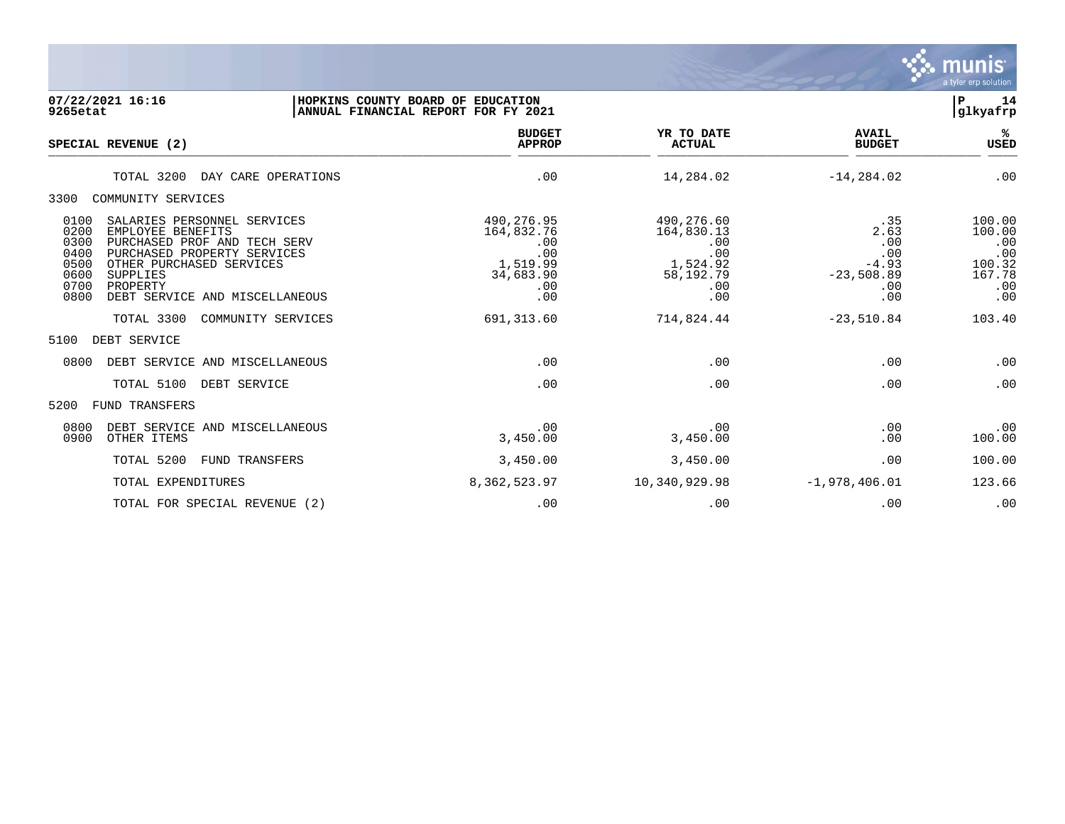

| 07/22/2021 16:16<br>9265etat                                                                                                                                                                                                                                          | HOPKINS COUNTY BOARD OF EDUCATION<br>ANNUAL FINANCIAL REPORT FOR FY 2021      |                                                                               |                                                                         | P<br>14<br> glkyafrp                                             |
|-----------------------------------------------------------------------------------------------------------------------------------------------------------------------------------------------------------------------------------------------------------------------|-------------------------------------------------------------------------------|-------------------------------------------------------------------------------|-------------------------------------------------------------------------|------------------------------------------------------------------|
| SPECIAL REVENUE (2)                                                                                                                                                                                                                                                   | <b>BUDGET</b><br><b>APPROP</b>                                                | YR TO DATE<br><b>ACTUAL</b>                                                   | <b>AVAIL</b><br><b>BUDGET</b>                                           | %ะ<br>USED                                                       |
| TOTAL 3200<br>DAY CARE OPERATIONS                                                                                                                                                                                                                                     | .00                                                                           | 14,284.02                                                                     | $-14, 284.02$                                                           | .00                                                              |
| COMMUNITY SERVICES<br>3300                                                                                                                                                                                                                                            |                                                                               |                                                                               |                                                                         |                                                                  |
| 0100<br>SALARIES PERSONNEL SERVICES<br>0200<br>EMPLOYEE BENEFITS<br>0300<br>PURCHASED PROF AND TECH SERV<br>0400<br>PURCHASED PROPERTY SERVICES<br>0500<br>OTHER PURCHASED SERVICES<br>0600<br>SUPPLIES<br>0700<br>PROPERTY<br>0800<br>DEBT SERVICE AND MISCELLANEOUS | 490,276.95<br>164,832.76<br>.00<br>.00<br>1,519.99<br>34,683.90<br>.00<br>.00 | 490,276.60<br>164,830.13<br>.00<br>.00<br>1,524.92<br>58,192.79<br>.00<br>.00 | .35<br>2.63<br>.00<br>.00<br>$-4.93$<br>$-23,508.89$<br>$.00 \,$<br>.00 | 100.00<br>100.00<br>.00<br>.00<br>100.32<br>167.78<br>.00<br>.00 |
| TOTAL 3300<br>COMMUNITY SERVICES                                                                                                                                                                                                                                      | 691, 313.60                                                                   | 714,824.44                                                                    | $-23,510.84$                                                            | 103.40                                                           |
| DEBT SERVICE<br>5100                                                                                                                                                                                                                                                  |                                                                               |                                                                               |                                                                         |                                                                  |
| 0800<br>DEBT SERVICE AND MISCELLANEOUS                                                                                                                                                                                                                                | .00                                                                           | .00                                                                           | .00                                                                     | .00                                                              |
| TOTAL 5100<br>DEBT SERVICE                                                                                                                                                                                                                                            | .00                                                                           | .00                                                                           | .00                                                                     | .00                                                              |
| FUND TRANSFERS<br>5200                                                                                                                                                                                                                                                |                                                                               |                                                                               |                                                                         |                                                                  |
| 0800<br>DEBT SERVICE AND MISCELLANEOUS<br>0900<br>OTHER ITEMS                                                                                                                                                                                                         | .00<br>3,450.00                                                               | .00<br>3,450.00                                                               | .00<br>.00                                                              | .00<br>100.00                                                    |
| TOTAL 5200<br>FUND TRANSFERS                                                                                                                                                                                                                                          | 3,450.00                                                                      | 3,450.00                                                                      | .00                                                                     | 100.00                                                           |
| TOTAL EXPENDITURES                                                                                                                                                                                                                                                    | 8,362,523.97                                                                  | 10,340,929.98                                                                 | $-1,978,406.01$                                                         | 123.66                                                           |
| TOTAL FOR SPECIAL REVENUE (2)                                                                                                                                                                                                                                         | .00                                                                           | .00                                                                           | .00                                                                     | .00                                                              |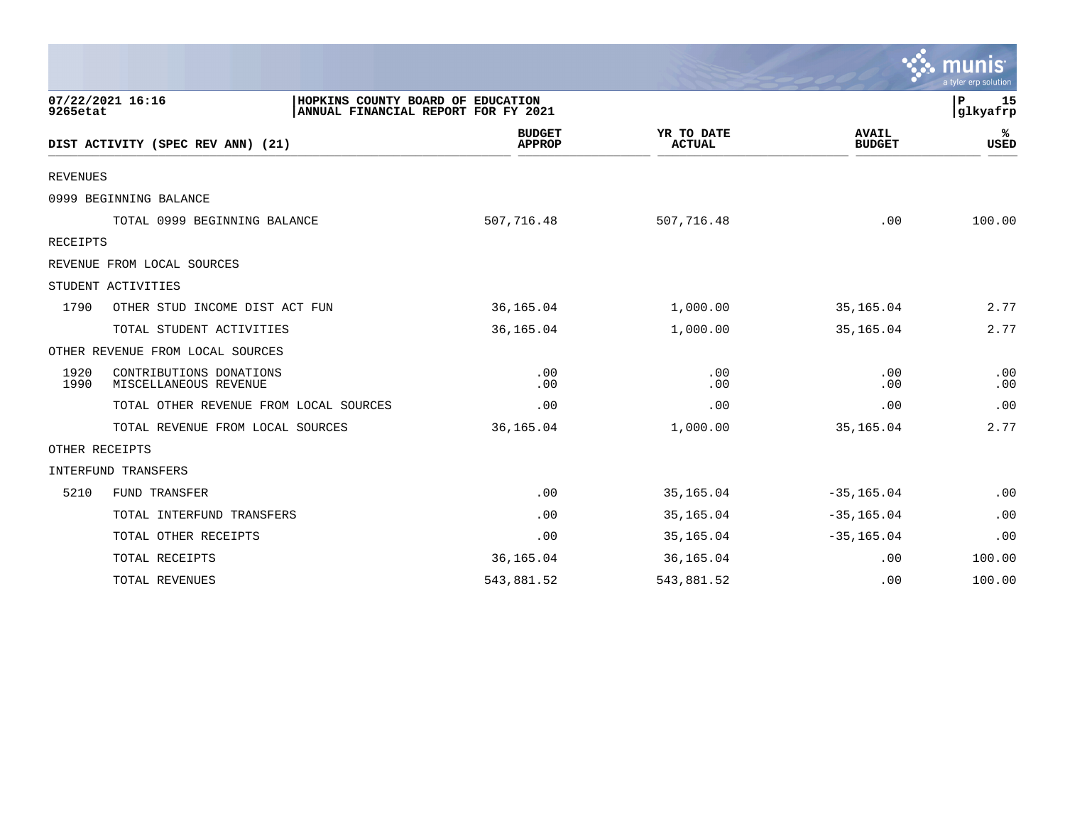|                 |                                                                                              |                                |                             |                               | munis<br>a tyler erp solution |
|-----------------|----------------------------------------------------------------------------------------------|--------------------------------|-----------------------------|-------------------------------|-------------------------------|
| 9265etat        | 07/22/2021 16:16<br>HOPKINS COUNTY BOARD OF EDUCATION<br>ANNUAL FINANCIAL REPORT FOR FY 2021 |                                |                             |                               | P<br>15<br>glkyafrp           |
|                 | DIST ACTIVITY (SPEC REV ANN) (21)                                                            | <b>BUDGET</b><br><b>APPROP</b> | YR TO DATE<br><b>ACTUAL</b> | <b>AVAIL</b><br><b>BUDGET</b> | %<br><b>USED</b>              |
| <b>REVENUES</b> |                                                                                              |                                |                             |                               |                               |
|                 | 0999 BEGINNING BALANCE                                                                       |                                |                             |                               |                               |
|                 | TOTAL 0999 BEGINNING BALANCE                                                                 | 507,716.48                     | 507,716.48                  | .00                           | 100.00                        |
| RECEIPTS        |                                                                                              |                                |                             |                               |                               |
|                 | REVENUE FROM LOCAL SOURCES                                                                   |                                |                             |                               |                               |
|                 | STUDENT ACTIVITIES                                                                           |                                |                             |                               |                               |
| 1790            | OTHER STUD INCOME DIST ACT FUN                                                               | 36,165.04                      | 1,000.00                    | 35,165.04                     | 2.77                          |
|                 | TOTAL STUDENT ACTIVITIES                                                                     | 36, 165.04                     | 1,000.00                    | 35,165.04                     | 2.77                          |
|                 | OTHER REVENUE FROM LOCAL SOURCES                                                             |                                |                             |                               |                               |
| 1920<br>1990    | CONTRIBUTIONS DONATIONS<br>MISCELLANEOUS REVENUE                                             | .00<br>.00                     | .00<br>.00                  | .00<br>.00                    | .00<br>.00                    |
|                 | TOTAL OTHER REVENUE FROM LOCAL SOURCES                                                       | .00                            | .00                         | .00                           | .00                           |
|                 | TOTAL REVENUE FROM LOCAL SOURCES                                                             | 36,165.04                      | 1,000.00                    | 35,165.04                     | 2.77                          |
|                 | OTHER RECEIPTS                                                                               |                                |                             |                               |                               |
|                 | INTERFUND TRANSFERS                                                                          |                                |                             |                               |                               |
| 5210            | FUND TRANSFER                                                                                | .00                            | 35,165.04                   | $-35, 165.04$                 | .00                           |
|                 | TOTAL INTERFUND TRANSFERS                                                                    | .00                            | 35,165.04                   | $-35, 165.04$                 | .00                           |
|                 | TOTAL OTHER RECEIPTS                                                                         | .00                            | 35,165.04                   | $-35, 165.04$                 | .00                           |
|                 | TOTAL RECEIPTS                                                                               | 36,165.04                      | 36,165.04                   | .00                           | 100.00                        |
|                 | TOTAL REVENUES                                                                               | 543,881.52                     | 543,881.52                  | .00                           | 100.00                        |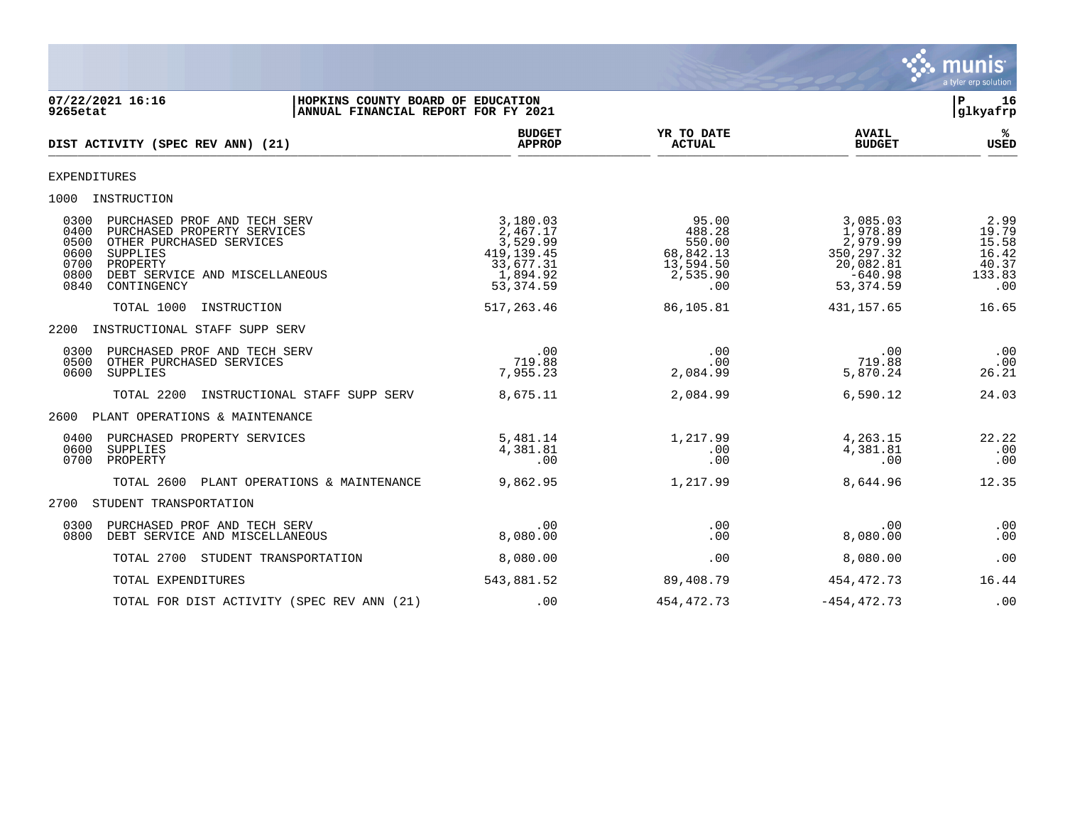

| 07/22/2021 16:16<br>HOPKINS COUNTY BOARD OF EDUCATION<br>9265etat<br>ANNUAL FINANCIAL REPORT FOR FY 2021                                                                                                                 |                                                                                         |                                                                        |                                                                                         | 16<br>P<br> glkyafrp                                      |
|--------------------------------------------------------------------------------------------------------------------------------------------------------------------------------------------------------------------------|-----------------------------------------------------------------------------------------|------------------------------------------------------------------------|-----------------------------------------------------------------------------------------|-----------------------------------------------------------|
| DIST ACTIVITY (SPEC REV ANN) (21)                                                                                                                                                                                        | <b>BUDGET</b><br><b>APPROP</b>                                                          | YR TO DATE<br><b>ACTUAL</b>                                            | <b>AVAIL</b><br><b>BUDGET</b>                                                           | %ะ<br><b>USED</b>                                         |
| EXPENDITURES                                                                                                                                                                                                             |                                                                                         |                                                                        |                                                                                         |                                                           |
| INSTRUCTION<br>1000                                                                                                                                                                                                      |                                                                                         |                                                                        |                                                                                         |                                                           |
| 0300<br>PURCHASED PROF AND TECH SERV<br>0400<br>PURCHASED PROPERTY SERVICES<br>0500<br>OTHER PURCHASED SERVICES<br>0600<br>SUPPLIES<br>0700<br>PROPERTY<br>0800<br>DEBT SERVICE AND MISCELLANEOUS<br>0840<br>CONTINGENCY | 3,180.03<br>2,467.17<br>3,529.99<br>419, 139. 45<br>33,677.31<br>1,894.92<br>53, 374.59 | 95.00<br>488.28<br>550.00<br>68,842.13<br>13,594.50<br>2,535.90<br>.00 | 3,085.03<br>1,978.89<br>2,979.99<br>350, 297.32<br>20,082.81<br>$-640.98$<br>53, 374.59 | 2.99<br>19.79<br>15.58<br>16.42<br>40.37<br>133.83<br>.00 |
| TOTAL 1000<br>INSTRUCTION                                                                                                                                                                                                | 517,263.46                                                                              | 86,105.81                                                              | 431, 157.65                                                                             | 16.65                                                     |
| INSTRUCTIONAL STAFF SUPP SERV<br>2200                                                                                                                                                                                    |                                                                                         |                                                                        |                                                                                         |                                                           |
| 0300<br>PURCHASED PROF AND TECH SERV<br>0500<br>OTHER PURCHASED SERVICES<br>0600<br>SUPPLIES                                                                                                                             | .00<br>719.88<br>7,955.23                                                               | .00<br>.00<br>2,084.99                                                 | .00<br>719.88<br>5,870.24                                                               | .00<br>.00<br>26.21                                       |
| TOTAL 2200<br>INSTRUCTIONAL STAFF SUPP SERV                                                                                                                                                                              | 8,675.11                                                                                | 2,084.99                                                               | 6,590.12                                                                                | 24.03                                                     |
| 2600<br>PLANT OPERATIONS & MAINTENANCE                                                                                                                                                                                   |                                                                                         |                                                                        |                                                                                         |                                                           |
| PURCHASED PROPERTY SERVICES<br>0400<br>0600<br>SUPPLIES<br>0700<br>PROPERTY                                                                                                                                              | 5,481.14<br>4,381.81<br>.00                                                             | 1,217.99<br>.00<br>.00                                                 | 4,263.15<br>4,381.81<br>.00                                                             | 22.22<br>.00<br>.00                                       |
| PLANT OPERATIONS & MAINTENANCE<br>TOTAL 2600                                                                                                                                                                             | 9,862.95                                                                                | 1,217.99                                                               | 8,644.96                                                                                | 12.35                                                     |
| STUDENT TRANSPORTATION<br>2700                                                                                                                                                                                           |                                                                                         |                                                                        |                                                                                         |                                                           |
| 0300<br>PURCHASED PROF AND TECH SERV<br>0800<br>DEBT SERVICE AND MISCELLANEOUS                                                                                                                                           | .00<br>8,080.00                                                                         | .00<br>.00                                                             | .00<br>8,080.00                                                                         | .00<br>.00                                                |
| TOTAL 2700<br>STUDENT TRANSPORTATION                                                                                                                                                                                     | 8,080.00                                                                                | .00                                                                    | 8,080.00                                                                                | .00                                                       |
| TOTAL EXPENDITURES                                                                                                                                                                                                       | 543,881.52                                                                              | 89,408.79                                                              | 454,472.73                                                                              | 16.44                                                     |
| TOTAL FOR DIST ACTIVITY (SPEC REV ANN (21)                                                                                                                                                                               | .00                                                                                     | 454, 472. 73                                                           | $-454.472.73$                                                                           | .00                                                       |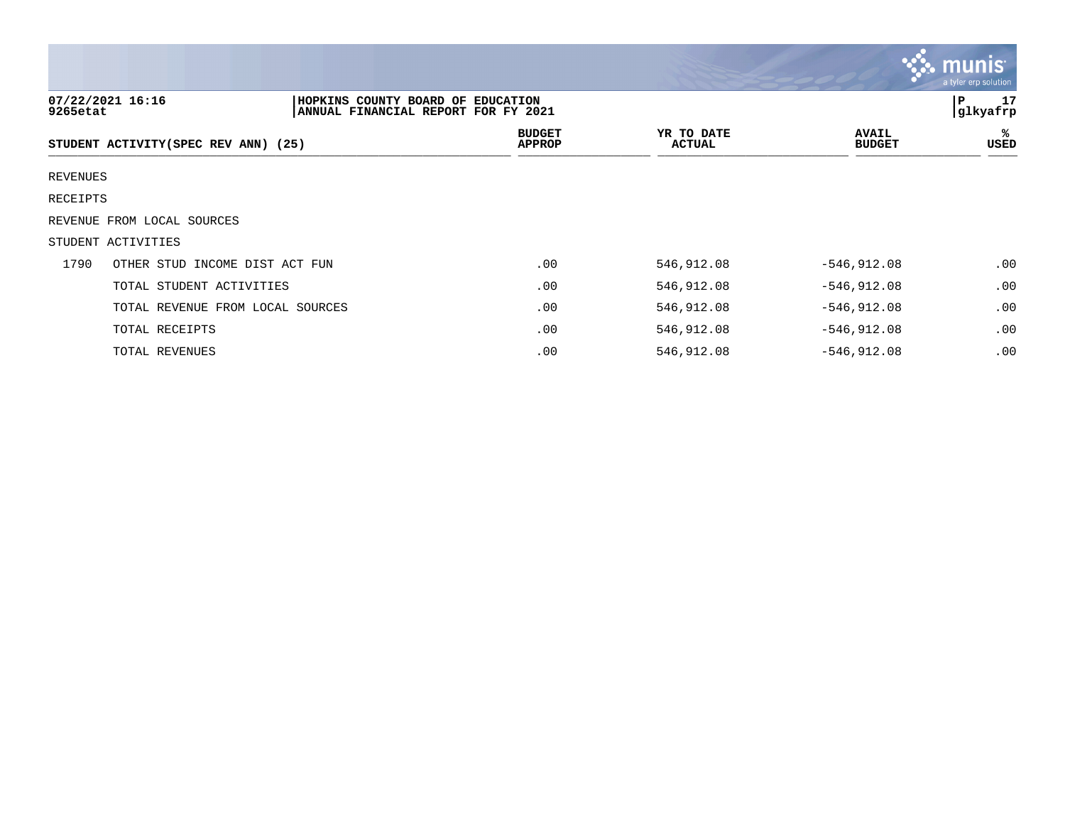|          |                                                                                              |                                |                             |                               | <u>ું. munis i</u><br>a tyler erp solution |
|----------|----------------------------------------------------------------------------------------------|--------------------------------|-----------------------------|-------------------------------|--------------------------------------------|
| 9265etat | 07/22/2021 16:16<br>HOPKINS COUNTY BOARD OF EDUCATION<br>ANNUAL FINANCIAL REPORT FOR FY 2021 |                                |                             |                               | 17<br>۱P.<br>glkyafrp                      |
|          | STUDENT ACTIVITY (SPEC REV ANN) (25)                                                         | <b>BUDGET</b><br><b>APPROP</b> | YR TO DATE<br><b>ACTUAL</b> | <b>AVAIL</b><br><b>BUDGET</b> | %<br>USED                                  |
| REVENUES |                                                                                              |                                |                             |                               |                                            |
| RECEIPTS |                                                                                              |                                |                             |                               |                                            |
|          | REVENUE FROM LOCAL SOURCES                                                                   |                                |                             |                               |                                            |
|          | STUDENT ACTIVITIES                                                                           |                                |                             |                               |                                            |
| 1790     | OTHER STUD INCOME DIST ACT FUN                                                               | .00                            | 546,912.08                  | $-546,912.08$                 | .00                                        |
|          | TOTAL STUDENT ACTIVITIES                                                                     | .00                            | 546,912.08                  | $-546,912.08$                 | .00                                        |
|          | TOTAL REVENUE FROM LOCAL SOURCES                                                             | .00                            | 546,912.08                  | $-546, 912.08$                | .00                                        |
|          | TOTAL RECEIPTS                                                                               | .00                            | 546,912.08                  | $-546,912.08$                 | .00                                        |
|          | TOTAL REVENUES                                                                               | .00                            | 546,912.08                  | $-546, 912.08$                | .00                                        |

the contract of the contract of the contract of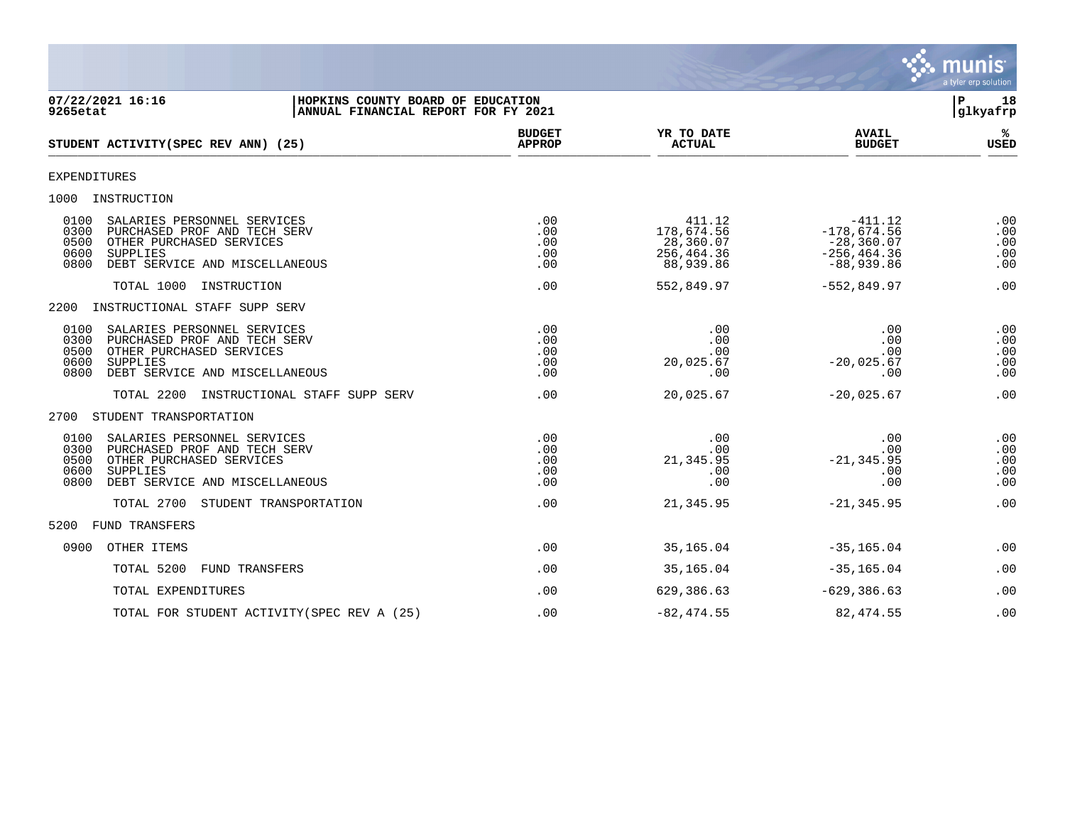

| 07/22/2021 16:16<br>HOPKINS COUNTY BOARD OF EDUCATION<br>9265etat<br>ANNUAL FINANCIAL REPORT FOR FY 2021                                                                             |                                 |                                                              |                                                                               | l P<br>18<br>glkyafrp           |
|--------------------------------------------------------------------------------------------------------------------------------------------------------------------------------------|---------------------------------|--------------------------------------------------------------|-------------------------------------------------------------------------------|---------------------------------|
| STUDENT ACTIVITY (SPEC REV ANN) (25)                                                                                                                                                 | <b>BUDGET</b><br><b>APPROP</b>  | YR TO DATE<br><b>ACTUAL</b>                                  | <b>AVAIL</b><br><b>BUDGET</b>                                                 | ℁<br><b>USED</b>                |
| <b>EXPENDITURES</b>                                                                                                                                                                  |                                 |                                                              |                                                                               |                                 |
| 1000<br>INSTRUCTION                                                                                                                                                                  |                                 |                                                              |                                                                               |                                 |
| 0100<br>SALARIES PERSONNEL SERVICES<br>0300<br>PURCHASED PROF AND TECH SERV<br>0500<br>OTHER PURCHASED SERVICES<br>0600<br><b>SUPPLIES</b><br>DEBT SERVICE AND MISCELLANEOUS<br>0800 | .00<br>.00<br>.00<br>.00<br>.00 | 411.12<br>178,674.56<br>28,360.07<br>256,464.36<br>88,939.86 | $-411.12$<br>$-178,674.56$<br>$-28, 360.07$<br>$-256, 464.36$<br>$-88,939.86$ | .00<br>.00<br>.00<br>.00<br>.00 |
| TOTAL 1000<br>INSTRUCTION                                                                                                                                                            | .00                             | 552,849.97                                                   | $-552,849.97$                                                                 | .00                             |
| INSTRUCTIONAL STAFF SUPP SERV<br>2200                                                                                                                                                |                                 |                                                              |                                                                               |                                 |
| 0100<br>SALARIES PERSONNEL SERVICES<br>0300<br>PURCHASED PROF AND TECH SERV<br>0500<br>OTHER PURCHASED SERVICES<br>0600<br>SUPPLIES<br>0800<br>DEBT SERVICE AND MISCELLANEOUS        | .00<br>.00<br>.00<br>.00<br>.00 | .00<br>.00<br>.00<br>20,025.67<br>.00                        | .00<br>.00<br>.00<br>$-20,025.67$<br>.00                                      | .00<br>.00<br>.00<br>.00<br>.00 |
| TOTAL 2200<br>INSTRUCTIONAL STAFF SUPP SERV                                                                                                                                          | .00                             | 20,025.67                                                    | $-20,025.67$                                                                  | .00                             |
| STUDENT TRANSPORTATION<br>2700                                                                                                                                                       |                                 |                                                              |                                                                               |                                 |
| 0100<br>SALARIES PERSONNEL SERVICES<br>0300<br>PURCHASED PROF AND TECH SERV<br>0500<br>OTHER PURCHASED SERVICES<br>0600<br>SUPPLIES<br>0800<br>DEBT SERVICE AND MISCELLANEOUS        | .00<br>.00<br>.00<br>.00<br>.00 | .00<br>.00<br>21,345.95<br>.00<br>.00                        | .00<br>.00<br>$-21, 345.95$<br>.00<br>.00                                     | .00<br>.00<br>.00<br>.00<br>.00 |
| TOTAL 2700<br>STUDENT TRANSPORTATION                                                                                                                                                 | .00                             | 21,345.95                                                    | $-21, 345.95$                                                                 | .00                             |
| FUND TRANSFERS<br>5200                                                                                                                                                               |                                 |                                                              |                                                                               |                                 |
| 0900<br>OTHER ITEMS                                                                                                                                                                  | .00                             | 35,165.04                                                    | $-35, 165.04$                                                                 | .00                             |
| TOTAL 5200<br>FUND TRANSFERS                                                                                                                                                         | .00                             | 35,165.04                                                    | $-35, 165.04$                                                                 | .00                             |
| TOTAL EXPENDITURES                                                                                                                                                                   | .00                             | 629,386.63                                                   | $-629, 386.63$                                                                | .00                             |
| TOTAL FOR STUDENT ACTIVITY (SPEC REV A (25)                                                                                                                                          | .00                             | $-82, 474.55$                                                | 82, 474.55                                                                    | .00                             |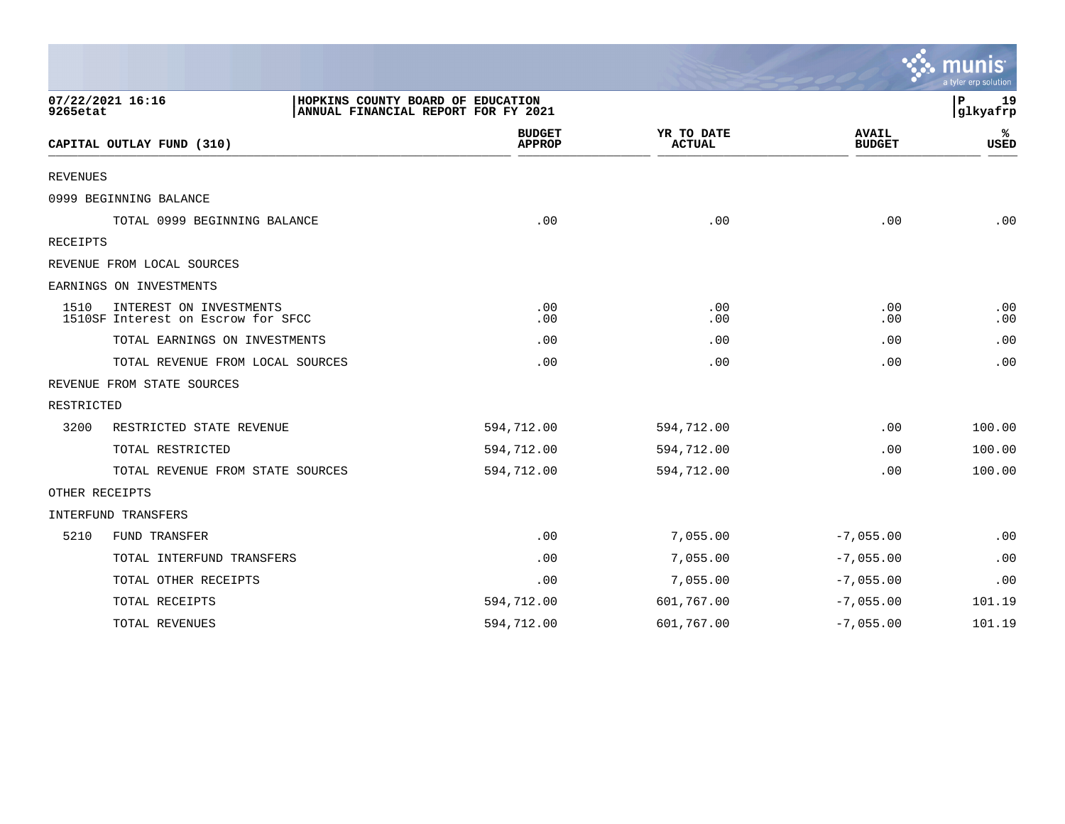|                 |                                                               |                                                                          |                             |                               | a tyler erp solution        |
|-----------------|---------------------------------------------------------------|--------------------------------------------------------------------------|-----------------------------|-------------------------------|-----------------------------|
| 9265etat        | 07/22/2021 16:16                                              | HOPKINS COUNTY BOARD OF EDUCATION<br>ANNUAL FINANCIAL REPORT FOR FY 2021 |                             |                               | 19<br>${\bf P}$<br>glkyafrp |
|                 | CAPITAL OUTLAY FUND (310)                                     | <b>BUDGET</b><br><b>APPROP</b>                                           | YR TO DATE<br><b>ACTUAL</b> | <b>AVAIL</b><br><b>BUDGET</b> | ℁<br>USED                   |
| <b>REVENUES</b> |                                                               |                                                                          |                             |                               |                             |
|                 | 0999 BEGINNING BALANCE                                        |                                                                          |                             |                               |                             |
|                 | TOTAL 0999 BEGINNING BALANCE                                  | .00                                                                      | .00                         | .00                           | .00                         |
| RECEIPTS        |                                                               |                                                                          |                             |                               |                             |
|                 | REVENUE FROM LOCAL SOURCES                                    |                                                                          |                             |                               |                             |
|                 | EARNINGS ON INVESTMENTS                                       |                                                                          |                             |                               |                             |
| 1510            | INTEREST ON INVESTMENTS<br>1510SF Interest on Escrow for SFCC | .00<br>.00                                                               | .00<br>.00                  | .00<br>.00                    | .00<br>.00                  |
|                 | TOTAL EARNINGS ON INVESTMENTS                                 | .00                                                                      | .00                         | .00                           | .00                         |
|                 | TOTAL REVENUE FROM LOCAL SOURCES                              | .00                                                                      | .00                         | .00                           | .00                         |
|                 | REVENUE FROM STATE SOURCES                                    |                                                                          |                             |                               |                             |
| RESTRICTED      |                                                               |                                                                          |                             |                               |                             |
| 3200            | RESTRICTED STATE REVENUE                                      | 594,712.00                                                               | 594,712.00                  | .00                           | 100.00                      |
|                 | TOTAL RESTRICTED                                              | 594,712.00                                                               | 594,712.00                  | .00                           | 100.00                      |
|                 | TOTAL REVENUE FROM STATE SOURCES                              | 594,712.00                                                               | 594,712.00                  | .00                           | 100.00                      |
|                 | OTHER RECEIPTS                                                |                                                                          |                             |                               |                             |
|                 | INTERFUND TRANSFERS                                           |                                                                          |                             |                               |                             |
| 5210            | FUND TRANSFER                                                 | .00                                                                      | 7,055.00                    | $-7,055.00$                   | .00                         |
|                 | TOTAL INTERFUND TRANSFERS                                     | .00                                                                      | 7,055.00                    | $-7,055.00$                   | .00                         |
|                 | TOTAL OTHER RECEIPTS                                          | .00                                                                      | 7,055.00                    | $-7,055.00$                   | .00                         |
|                 | TOTAL RECEIPTS                                                | 594,712.00                                                               | 601,767.00                  | $-7,055.00$                   | 101.19                      |
|                 | TOTAL REVENUES                                                | 594,712.00                                                               | 601,767.00                  | $-7,055.00$                   | 101.19                      |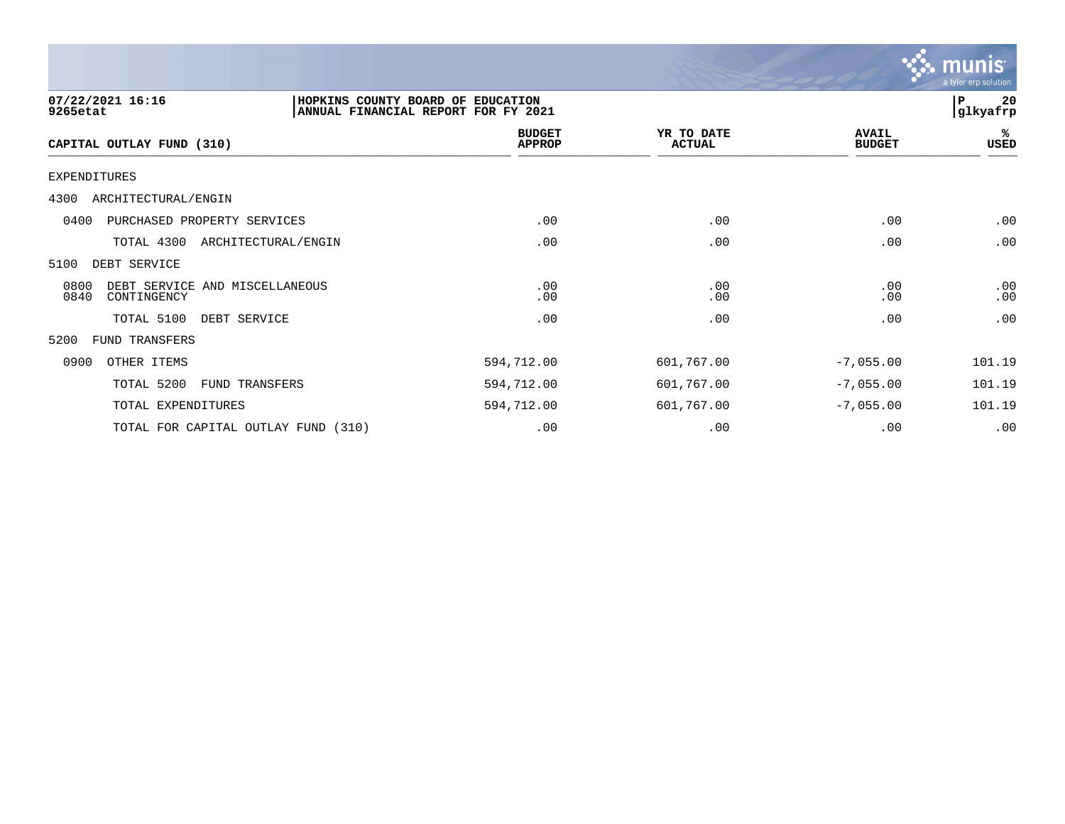

| 07/22/2021 16:16<br>9265etat                                  | HOPKINS COUNTY BOARD OF EDUCATION<br>ANNUAL FINANCIAL REPORT FOR FY 2021 |                                |                             |                               | 20<br>ΙP<br> glkyafrp |
|---------------------------------------------------------------|--------------------------------------------------------------------------|--------------------------------|-----------------------------|-------------------------------|-----------------------|
| CAPITAL OUTLAY FUND (310)                                     |                                                                          | <b>BUDGET</b><br><b>APPROP</b> | YR TO DATE<br><b>ACTUAL</b> | <b>AVAIL</b><br><b>BUDGET</b> | ℁<br>USED             |
| EXPENDITURES                                                  |                                                                          |                                |                             |                               |                       |
| 4300 ARCHITECTURAL/ENGIN                                      |                                                                          |                                |                             |                               |                       |
| 0400<br>PURCHASED PROPERTY SERVICES                           |                                                                          | .00                            | .00                         | .00                           | .00                   |
| TOTAL 4300                                                    | ARCHITECTURAL/ENGIN                                                      | .00                            | .00                         | .00                           | .00                   |
| 5100<br>DEBT SERVICE                                          |                                                                          |                                |                             |                               |                       |
| 0800<br>DEBT SERVICE AND MISCELLANEOUS<br>0840<br>CONTINGENCY |                                                                          | .00<br>.00                     | .00<br>.00                  | .00<br>.00                    | .00<br>.00            |
| TOTAL 5100<br>DEBT SERVICE                                    |                                                                          | .00                            | .00                         | .00                           | .00                   |
| 5200<br>FUND TRANSFERS                                        |                                                                          |                                |                             |                               |                       |
| 0900<br>OTHER ITEMS                                           |                                                                          | 594,712.00                     | 601,767.00                  | $-7,055.00$                   | 101.19                |
| TOTAL 5200<br>FUND TRANSFERS                                  |                                                                          | 594,712.00                     | 601,767.00                  | $-7,055.00$                   | 101.19                |
| TOTAL EXPENDITURES                                            |                                                                          | 594,712.00                     | 601,767.00                  | $-7,055.00$                   | 101.19                |
| TOTAL FOR CAPITAL OUTLAY FUND (310)                           |                                                                          | .00                            | .00                         | .00                           | .00                   |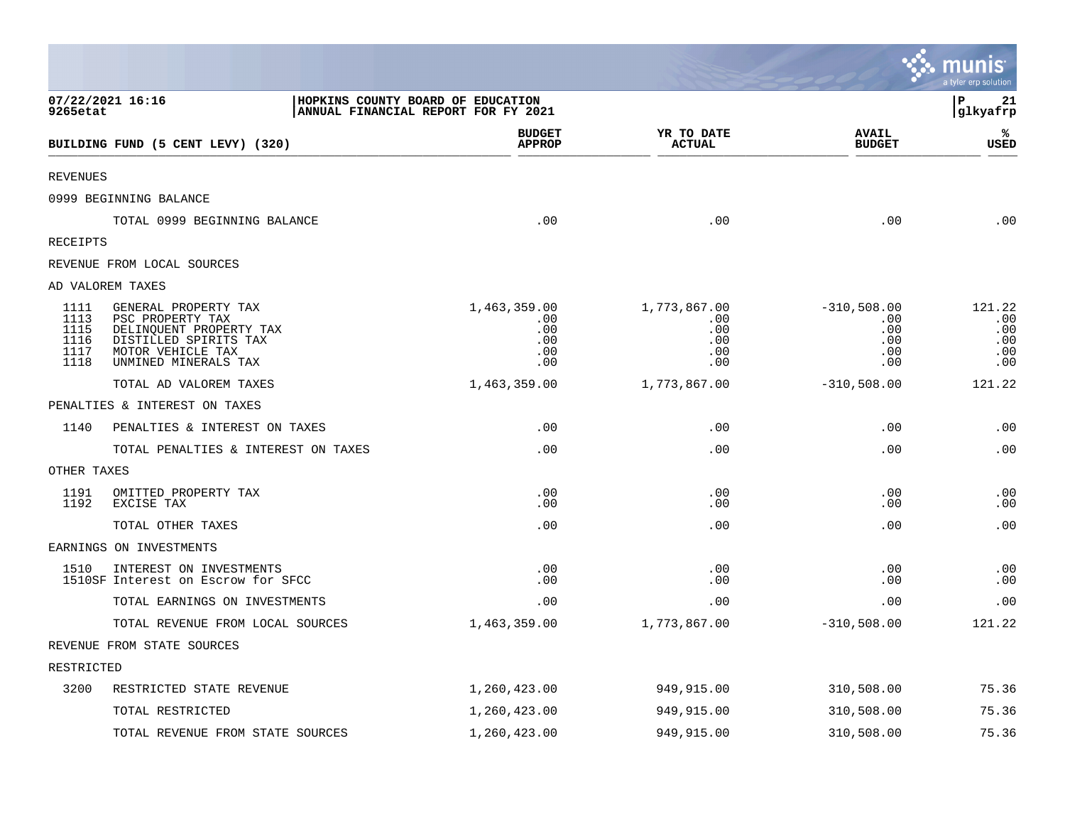|                                              |                                                                                                                                           |                                                                          |                                                 |                                                 |                                                  | munis<br>a tyler erp solution             |
|----------------------------------------------|-------------------------------------------------------------------------------------------------------------------------------------------|--------------------------------------------------------------------------|-------------------------------------------------|-------------------------------------------------|--------------------------------------------------|-------------------------------------------|
| 9265etat                                     | 07/22/2021 16:16                                                                                                                          | HOPKINS COUNTY BOARD OF EDUCATION<br>ANNUAL FINANCIAL REPORT FOR FY 2021 |                                                 |                                                 |                                                  | P<br>21<br>$ {\tt glkyafrp}\>$            |
|                                              | BUILDING FUND (5 CENT LEVY) (320)                                                                                                         |                                                                          | <b>BUDGET</b><br><b>APPROP</b>                  | YR TO DATE<br><b>ACTUAL</b>                     | <b>AVAIL</b><br><b>BUDGET</b>                    | ℁<br><b>USED</b>                          |
| <b>REVENUES</b>                              |                                                                                                                                           |                                                                          |                                                 |                                                 |                                                  |                                           |
|                                              | 0999 BEGINNING BALANCE                                                                                                                    |                                                                          |                                                 |                                                 |                                                  |                                           |
|                                              | TOTAL 0999 BEGINNING BALANCE                                                                                                              |                                                                          | .00                                             | .00                                             | .00                                              | .00                                       |
| RECEIPTS                                     |                                                                                                                                           |                                                                          |                                                 |                                                 |                                                  |                                           |
|                                              | REVENUE FROM LOCAL SOURCES                                                                                                                |                                                                          |                                                 |                                                 |                                                  |                                           |
|                                              | AD VALOREM TAXES                                                                                                                          |                                                                          |                                                 |                                                 |                                                  |                                           |
| 1111<br>1113<br>1115<br>1116<br>1117<br>1118 | GENERAL PROPERTY TAX<br>PSC PROPERTY TAX<br>DELINQUENT PROPERTY TAX<br>DISTILLED SPIRITS TAX<br>MOTOR VEHICLE TAX<br>UNMINED MINERALS TAX |                                                                          | 1,463,359.00<br>.00<br>.00<br>.00<br>.00<br>.00 | 1,773,867.00<br>.00<br>.00<br>.00<br>.00<br>.00 | $-310,508.00$<br>.00<br>.00<br>.00<br>.00<br>.00 | 121.22<br>.00<br>.00<br>.00<br>.00<br>.00 |
|                                              | TOTAL AD VALOREM TAXES                                                                                                                    |                                                                          | 1,463,359.00                                    | 1,773,867.00                                    | $-310,508.00$                                    | 121.22                                    |
|                                              | PENALTIES & INTEREST ON TAXES                                                                                                             |                                                                          |                                                 |                                                 |                                                  |                                           |
| 1140                                         | PENALTIES & INTEREST ON TAXES                                                                                                             |                                                                          | .00                                             | .00                                             | .00                                              | .00                                       |
|                                              | TOTAL PENALTIES & INTEREST ON TAXES                                                                                                       |                                                                          | .00                                             | .00                                             | .00                                              | .00                                       |
| OTHER TAXES                                  |                                                                                                                                           |                                                                          |                                                 |                                                 |                                                  |                                           |
| 1191<br>1192                                 | OMITTED PROPERTY TAX<br>EXCISE TAX                                                                                                        |                                                                          | .00<br>.00                                      | .00<br>.00                                      | .00<br>.00                                       | .00<br>.00                                |
|                                              | TOTAL OTHER TAXES                                                                                                                         |                                                                          | .00                                             | .00                                             | .00                                              | .00                                       |
|                                              | EARNINGS ON INVESTMENTS                                                                                                                   |                                                                          |                                                 |                                                 |                                                  |                                           |
| 1510                                         | INTEREST ON INVESTMENTS<br>1510SF Interest on Escrow for SFCC                                                                             |                                                                          | .00<br>.00                                      | .00<br>.00                                      | .00<br>.00                                       | .00<br>.00                                |
|                                              | TOTAL EARNINGS ON INVESTMENTS                                                                                                             |                                                                          | .00                                             | .00                                             | .00                                              | .00                                       |
|                                              | TOTAL REVENUE FROM LOCAL SOURCES                                                                                                          |                                                                          | 1,463,359.00                                    | 1,773,867.00                                    | $-310,508.00$                                    | 121.22                                    |
|                                              | REVENUE FROM STATE SOURCES                                                                                                                |                                                                          |                                                 |                                                 |                                                  |                                           |
| RESTRICTED                                   |                                                                                                                                           |                                                                          |                                                 |                                                 |                                                  |                                           |
| 3200                                         | RESTRICTED STATE REVENUE                                                                                                                  |                                                                          | 1,260,423.00                                    | 949,915.00                                      | 310,508.00                                       | 75.36                                     |
|                                              | TOTAL RESTRICTED                                                                                                                          |                                                                          | 1,260,423.00                                    | 949,915.00                                      | 310,508.00                                       | 75.36                                     |
|                                              | TOTAL REVENUE FROM STATE SOURCES                                                                                                          |                                                                          | 1,260,423.00                                    | 949,915.00                                      | 310,508.00                                       | 75.36                                     |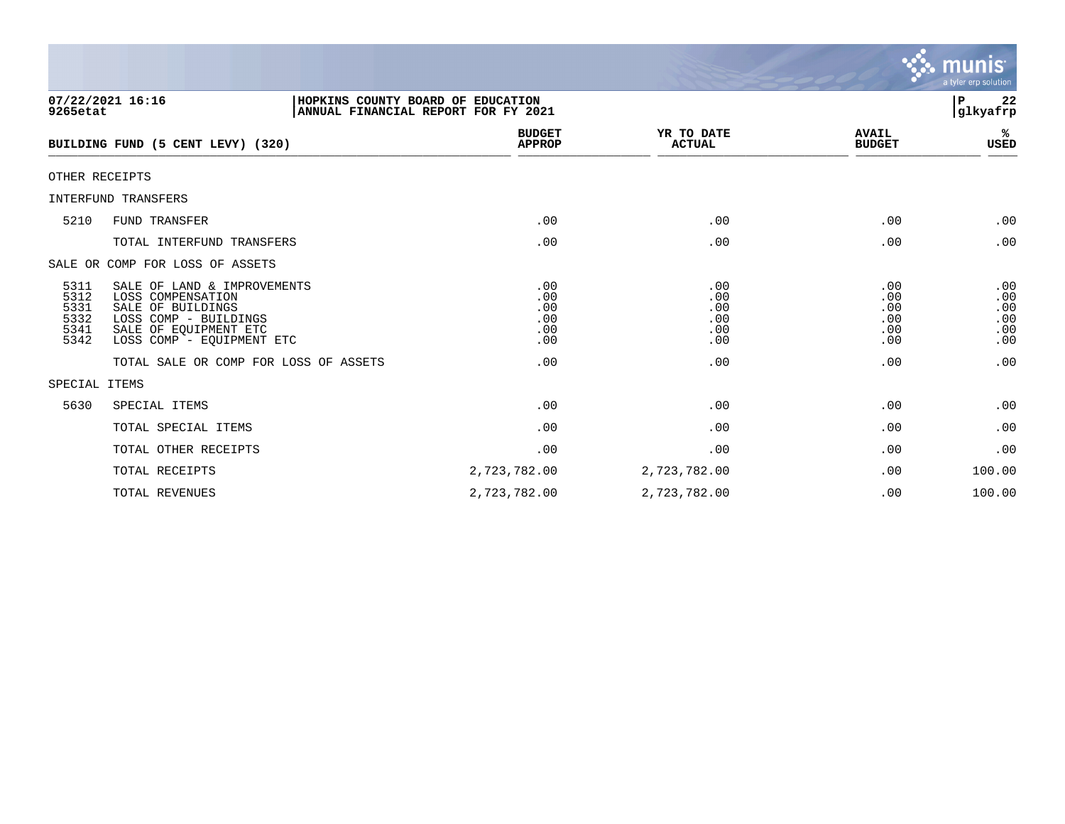

| 9265etat                                     | 07/22/2021 16:16<br>HOPKINS COUNTY BOARD OF EDUCATION                                                                                                | ANNUAL FINANCIAL REPORT FOR FY 2021    |                                        |                                        | 22<br>${\bf P}$<br>glkyafrp            |
|----------------------------------------------|------------------------------------------------------------------------------------------------------------------------------------------------------|----------------------------------------|----------------------------------------|----------------------------------------|----------------------------------------|
|                                              | BUILDING FUND (5 CENT LEVY) (320)                                                                                                                    | <b>BUDGET</b><br><b>APPROP</b>         | YR TO DATE<br><b>ACTUAL</b>            | <b>AVAIL</b><br><b>BUDGET</b>          | %ะ<br>USED                             |
| OTHER RECEIPTS                               |                                                                                                                                                      |                                        |                                        |                                        |                                        |
|                                              | INTERFUND TRANSFERS                                                                                                                                  |                                        |                                        |                                        |                                        |
| 5210                                         | FUND TRANSFER                                                                                                                                        | .00                                    | .00                                    | .00                                    | .00                                    |
|                                              | TOTAL INTERFUND TRANSFERS                                                                                                                            | .00                                    | .00                                    | .00                                    | .00                                    |
|                                              | SALE OR COMP FOR LOSS OF ASSETS                                                                                                                      |                                        |                                        |                                        |                                        |
| 5311<br>5312<br>5331<br>5332<br>5341<br>5342 | SALE OF LAND & IMPROVEMENTS<br>LOSS COMPENSATION<br>SALE OF BUILDINGS<br>LOSS COMP - BUILDINGS<br>SALE OF EOUIPMENT ETC<br>LOSS COMP - EQUIPMENT ETC | .00<br>.00<br>.00<br>.00<br>.00<br>.00 | .00<br>.00<br>.00<br>.00<br>.00<br>.00 | .00<br>.00<br>.00<br>.00<br>.00<br>.00 | .00<br>.00<br>.00<br>.00<br>.00<br>.00 |
|                                              | TOTAL SALE OR COMP FOR LOSS OF ASSETS                                                                                                                | .00                                    | .00                                    | .00                                    | .00                                    |
| SPECIAL ITEMS                                |                                                                                                                                                      |                                        |                                        |                                        |                                        |
| 5630                                         | SPECIAL ITEMS                                                                                                                                        | .00                                    | .00                                    | .00                                    | .00                                    |
|                                              | TOTAL SPECIAL ITEMS                                                                                                                                  | .00                                    | .00                                    | .00                                    | .00                                    |
|                                              | TOTAL OTHER RECEIPTS                                                                                                                                 | .00                                    | .00                                    | .00                                    | .00                                    |
|                                              | TOTAL RECEIPTS                                                                                                                                       | 2,723,782.00                           | 2,723,782.00                           | .00                                    | 100.00                                 |
|                                              | TOTAL REVENUES                                                                                                                                       | 2,723,782.00                           | 2,723,782.00                           | .00                                    | 100.00                                 |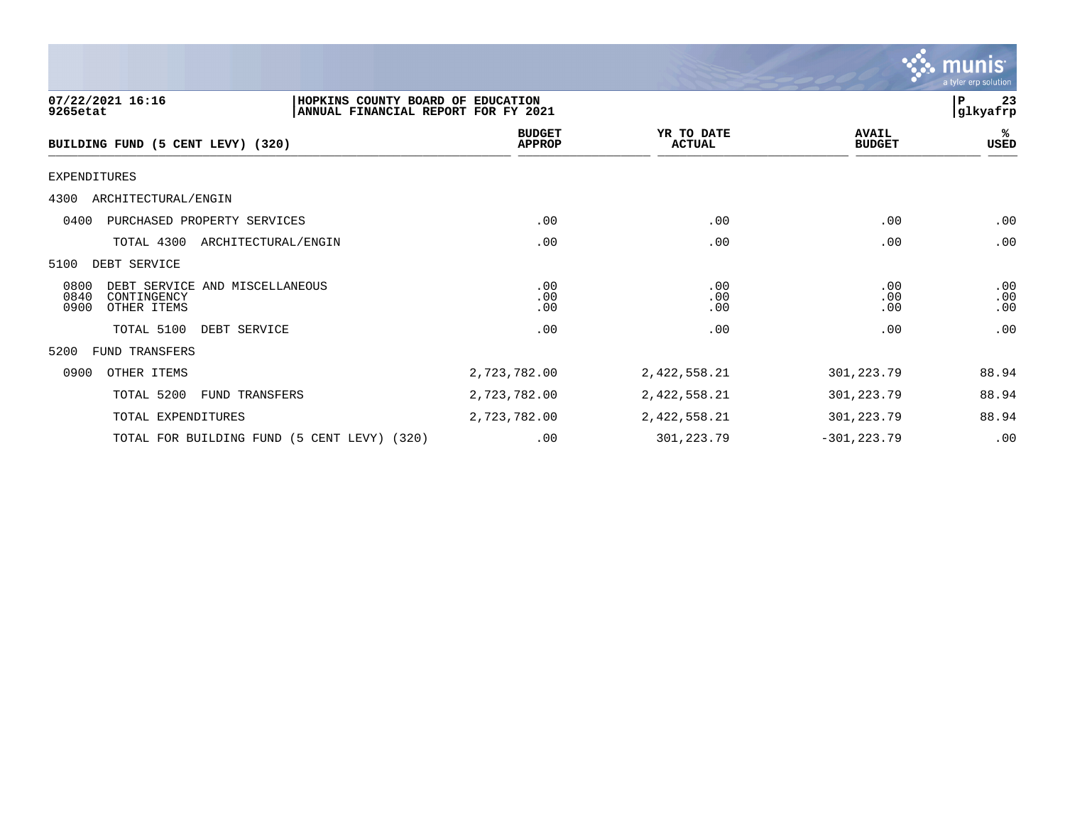

| 07/22/2021 16:16<br>HOPKINS COUNTY BOARD OF EDUCATION<br>9265etat                    | ANNUAL FINANCIAL REPORT FOR FY 2021 |                             |                               | 23<br>P<br> glkyafrp |
|--------------------------------------------------------------------------------------|-------------------------------------|-----------------------------|-------------------------------|----------------------|
| BUILDING FUND (5 CENT LEVY) (320)                                                    | <b>BUDGET</b><br><b>APPROP</b>      | YR TO DATE<br><b>ACTUAL</b> | <b>AVAIL</b><br><b>BUDGET</b> | %ร<br>USED           |
| <b>EXPENDITURES</b>                                                                  |                                     |                             |                               |                      |
| 4300<br>ARCHITECTURAL/ENGIN                                                          |                                     |                             |                               |                      |
| 0400<br>PURCHASED PROPERTY SERVICES                                                  | .00                                 | .00                         | .00                           | .00                  |
| TOTAL 4300<br>ARCHITECTURAL/ENGIN                                                    | .00                                 | .00                         | .00                           | .00                  |
| 5100<br>DEBT SERVICE                                                                 |                                     |                             |                               |                      |
| 0800<br>DEBT SERVICE AND MISCELLANEOUS<br>0840<br>CONTINGENCY<br>0900<br>OTHER ITEMS | .00<br>.00<br>.00                   | .00<br>.00<br>.00           | .00<br>.00<br>$.00 \,$        | .00<br>.00<br>.00    |
| TOTAL 5100<br>DEBT SERVICE                                                           | .00                                 | .00                         | .00                           | .00                  |
| 5200<br><b>FUND TRANSFERS</b>                                                        |                                     |                             |                               |                      |
| 0900<br>OTHER ITEMS                                                                  | 2,723,782.00                        | 2,422,558.21                | 301,223.79                    | 88.94                |
| TOTAL 5200<br><b>FUND TRANSFERS</b>                                                  | 2,723,782.00                        | 2,422,558.21                | 301,223.79                    | 88.94                |
| TOTAL EXPENDITURES                                                                   | 2,723,782.00                        | 2,422,558.21                | 301,223.79                    | 88.94                |
| TOTAL FOR BUILDING FUND (5 CENT LEVY) (320)                                          | .00                                 | 301,223.79                  | $-301, 223.79$                | .00                  |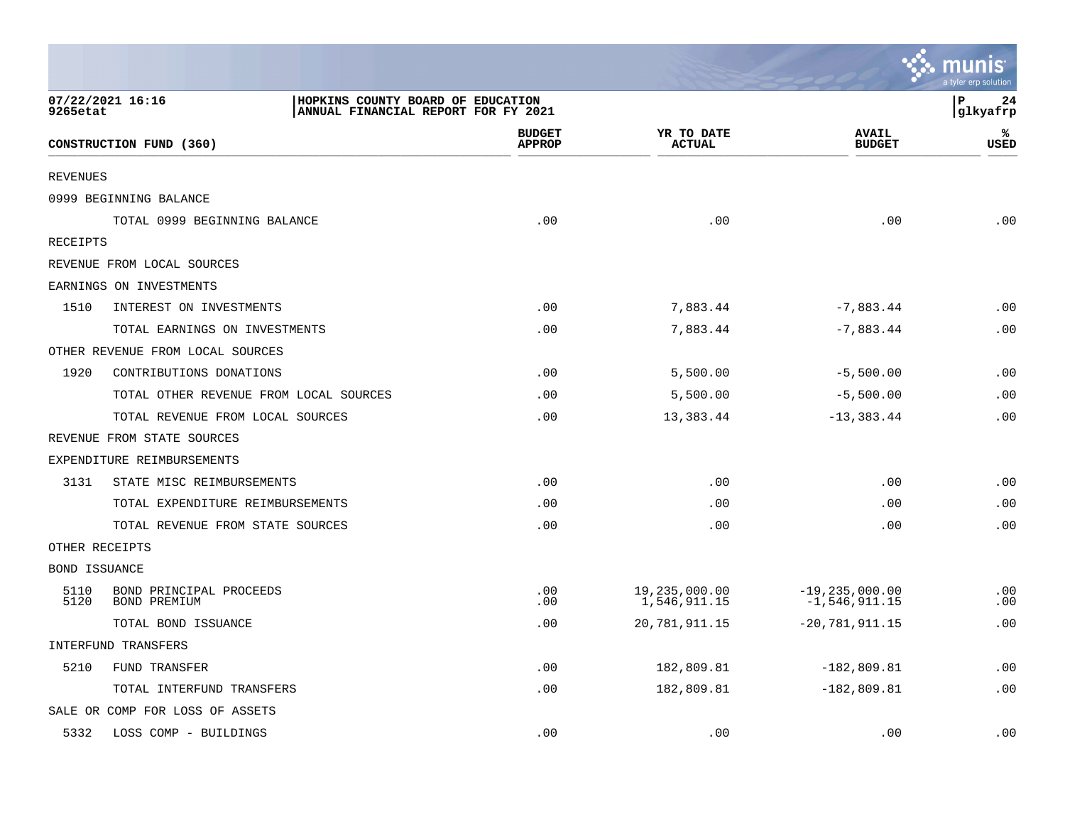|                 |                                                |                                                                          |                                |                               |                                       | munis<br>a tyler erp solution |
|-----------------|------------------------------------------------|--------------------------------------------------------------------------|--------------------------------|-------------------------------|---------------------------------------|-------------------------------|
| 9265etat        | 07/22/2021 16:16                               | HOPKINS COUNTY BOARD OF EDUCATION<br>ANNUAL FINANCIAL REPORT FOR FY 2021 |                                |                               |                                       | P<br>24<br>glkyafrp           |
|                 | CONSTRUCTION FUND (360)                        |                                                                          | <b>BUDGET</b><br><b>APPROP</b> | YR TO DATE<br><b>ACTUAL</b>   | <b>AVAIL</b><br><b>BUDGET</b>         | %<br>USED                     |
| <b>REVENUES</b> |                                                |                                                                          |                                |                               |                                       |                               |
|                 | 0999 BEGINNING BALANCE                         |                                                                          |                                |                               |                                       |                               |
|                 | TOTAL 0999 BEGINNING BALANCE                   |                                                                          | .00                            | .00                           | .00                                   | .00                           |
| <b>RECEIPTS</b> |                                                |                                                                          |                                |                               |                                       |                               |
|                 | REVENUE FROM LOCAL SOURCES                     |                                                                          |                                |                               |                                       |                               |
|                 | EARNINGS ON INVESTMENTS                        |                                                                          |                                |                               |                                       |                               |
| 1510            | INTEREST ON INVESTMENTS                        |                                                                          | .00                            | 7,883.44                      | $-7,883.44$                           | .00                           |
|                 | TOTAL EARNINGS ON INVESTMENTS                  |                                                                          | .00                            | 7,883.44                      | $-7,883.44$                           | .00                           |
|                 | OTHER REVENUE FROM LOCAL SOURCES               |                                                                          |                                |                               |                                       |                               |
| 1920            | CONTRIBUTIONS DONATIONS                        |                                                                          | .00                            | 5,500.00                      | $-5,500.00$                           | .00                           |
|                 | TOTAL OTHER REVENUE FROM LOCAL SOURCES         |                                                                          | .00                            | 5,500.00                      | $-5,500.00$                           | .00                           |
|                 | TOTAL REVENUE FROM LOCAL SOURCES               |                                                                          | .00                            | 13,383.44                     | $-13, 383.44$                         | .00                           |
|                 | REVENUE FROM STATE SOURCES                     |                                                                          |                                |                               |                                       |                               |
|                 | EXPENDITURE REIMBURSEMENTS                     |                                                                          |                                |                               |                                       |                               |
| 3131            | STATE MISC REIMBURSEMENTS                      |                                                                          | .00                            | .00                           | .00                                   | .00                           |
|                 | TOTAL EXPENDITURE REIMBURSEMENTS               |                                                                          | .00                            | .00                           | .00                                   | .00                           |
|                 | TOTAL REVENUE FROM STATE SOURCES               |                                                                          | .00                            | .00                           | .00                                   | .00                           |
| OTHER RECEIPTS  |                                                |                                                                          |                                |                               |                                       |                               |
| BOND ISSUANCE   |                                                |                                                                          |                                |                               |                                       |                               |
| 5110<br>5120    | BOND PRINCIPAL PROCEEDS<br><b>BOND PREMIUM</b> |                                                                          | .00<br>.00                     | 19,235,000.00<br>1,546,911.15 | $-19, 235, 000.00$<br>$-1,546,911.15$ | .00<br>.00                    |
|                 | TOTAL BOND ISSUANCE                            |                                                                          | .00                            | 20,781,911.15                 | $-20,781,911.15$                      | .00                           |
|                 | INTERFUND TRANSFERS                            |                                                                          |                                |                               |                                       |                               |
| 5210            | <b>FUND TRANSFER</b>                           |                                                                          | .00                            | 182,809.81                    | $-182,809.81$                         | .00                           |
|                 | TOTAL INTERFUND TRANSFERS                      |                                                                          | .00                            | 182,809.81                    | $-182, 809.81$                        | .00                           |
|                 | SALE OR COMP FOR LOSS OF ASSETS                |                                                                          |                                |                               |                                       |                               |
| 5332            | LOSS COMP - BUILDINGS                          |                                                                          | .00                            | .00                           | .00                                   | .00                           |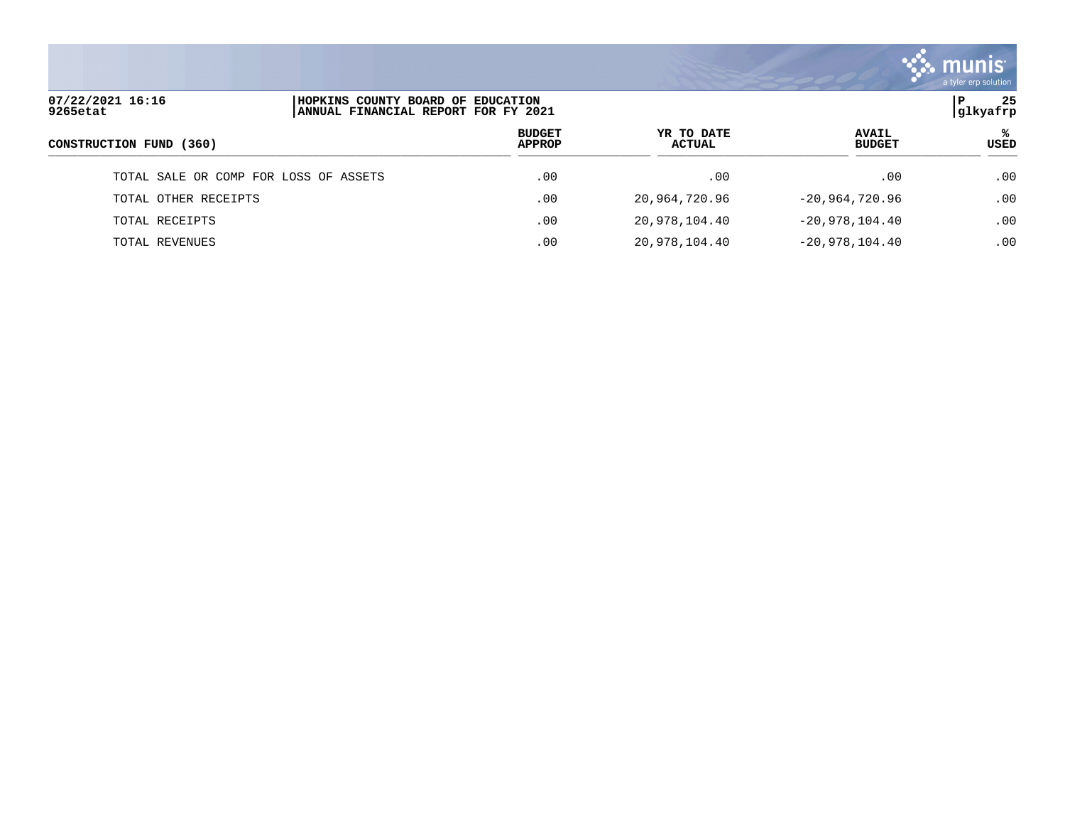

| 07/22/2021 16:16<br>9265etat          | HOPKINS COUNTY BOARD OF EDUCATION<br>ANNUAL FINANCIAL REPORT FOR FY 2021 |                                |                      |                               | -25<br>P<br>glkyafrp |
|---------------------------------------|--------------------------------------------------------------------------|--------------------------------|----------------------|-------------------------------|----------------------|
| CONSTRUCTION FUND (360)               |                                                                          | <b>BUDGET</b><br><b>APPROP</b> | YR TO DATE<br>ACTUAL | <b>AVAIL</b><br><b>BUDGET</b> | ℁<br><b>USED</b>     |
| TOTAL SALE OR COMP FOR LOSS OF ASSETS |                                                                          | .00                            | .00                  | .00                           | .00                  |
| TOTAL OTHER RECEIPTS                  |                                                                          | .00                            | 20,964,720.96        | $-20,964,720.96$              | .00                  |
| TOTAL RECEIPTS                        |                                                                          | .00                            | 20,978,104.40        | $-20,978,104.40$              | .00                  |
| TOTAL REVENUES                        |                                                                          | .00                            | 20,978,104.40        | $-20,978,104.40$              | .00                  |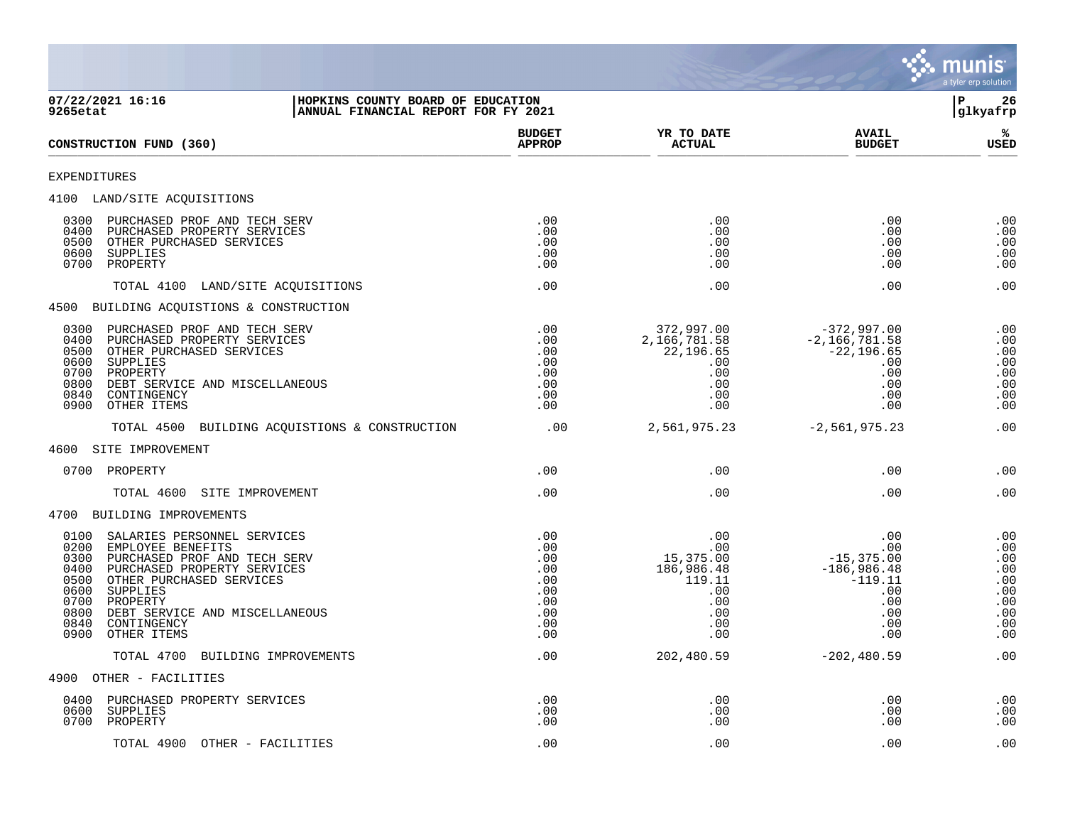

| 07/22/2021 16:16<br>HOPKINS COUNTY BOARD OF EDUCATION<br>ANNUAL FINANCIAL REPORT FOR FY 2021<br>9265etat                                                                                                                                                                                                            |                                                                    |                                                                                    |                                                                                              | l P<br>26<br>glkyafrp                                                  |
|---------------------------------------------------------------------------------------------------------------------------------------------------------------------------------------------------------------------------------------------------------------------------------------------------------------------|--------------------------------------------------------------------|------------------------------------------------------------------------------------|----------------------------------------------------------------------------------------------|------------------------------------------------------------------------|
| CONSTRUCTION FUND (360)                                                                                                                                                                                                                                                                                             | <b>BUDGET</b><br><b>APPROP</b>                                     | YR TO DATE<br><b>ACTUAL</b>                                                        | <b>AVAIL</b><br><b>BUDGET</b>                                                                | ℁<br>USED                                                              |
| <b>EXPENDITURES</b>                                                                                                                                                                                                                                                                                                 |                                                                    |                                                                                    |                                                                                              |                                                                        |
| 4100 LAND/SITE ACQUISITIONS                                                                                                                                                                                                                                                                                         |                                                                    |                                                                                    |                                                                                              |                                                                        |
| 0300<br>PURCHASED PROF AND TECH SERV<br>0400<br>PURCHASED PROPERTY SERVICES<br>0500<br>OTHER PURCHASED SERVICES<br>0600<br>SUPPLIES<br>0700<br>PROPERTY                                                                                                                                                             | .00<br>.00<br>.00<br>.00<br>.00                                    | .00<br>.00<br>.00<br>.00<br>.00                                                    | .00<br>.00<br>.00<br>.00<br>.00                                                              | .00<br>.00<br>.00<br>.00<br>.00                                        |
| TOTAL 4100 LAND/SITE ACQUISITIONS                                                                                                                                                                                                                                                                                   | .00                                                                | .00                                                                                | .00                                                                                          | .00                                                                    |
| 4500 BUILDING ACQUISTIONS & CONSTRUCTION                                                                                                                                                                                                                                                                            |                                                                    |                                                                                    |                                                                                              |                                                                        |
| 0300<br>PURCHASED PROF AND TECH SERV<br>0400<br>PURCHASED PROPERTY SERVICES<br>0500<br>OTHER PURCHASED SERVICES<br>0600<br>SUPPLIES<br>0700<br>PROPERTY<br>0800<br>DEBT SERVICE AND MISCELLANEOUS<br>0840<br>CONTINGENCY<br>0900<br>OTHER ITEMS                                                                     | .00<br>.00<br>.00<br>.00<br>.00<br>.00<br>.00<br>.00               | 372,997.00<br>2,166,781.58<br>22, 196.65<br>.00<br>$.00 \,$<br>.00<br>.00<br>.00   | -372,997.00<br>$-2,166,781.58$<br>$-22,196.65$<br>.00<br>.00<br>.00<br>.00<br>.00            | .00<br>.00<br>.00<br>.00<br>.00<br>.00<br>.00<br>.00                   |
| TOTAL 4500 BUILDING ACQUISTIONS & CONSTRUCTION                                                                                                                                                                                                                                                                      | .00                                                                | 2,561,975.23                                                                       | $-2,561,975.23$                                                                              | .00                                                                    |
| 4600 SITE IMPROVEMENT                                                                                                                                                                                                                                                                                               |                                                                    |                                                                                    |                                                                                              |                                                                        |
| 0700 PROPERTY                                                                                                                                                                                                                                                                                                       | .00                                                                | .00                                                                                | .00                                                                                          | .00                                                                    |
| TOTAL 4600<br>SITE IMPROVEMENT                                                                                                                                                                                                                                                                                      | .00                                                                | .00                                                                                | .00                                                                                          | .00                                                                    |
| 4700 BUILDING IMPROVEMENTS                                                                                                                                                                                                                                                                                          |                                                                    |                                                                                    |                                                                                              |                                                                        |
| 0100<br>SALARIES PERSONNEL SERVICES<br>0200<br>EMPLOYEE BENEFITS<br>0300<br>PURCHASED PROF AND TECH SERV<br>0400<br>PURCHASED PROPERTY SERVICES<br>0500<br>OTHER PURCHASED SERVICES<br>0600<br>SUPPLIES<br>0700<br>PROPERTY<br>0800<br>DEBT SERVICE AND MISCELLANEOUS<br>0840<br>CONTINGENCY<br>0900<br>OTHER ITEMS | .00<br>.00<br>.00<br>.00<br>.00<br>.00<br>.00<br>.00<br>.00<br>.00 | .00<br>.00<br>15,375.00<br>186,986.48<br>119.11<br>.00<br>.00<br>.00<br>.00<br>.00 | .00<br>.00<br>$-15, 375.00$<br>$-186,986.48$<br>$-119.11$<br>.00<br>.00<br>.00<br>.00<br>.00 | .00<br>.00<br>.00<br>.00<br>$.00$<br>$.00$<br>.00<br>.00<br>.00<br>.00 |
| BUILDING IMPROVEMENTS<br>TOTAL 4700                                                                                                                                                                                                                                                                                 | .00                                                                | 202,480.59                                                                         | $-202, 480.59$                                                                               | .00                                                                    |
| 4900 OTHER - FACILITIES                                                                                                                                                                                                                                                                                             |                                                                    |                                                                                    |                                                                                              |                                                                        |
| 0400<br>PURCHASED PROPERTY SERVICES<br>0600<br>SUPPLIES<br>0700<br>PROPERTY                                                                                                                                                                                                                                         | .00<br>.00<br>.00                                                  | .00<br>.00<br>.00                                                                  | .00<br>.00<br>.00                                                                            | .00<br>.00<br>.00                                                      |
| TOTAL 4900 OTHER - FACILITIES                                                                                                                                                                                                                                                                                       | .00                                                                | .00                                                                                | .00                                                                                          | .00                                                                    |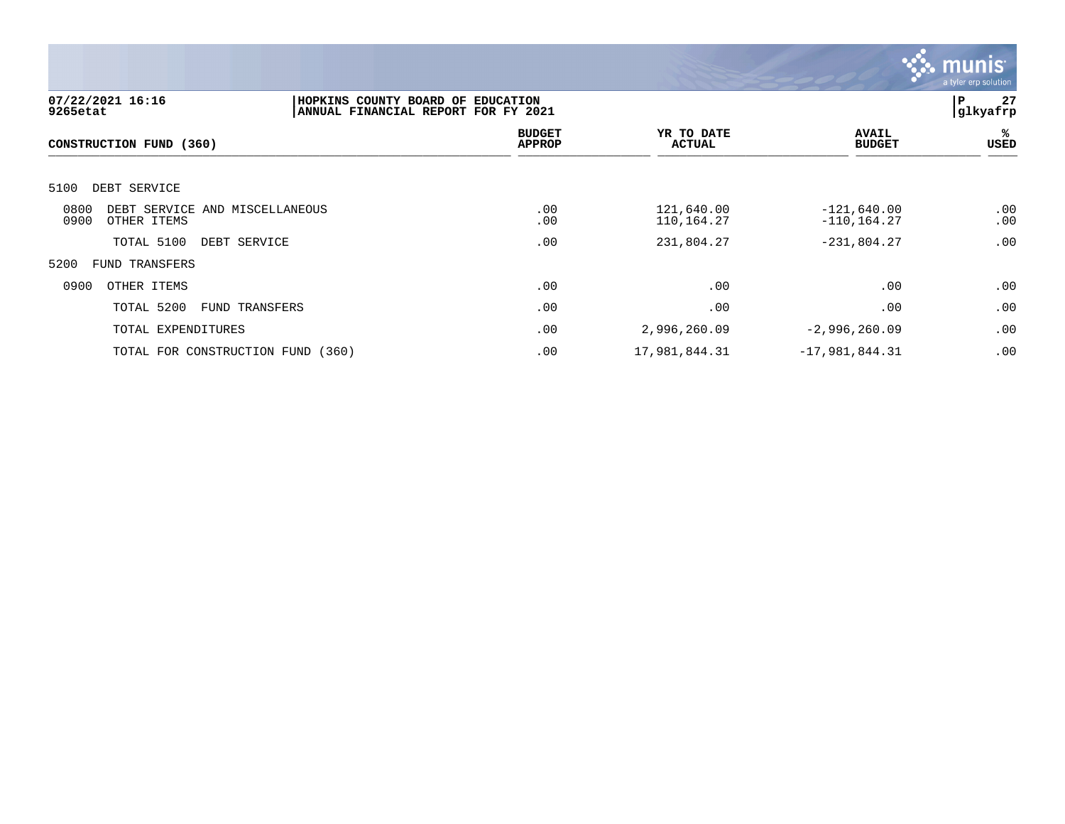

| 07/22/2021 16:16<br>9265etat                                  | HOPKINS COUNTY BOARD OF EDUCATION<br>ANNUAL FINANCIAL REPORT FOR FY 2021 |                                |                          |                                 | 27<br>l P<br> glkyafrp |
|---------------------------------------------------------------|--------------------------------------------------------------------------|--------------------------------|--------------------------|---------------------------------|------------------------|
| CONSTRUCTION FUND (360)                                       |                                                                          | <b>BUDGET</b><br><b>APPROP</b> | YR TO DATE<br>ACTUAL     | <b>AVAIL</b><br><b>BUDGET</b>   | ℁<br>USED              |
| 5100<br>DEBT SERVICE                                          |                                                                          |                                |                          |                                 |                        |
| 0800<br>DEBT SERVICE AND MISCELLANEOUS<br>0900<br>OTHER ITEMS |                                                                          | .00<br>.00                     | 121,640.00<br>110,164.27 | $-121,640.00$<br>$-110, 164.27$ | .00<br>.00             |
| TOTAL 5100                                                    | DEBT SERVICE                                                             | .00                            | 231,804.27               | $-231,804.27$                   | .00                    |
| 5200<br><b>FUND TRANSFERS</b>                                 |                                                                          |                                |                          |                                 |                        |
| 0900<br>OTHER ITEMS                                           |                                                                          | .00                            | .00                      | .00                             | .00                    |
| TOTAL 5200                                                    | <b>FUND TRANSFERS</b>                                                    | .00                            | .00                      | .00                             | .00                    |
| TOTAL EXPENDITURES                                            |                                                                          | .00                            | 2,996,260.09             | $-2,996,260.09$                 | .00                    |
| TOTAL FOR CONSTRUCTION FUND (360)                             |                                                                          | .00                            | 17,981,844.31            | $-17,981,844.31$                | .00                    |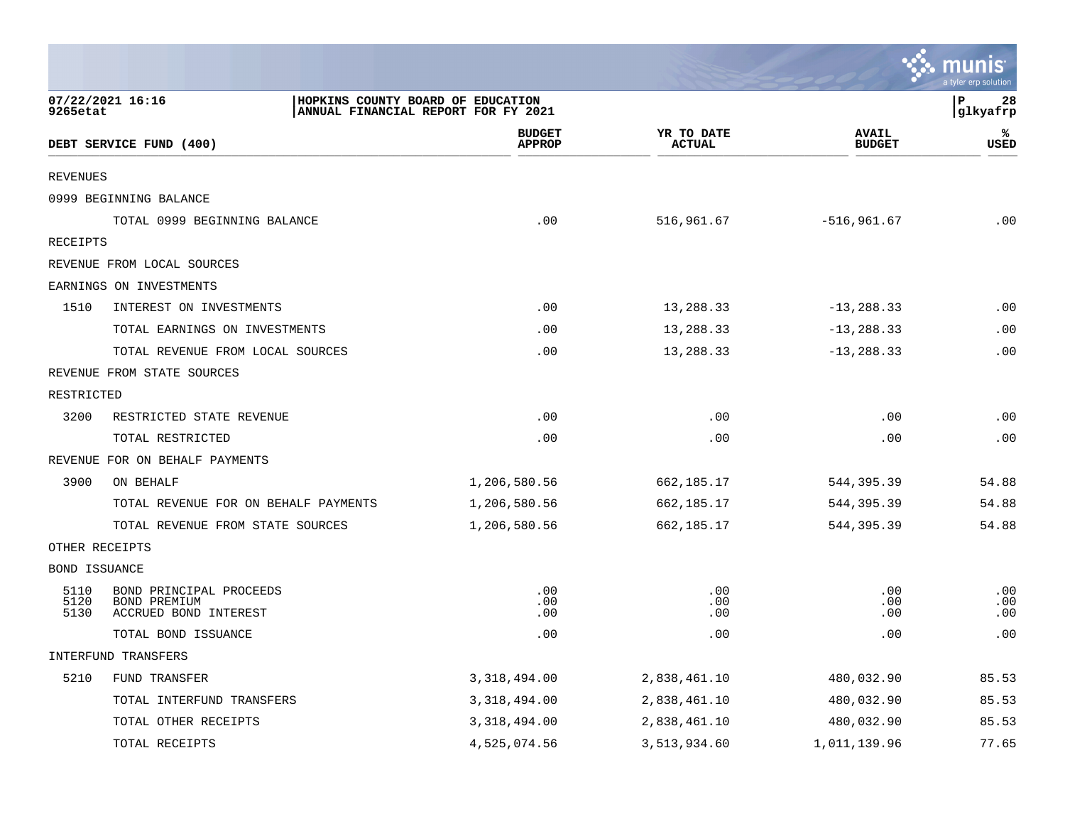|                      |                                                                  |                                                                          |                             |                               | a tyler erp solution           |
|----------------------|------------------------------------------------------------------|--------------------------------------------------------------------------|-----------------------------|-------------------------------|--------------------------------|
| 9265etat             | 07/22/2021 16:16                                                 | HOPKINS COUNTY BOARD OF EDUCATION<br>ANNUAL FINANCIAL REPORT FOR FY 2021 |                             |                               | $\mathbf P$<br>28<br> glkyafrp |
|                      | DEBT SERVICE FUND (400)                                          | <b>BUDGET</b><br><b>APPROP</b>                                           | YR TO DATE<br><b>ACTUAL</b> | <b>AVAIL</b><br><b>BUDGET</b> | ℁<br><b>USED</b>               |
| <b>REVENUES</b>      |                                                                  |                                                                          |                             |                               |                                |
|                      | 0999 BEGINNING BALANCE                                           |                                                                          |                             |                               |                                |
|                      | TOTAL 0999 BEGINNING BALANCE                                     | .00                                                                      | 516,961.67                  | $-516,961.67$                 | .00                            |
| RECEIPTS             |                                                                  |                                                                          |                             |                               |                                |
|                      | REVENUE FROM LOCAL SOURCES                                       |                                                                          |                             |                               |                                |
|                      | EARNINGS ON INVESTMENTS                                          |                                                                          |                             |                               |                                |
| 1510                 | INTEREST ON INVESTMENTS                                          | .00                                                                      | 13,288.33                   | $-13, 288.33$                 | .00                            |
|                      | TOTAL EARNINGS ON INVESTMENTS                                    | .00                                                                      | 13,288.33                   | $-13, 288.33$                 | .00                            |
|                      | TOTAL REVENUE FROM LOCAL SOURCES                                 | .00                                                                      | 13,288.33                   | $-13, 288.33$                 | .00                            |
|                      | REVENUE FROM STATE SOURCES                                       |                                                                          |                             |                               |                                |
| RESTRICTED           |                                                                  |                                                                          |                             |                               |                                |
| 3200                 | RESTRICTED STATE REVENUE                                         | .00                                                                      | .00                         | .00                           | .00                            |
|                      | TOTAL RESTRICTED                                                 | .00                                                                      | .00                         | .00                           | .00                            |
|                      | REVENUE FOR ON BEHALF PAYMENTS                                   |                                                                          |                             |                               |                                |
| 3900                 | ON BEHALF                                                        | 1,206,580.56                                                             | 662, 185. 17                | 544,395.39                    | 54.88                          |
|                      | TOTAL REVENUE FOR ON BEHALF PAYMENTS                             | 1,206,580.56                                                             | 662, 185. 17                | 544,395.39                    | 54.88                          |
|                      | TOTAL REVENUE FROM STATE SOURCES                                 | 1,206,580.56                                                             | 662,185.17                  | 544,395.39                    | 54.88                          |
|                      | OTHER RECEIPTS                                                   |                                                                          |                             |                               |                                |
| BOND ISSUANCE        |                                                                  |                                                                          |                             |                               |                                |
| 5110<br>5120<br>5130 | BOND PRINCIPAL PROCEEDS<br>BOND PREMIUM<br>ACCRUED BOND INTEREST | .00<br>.00<br>.00                                                        | .00<br>.00<br>.00           | .00<br>.00<br>.00             | .00<br>.00<br>.00              |
|                      | TOTAL BOND ISSUANCE                                              | .00                                                                      | .00                         | .00                           | .00                            |
|                      | INTERFUND TRANSFERS                                              |                                                                          |                             |                               |                                |
| 5210                 | FUND TRANSFER                                                    | 3, 318, 494.00                                                           | 2,838,461.10                | 480,032.90                    | 85.53                          |
|                      | TOTAL INTERFUND TRANSFERS                                        | 3, 318, 494.00                                                           | 2,838,461.10                | 480,032.90                    | 85.53                          |
|                      | TOTAL OTHER RECEIPTS                                             | 3, 318, 494.00                                                           | 2,838,461.10                | 480,032.90                    | 85.53                          |
|                      | TOTAL RECEIPTS                                                   | 4,525,074.56                                                             | 3,513,934.60                | 1,011,139.96                  | 77.65                          |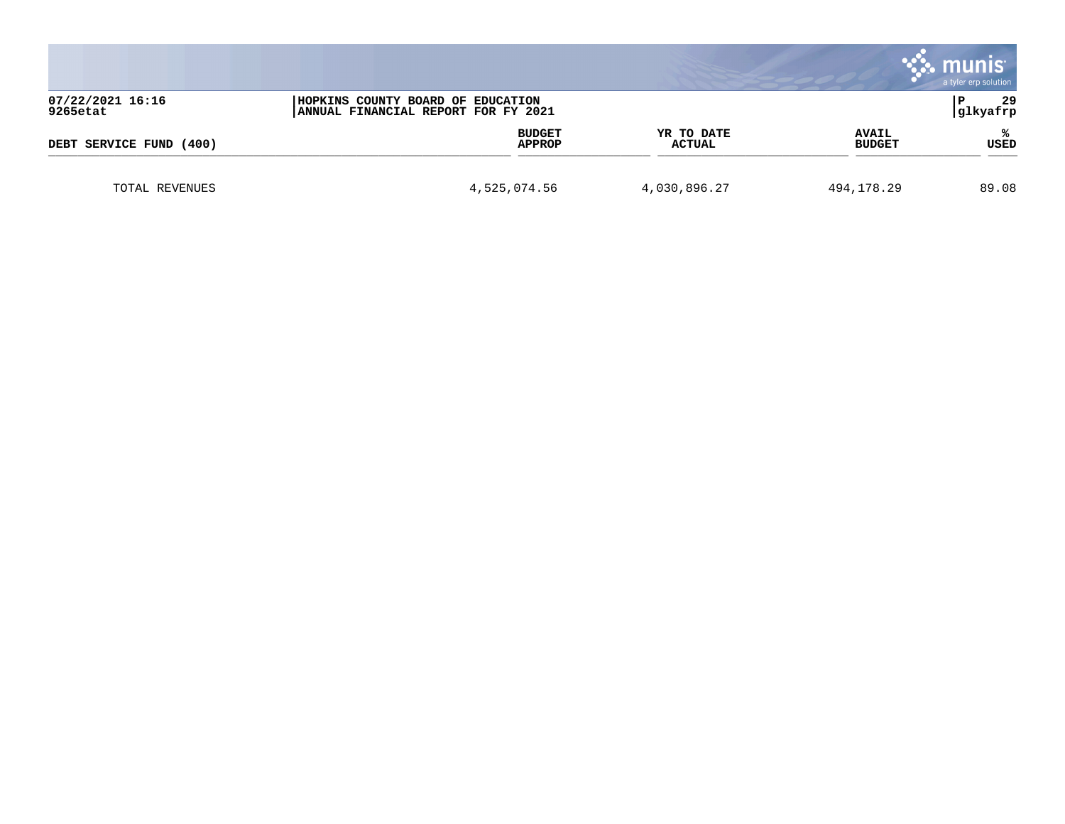|                              |                                                                          |                             |                               | munis<br>a tyler erp solution |
|------------------------------|--------------------------------------------------------------------------|-----------------------------|-------------------------------|-------------------------------|
| 07/22/2021 16:16<br>9265etat | HOPKINS COUNTY BOARD OF EDUCATION<br>ANNUAL FINANCIAL REPORT FOR FY 2021 |                             |                               | -29<br> glkyafrp              |
| DEBT SERVICE FUND (400)      | <b>BUDGET</b><br><b>APPROP</b>                                           | YR TO DATE<br><b>ACTUAL</b> | <b>AVAIL</b><br><b>BUDGET</b> | ℁<br>USED                     |
| TOTAL REVENUES               | 4,525,074.56                                                             | 4,030,896.27                | 494, 178. 29                  | 89.08                         |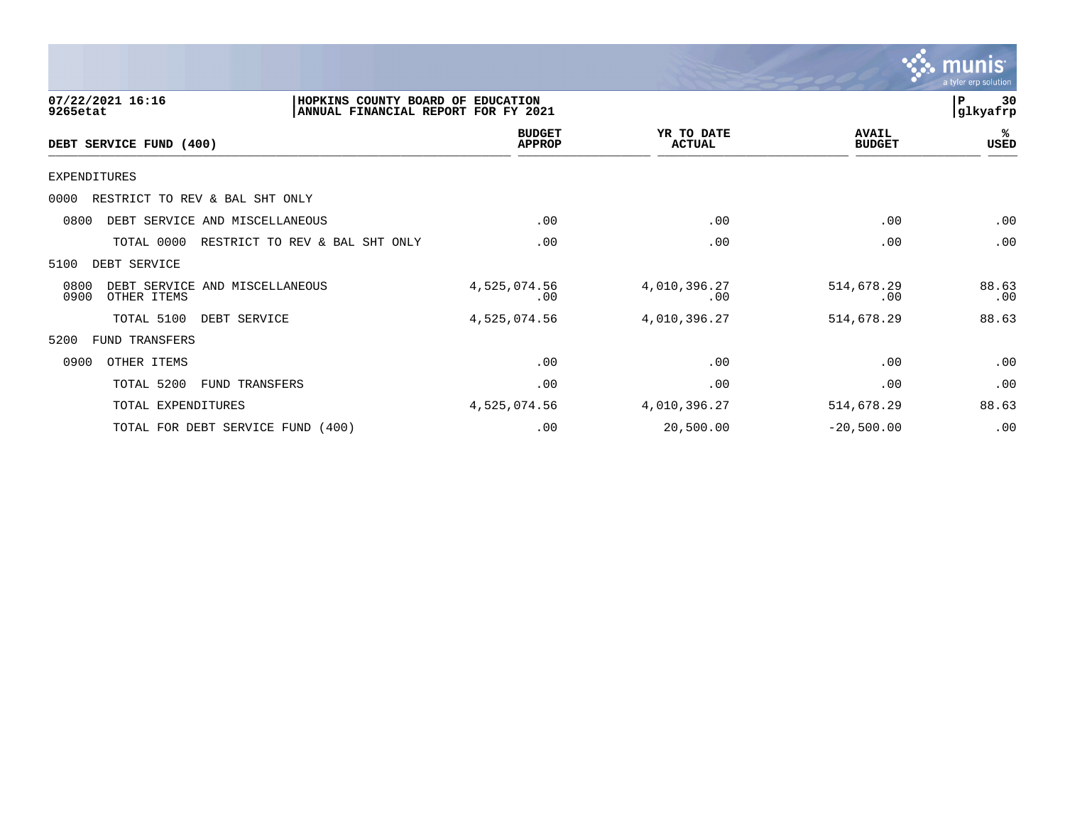

| 07/22/2021 16:16<br>9265etat                                  | HOPKINS COUNTY BOARD OF EDUCATION<br>ANNUAL FINANCIAL REPORT FOR FY 2021 |                                |                             |                               | P<br>30<br> glkyafrp |
|---------------------------------------------------------------|--------------------------------------------------------------------------|--------------------------------|-----------------------------|-------------------------------|----------------------|
| DEBT SERVICE FUND (400)                                       |                                                                          | <b>BUDGET</b><br><b>APPROP</b> | YR TO DATE<br><b>ACTUAL</b> | <b>AVAIL</b><br><b>BUDGET</b> | %ะ<br>USED           |
| <b>EXPENDITURES</b>                                           |                                                                          |                                |                             |                               |                      |
| 0000<br>RESTRICT TO REV & BAL SHT ONLY                        |                                                                          |                                |                             |                               |                      |
| 0800<br>DEBT SERVICE AND MISCELLANEOUS                        |                                                                          | .00                            | .00                         | .00                           | .00                  |
| TOTAL 0000                                                    | RESTRICT TO REV & BAL SHT ONLY                                           | .00                            | .00                         | .00                           | .00                  |
| 5100<br>DEBT SERVICE                                          |                                                                          |                                |                             |                               |                      |
| 0800<br>DEBT SERVICE AND MISCELLANEOUS<br>0900<br>OTHER ITEMS |                                                                          | 4,525,074.56<br>$.00 \ \rm$    | 4,010,396.27<br>.00         | 514,678.29<br>.00             | 88.63<br>.00         |
| TOTAL 5100                                                    | DEBT SERVICE                                                             | 4,525,074.56                   | 4,010,396.27                | 514,678.29                    | 88.63                |
| 5200<br>FUND TRANSFERS                                        |                                                                          |                                |                             |                               |                      |
| 0900<br>OTHER ITEMS                                           |                                                                          | .00                            | .00                         | .00                           | .00                  |
| TOTAL 5200                                                    | FUND TRANSFERS                                                           | .00                            | .00                         | .00                           | .00                  |
| TOTAL EXPENDITURES                                            |                                                                          | 4,525,074.56                   | 4,010,396.27                | 514,678.29                    | 88.63                |
| TOTAL FOR DEBT SERVICE FUND (400)                             |                                                                          | .00                            | 20,500.00                   | $-20,500.00$                  | .00                  |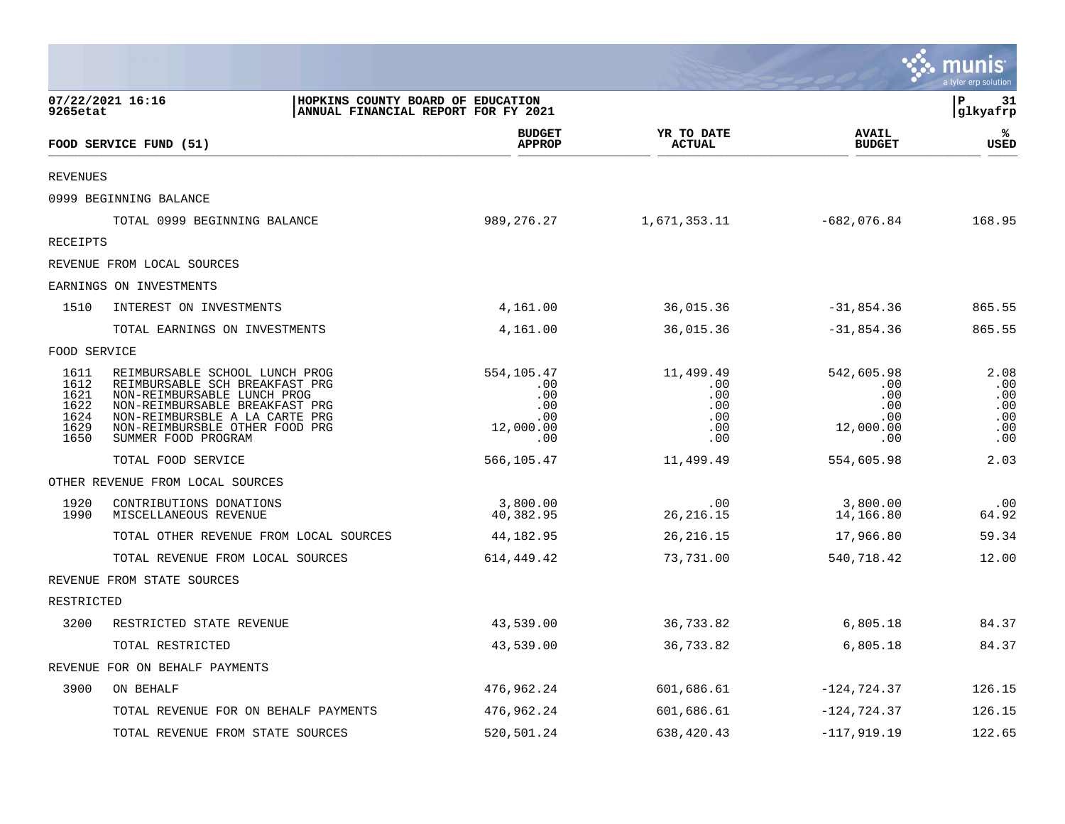|                                                      |                                                                                                                                                                                                                              |                                                             |                                                     |                                                            | munis<br>a tyler erp solution                  |
|------------------------------------------------------|------------------------------------------------------------------------------------------------------------------------------------------------------------------------------------------------------------------------------|-------------------------------------------------------------|-----------------------------------------------------|------------------------------------------------------------|------------------------------------------------|
| 9265etat                                             | 07/22/2021 16:16<br>HOPKINS COUNTY BOARD OF EDUCATION<br>ANNUAL FINANCIAL REPORT FOR FY 2021                                                                                                                                 |                                                             |                                                     |                                                            | 31<br>∣P<br>$ g$ lkyafr $\bar{\rm p}$          |
|                                                      | FOOD SERVICE FUND (51)                                                                                                                                                                                                       | <b>BUDGET</b><br><b>APPROP</b>                              | YR TO DATE<br><b>ACTUAL</b>                         | <b>AVAIL</b><br><b>BUDGET</b>                              | ℁<br><b>USED</b>                               |
| REVENUES                                             |                                                                                                                                                                                                                              |                                                             |                                                     |                                                            |                                                |
|                                                      | 0999 BEGINNING BALANCE                                                                                                                                                                                                       |                                                             |                                                     |                                                            |                                                |
|                                                      | TOTAL 0999 BEGINNING BALANCE                                                                                                                                                                                                 | 989, 276. 27                                                | 1,671,353.11                                        | $-682,076.84$                                              | 168.95                                         |
| <b>RECEIPTS</b>                                      |                                                                                                                                                                                                                              |                                                             |                                                     |                                                            |                                                |
|                                                      | REVENUE FROM LOCAL SOURCES                                                                                                                                                                                                   |                                                             |                                                     |                                                            |                                                |
|                                                      | EARNINGS ON INVESTMENTS                                                                                                                                                                                                      |                                                             |                                                     |                                                            |                                                |
| 1510                                                 | INTEREST ON INVESTMENTS                                                                                                                                                                                                      | 4,161.00                                                    | 36,015.36                                           | $-31,854.36$                                               | 865.55                                         |
|                                                      | TOTAL EARNINGS ON INVESTMENTS                                                                                                                                                                                                | 4,161.00                                                    | 36,015.36                                           | $-31,854.36$                                               | 865.55                                         |
| FOOD SERVICE                                         |                                                                                                                                                                                                                              |                                                             |                                                     |                                                            |                                                |
| 1611<br>1612<br>1621<br>1622<br>1624<br>1629<br>1650 | REIMBURSABLE SCHOOL LUNCH PROG<br>REIMBURSABLE SCH BREAKFAST PRG<br>NON-REIMBURSABLE LUNCH PROG<br>NON-REIMBURSABLE BREAKFAST PRG<br>NON-REIMBURSBLE A LA CARTE PRG<br>NON-REIMBURSBLE OTHER FOOD PRG<br>SUMMER FOOD PROGRAM | 554, 105.47<br>.00<br>.00<br>.00<br>.00<br>12,000.00<br>.00 | 11,499.49<br>.00<br>.00<br>.00<br>.00<br>.00<br>.00 | 542,605.98<br>.00<br>.00<br>.00<br>.00<br>12,000.00<br>.00 | 2.08<br>.00<br>.00<br>.00<br>.00<br>.00<br>.00 |
|                                                      | TOTAL FOOD SERVICE                                                                                                                                                                                                           | 566,105.47                                                  | 11,499.49                                           | 554,605.98                                                 | 2.03                                           |
|                                                      | OTHER REVENUE FROM LOCAL SOURCES                                                                                                                                                                                             |                                                             |                                                     |                                                            |                                                |
| 1920<br>1990                                         | CONTRIBUTIONS DONATIONS<br>MISCELLANEOUS REVENUE                                                                                                                                                                             | 3,800.00<br>40,382.95                                       | .00<br>26, 216. 15                                  | 3,800.00<br>14,166.80                                      | .00<br>64.92                                   |
|                                                      | TOTAL OTHER REVENUE FROM LOCAL SOURCES                                                                                                                                                                                       | 44,182.95                                                   | 26, 216. 15                                         | 17,966.80                                                  | 59.34                                          |
|                                                      | TOTAL REVENUE FROM LOCAL SOURCES                                                                                                                                                                                             | 614, 449. 42                                                | 73,731.00                                           | 540,718.42                                                 | 12.00                                          |
|                                                      | REVENUE FROM STATE SOURCES                                                                                                                                                                                                   |                                                             |                                                     |                                                            |                                                |
| RESTRICTED                                           |                                                                                                                                                                                                                              |                                                             |                                                     |                                                            |                                                |
| 3200                                                 | RESTRICTED STATE REVENUE                                                                                                                                                                                                     | 43,539.00                                                   | 36,733.82                                           | 6,805.18                                                   | 84.37                                          |
|                                                      | TOTAL RESTRICTED                                                                                                                                                                                                             | 43,539.00                                                   | 36,733.82                                           | 6,805.18                                                   | 84.37                                          |
|                                                      | REVENUE FOR ON BEHALF PAYMENTS                                                                                                                                                                                               |                                                             |                                                     |                                                            |                                                |
| 3900                                                 | ON BEHALF                                                                                                                                                                                                                    | 476,962.24                                                  | 601,686.61                                          | $-124, 724.37$                                             | 126.15                                         |
|                                                      | TOTAL REVENUE FOR ON BEHALF PAYMENTS                                                                                                                                                                                         | 476,962.24                                                  | 601,686.61                                          | $-124, 724.37$                                             | 126.15                                         |
|                                                      | TOTAL REVENUE FROM STATE SOURCES                                                                                                                                                                                             | 520,501.24                                                  | 638, 420. 43                                        | $-117,919.19$                                              | 122.65                                         |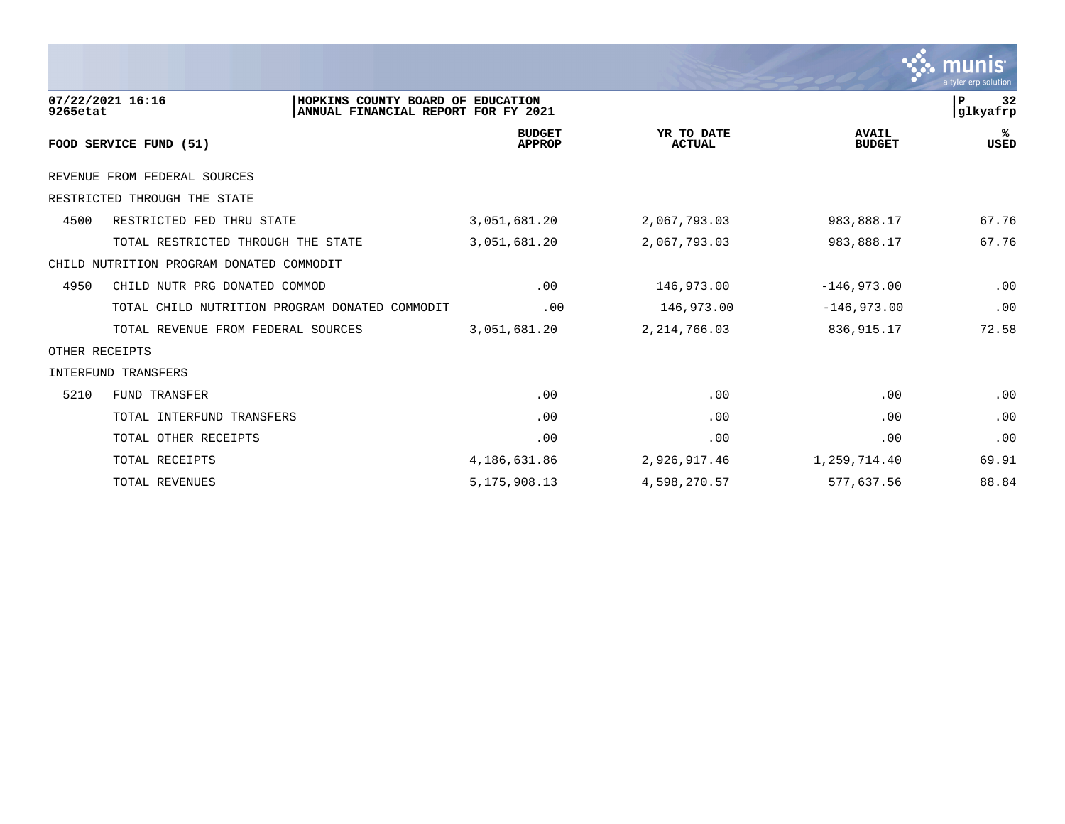|                              |                                                                          |                                |                      |                               | a tyler erp solution |
|------------------------------|--------------------------------------------------------------------------|--------------------------------|----------------------|-------------------------------|----------------------|
| 07/22/2021 16:16<br>9265etat | HOPKINS COUNTY BOARD OF EDUCATION<br>ANNUAL FINANCIAL REPORT FOR FY 2021 |                                |                      |                               | 32<br> glkyafrp      |
| FOOD SERVICE FUND (51)       |                                                                          | <b>BUDGET</b><br><b>APPROP</b> | YR TO DATE<br>ACTUAL | <b>AVAIL</b><br><b>BUDGET</b> | ஜ<br><b>USED</b>     |

REVENUE FROM FEDERAL SOURCES

RESTRICTED THROUGH THE STATE

4500 RESTRICTED FED THRU STATE 3,051,681.20 2,067,793.03 983,888.17 67.76 TOTAL RESTRICTED THROUGH THE STATE 3,051,681.20 2,067,793.03 983,888.17 67.76 CHILD NUTRITION PROGRAM DONATED COMMODIT

| TOTAL CHILD NUTRITION PROGRAM DONATED COMMODIT | .00             | 146,973.00     | $-146,973.00$ | .00   |
|------------------------------------------------|-----------------|----------------|---------------|-------|
| TOTAL REVENUE FROM FEDERAL SOURCES             | 3,051,681.20    | 2, 214, 766.03 | 836,915.17    | 72.58 |
| OTHER RECEIPTS                                 |                 |                |               |       |
| INTERFUND TRANSFERS                            |                 |                |               |       |
| FUND TRANSFER                                  | .00             | .00            | .00           | .00   |
| TOTAL INTERFUND TRANSFERS                      | .00             | .00            | .00           | .00   |
| TOTAL OTHER RECEIPTS                           | .00             | .00            | .00           | .00   |
| TOTAL RECEIPTS                                 | 4,186,631.86    | 2,926,917.46   | 1,259,714.40  | 69.91 |
| TOTAL REVENUES                                 | 5, 175, 908. 13 | 4,598,270.57   | 577,637.56    | 88.84 |
|                                                |                 |                |               |       |

4950 CHILD NUTR PRG DONATED COMMOD .00 146,973.00 -146,973.00 .00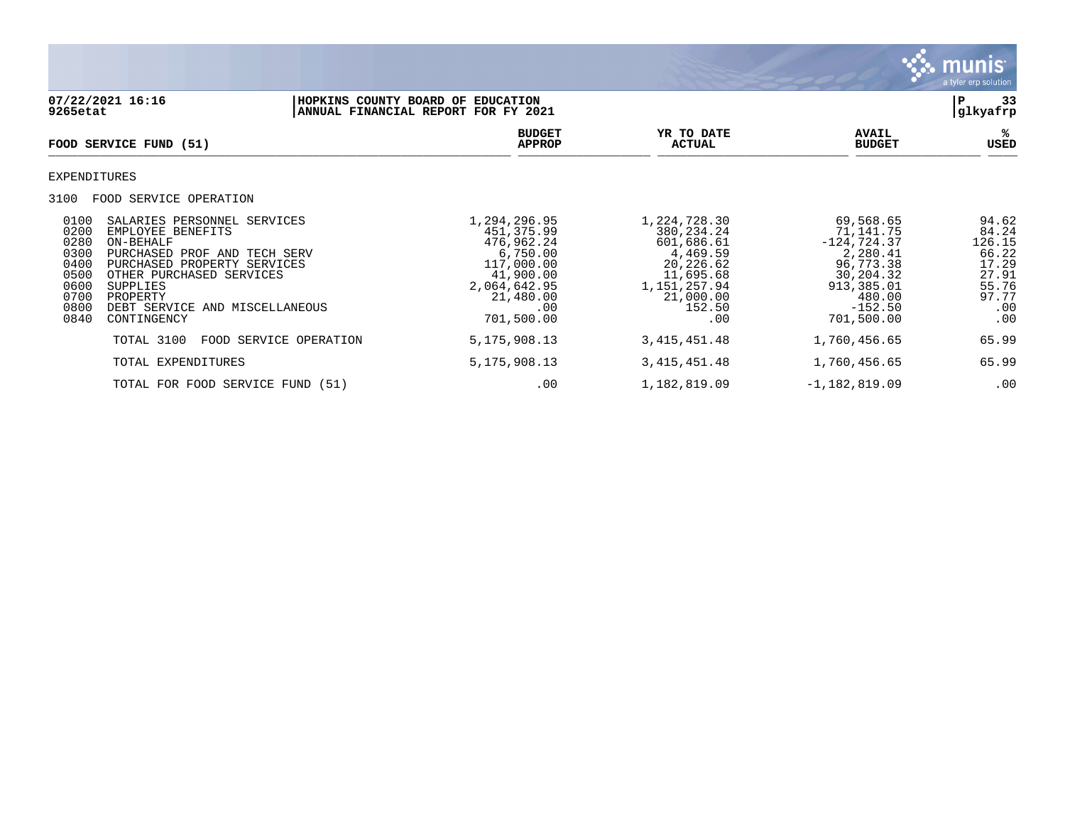

| 9265etat                                                                     | 07/22/2021 16:16                                                                                                                                                                                                                  | HOPKINS COUNTY BOARD OF EDUCATION<br>ANNUAL FINANCIAL REPORT FOR FY 2021 |                                                                                                                                   |                                                                                                                                |                                                                                                                                   | 33<br>P<br>glkyafrp                                                                 |
|------------------------------------------------------------------------------|-----------------------------------------------------------------------------------------------------------------------------------------------------------------------------------------------------------------------------------|--------------------------------------------------------------------------|-----------------------------------------------------------------------------------------------------------------------------------|--------------------------------------------------------------------------------------------------------------------------------|-----------------------------------------------------------------------------------------------------------------------------------|-------------------------------------------------------------------------------------|
|                                                                              | FOOD SERVICE FUND (51)                                                                                                                                                                                                            |                                                                          | <b>BUDGET</b><br><b>APPROP</b>                                                                                                    | YR TO DATE<br><b>ACTUAL</b>                                                                                                    | <b>AVAIL</b><br><b>BUDGET</b>                                                                                                     | %ะ<br>USED                                                                          |
| EXPENDITURES                                                                 |                                                                                                                                                                                                                                   |                                                                          |                                                                                                                                   |                                                                                                                                |                                                                                                                                   |                                                                                     |
| 3100                                                                         | FOOD SERVICE OPERATION                                                                                                                                                                                                            |                                                                          |                                                                                                                                   |                                                                                                                                |                                                                                                                                   |                                                                                     |
| 0100<br>0200<br>0280<br>0300<br>0400<br>0500<br>0600<br>0700<br>0800<br>0840 | SALARIES PERSONNEL SERVICES<br>EMPLOYEE BENEFITS<br>ON-BEHALF<br>PURCHASED PROF AND TECH SERV<br>PURCHASED PROPERTY SERVICES<br>OTHER PURCHASED SERVICES<br>SUPPLIES<br>PROPERTY<br>DEBT SERVICE AND MISCELLANEOUS<br>CONTINGENCY |                                                                          | 1,294,296.95<br>451,375.99<br>476,962.24<br>6,750.00<br>117,000.00<br>41,900.00<br>2,064,642.95<br>21,480.00<br>.00<br>701,500.00 | 1,224,728.30<br>380, 234. 24<br>601,686.61<br>4,469.59<br>20,226.62<br>11,695.68<br>1,151,257.94<br>21,000.00<br>152.50<br>.00 | 69,568.65<br>71,141.75<br>$-124, 724.37$<br>2,280.41<br>96,773.38<br>30,204.32<br>913,385.01<br>480.00<br>$-152.50$<br>701,500.00 | 94.62<br>84.24<br>126.15<br>66.22<br>17.29<br>27.91<br>55.76<br>97.77<br>.00<br>.00 |
|                                                                              | TOTAL 3100<br>FOOD SERVICE OPERATION                                                                                                                                                                                              |                                                                          | 5, 175, 908. 13                                                                                                                   | 3, 415, 451.48                                                                                                                 | 1,760,456.65                                                                                                                      | 65.99                                                                               |
|                                                                              | TOTAL EXPENDITURES                                                                                                                                                                                                                |                                                                          | 5, 175, 908. 13                                                                                                                   | 3, 415, 451.48                                                                                                                 | 1,760,456.65                                                                                                                      | 65.99                                                                               |
|                                                                              | TOTAL FOR FOOD SERVICE FUND (51)                                                                                                                                                                                                  |                                                                          | .00                                                                                                                               | 1,182,819.09                                                                                                                   | $-1,182,819.09$                                                                                                                   | .00                                                                                 |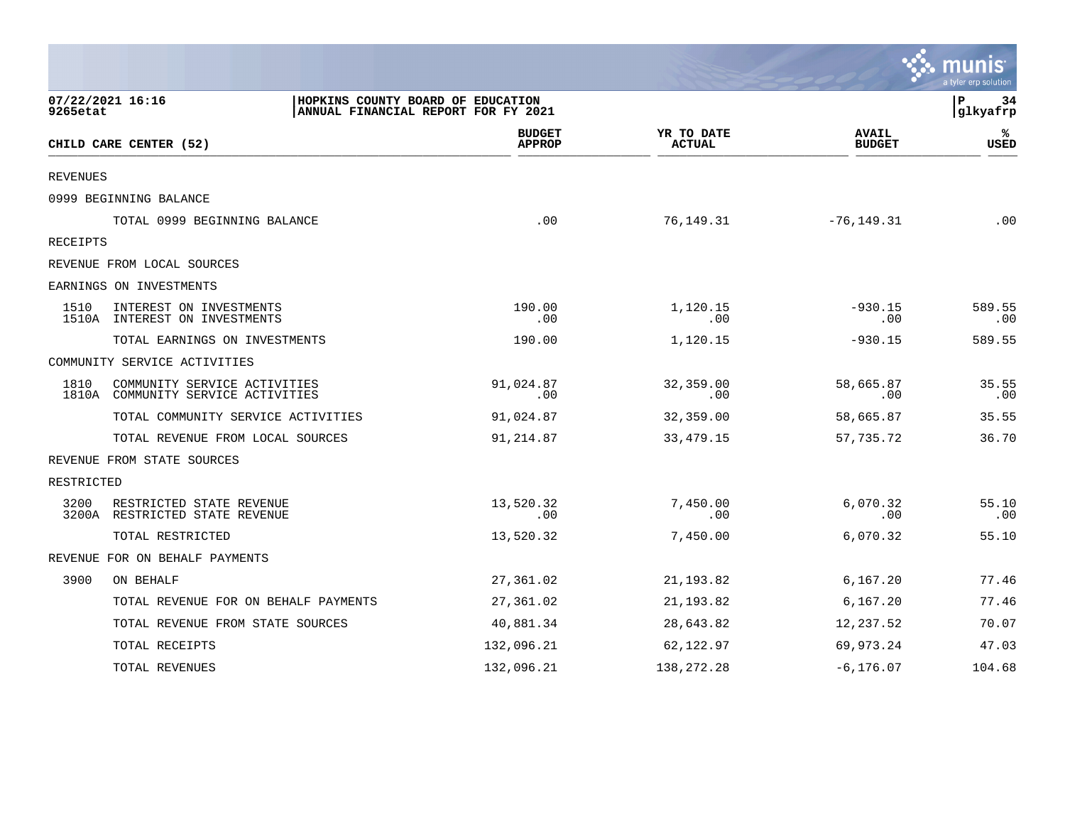|                                                                            |                                                                          |                                |                             |                               | a tyler erp solution |
|----------------------------------------------------------------------------|--------------------------------------------------------------------------|--------------------------------|-----------------------------|-------------------------------|----------------------|
| 07/22/2021 16:16<br>9265etat                                               | HOPKINS COUNTY BOARD OF EDUCATION<br>ANNUAL FINANCIAL REPORT FOR FY 2021 |                                |                             |                               | 34<br>P<br>glkyafrp  |
| CHILD CARE CENTER (52)                                                     |                                                                          | <b>BUDGET</b><br><b>APPROP</b> | YR TO DATE<br><b>ACTUAL</b> | <b>AVAIL</b><br><b>BUDGET</b> | ℁<br><b>USED</b>     |
| REVENUES                                                                   |                                                                          |                                |                             |                               |                      |
| 0999 BEGINNING BALANCE                                                     |                                                                          |                                |                             |                               |                      |
| TOTAL 0999 BEGINNING BALANCE                                               |                                                                          | .00                            | 76,149.31                   | $-76, 149.31$                 | .00                  |
| RECEIPTS                                                                   |                                                                          |                                |                             |                               |                      |
| REVENUE FROM LOCAL SOURCES                                                 |                                                                          |                                |                             |                               |                      |
| EARNINGS ON INVESTMENTS                                                    |                                                                          |                                |                             |                               |                      |
| 1510<br>INTEREST ON INVESTMENTS<br>1510A INTEREST ON INVESTMENTS           |                                                                          | 190.00<br>.00                  | 1,120.15<br>.00             | $-930.15$<br>.00              | 589.55<br>.00        |
| TOTAL EARNINGS ON INVESTMENTS                                              |                                                                          | 190.00                         | 1,120.15                    | $-930.15$                     | 589.55               |
| COMMUNITY SERVICE ACTIVITIES                                               |                                                                          |                                |                             |                               |                      |
| 1810<br>COMMUNITY SERVICE ACTIVITIES<br>1810A COMMUNITY SERVICE ACTIVITIES |                                                                          | 91,024.87<br>.00               | 32,359.00<br>.00            | 58,665.87<br>.00              | 35.55<br>.00         |
| TOTAL COMMUNITY SERVICE ACTIVITIES                                         |                                                                          | 91,024.87                      | 32,359.00                   | 58,665.87                     | 35.55                |
| TOTAL REVENUE FROM LOCAL SOURCES                                           |                                                                          | 91,214.87                      | 33,479.15                   | 57,735.72                     | 36.70                |
| REVENUE FROM STATE SOURCES                                                 |                                                                          |                                |                             |                               |                      |
| RESTRICTED                                                                 |                                                                          |                                |                             |                               |                      |
| 3200<br>RESTRICTED STATE REVENUE<br>3200A RESTRICTED STATE REVENUE         |                                                                          | 13,520.32<br>.00               | 7,450.00<br>.00             | 6,070.32<br>.00               | 55.10<br>.00         |
| TOTAL RESTRICTED                                                           |                                                                          | 13,520.32                      | 7,450.00                    | 6,070.32                      | 55.10                |
| REVENUE FOR ON BEHALF PAYMENTS                                             |                                                                          |                                |                             |                               |                      |
| 3900<br>ON BEHALF                                                          |                                                                          | 27,361.02                      | 21, 193.82                  | 6,167.20                      | 77.46                |
| TOTAL REVENUE FOR ON BEHALF PAYMENTS                                       |                                                                          | 27,361.02                      | 21, 193.82                  | 6,167.20                      | 77.46                |
| TOTAL REVENUE FROM STATE SOURCES                                           |                                                                          | 40,881.34                      | 28,643.82                   | 12,237.52                     | 70.07                |
| TOTAL RECEIPTS                                                             |                                                                          | 132,096.21                     | 62,122.97                   | 69,973.24                     | 47.03                |
| TOTAL REVENUES                                                             |                                                                          | 132,096.21                     | 138, 272. 28                | $-6, 176.07$                  | 104.68               |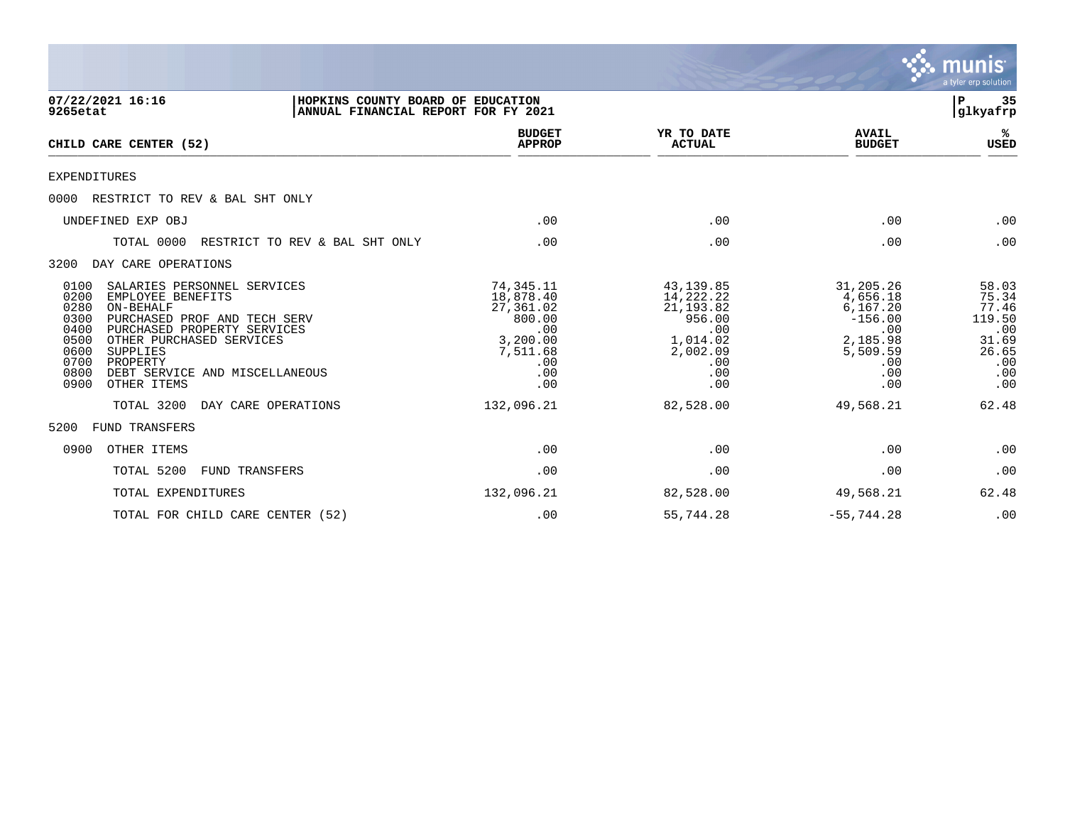|                                                                                                                                                                                                                                                                                                                   |                                                                                                   |                                                                                                     |                                                                                                    | munis<br>a tyler erp solution                                                   |
|-------------------------------------------------------------------------------------------------------------------------------------------------------------------------------------------------------------------------------------------------------------------------------------------------------------------|---------------------------------------------------------------------------------------------------|-----------------------------------------------------------------------------------------------------|----------------------------------------------------------------------------------------------------|---------------------------------------------------------------------------------|
| 07/22/2021 16:16<br>HOPKINS COUNTY BOARD OF EDUCATION<br>9265etat<br>ANNUAL FINANCIAL REPORT FOR FY 2021                                                                                                                                                                                                          |                                                                                                   |                                                                                                     |                                                                                                    | 35<br>P<br>glkyafrp                                                             |
| CHILD CARE CENTER (52)                                                                                                                                                                                                                                                                                            | <b>BUDGET</b><br><b>APPROP</b>                                                                    | YR TO DATE<br><b>ACTUAL</b>                                                                         | <b>AVAIL</b><br><b>BUDGET</b>                                                                      | ℁<br>USED                                                                       |
| EXPENDITURES                                                                                                                                                                                                                                                                                                      |                                                                                                   |                                                                                                     |                                                                                                    |                                                                                 |
| 0000<br>RESTRICT TO REV & BAL SHT ONLY                                                                                                                                                                                                                                                                            |                                                                                                   |                                                                                                     |                                                                                                    |                                                                                 |
| UNDEFINED EXP OBJ                                                                                                                                                                                                                                                                                                 | .00                                                                                               | .00                                                                                                 | .00                                                                                                | .00                                                                             |
| TOTAL 0000<br>RESTRICT TO REV & BAL SHT ONLY                                                                                                                                                                                                                                                                      | .00                                                                                               | .00                                                                                                 | .00                                                                                                | .00                                                                             |
| DAY CARE OPERATIONS<br>3200                                                                                                                                                                                                                                                                                       |                                                                                                   |                                                                                                     |                                                                                                    |                                                                                 |
| 0100<br>SALARIES PERSONNEL SERVICES<br>0200<br>EMPLOYEE BENEFITS<br>0280<br>ON-BEHALF<br>0300<br>PURCHASED PROF AND TECH SERV<br>0400<br>PURCHASED PROPERTY SERVICES<br>0500<br>OTHER PURCHASED SERVICES<br>0600<br>SUPPLIES<br>0700<br>PROPERTY<br>0800<br>DEBT SERVICE AND MISCELLANEOUS<br>0900<br>OTHER ITEMS | 74,345.11<br>18,878.40<br>27,361.02<br>800.00<br>.00<br>3,200.00<br>7,511.68<br>.00<br>.00<br>.00 | 43, 139.85<br>14,222.22<br>21, 193.82<br>956.00<br>.00<br>1,014.02<br>2,002.09<br>.00<br>.00<br>.00 | 31,205.26<br>4,656.18<br>6,167.20<br>$-156.00$<br>.00<br>2,185.98<br>5,509.59<br>.00<br>.00<br>.00 | 58.03<br>75.34<br>77.46<br>119.50<br>.00<br>31.69<br>26.65<br>.00<br>.00<br>.00 |
| TOTAL 3200<br>DAY CARE OPERATIONS                                                                                                                                                                                                                                                                                 | 132,096.21                                                                                        | 82,528.00                                                                                           | 49,568.21                                                                                          | 62.48                                                                           |
| 5200<br><b>FUND TRANSFERS</b>                                                                                                                                                                                                                                                                                     |                                                                                                   |                                                                                                     |                                                                                                    |                                                                                 |
| 0900<br>OTHER ITEMS                                                                                                                                                                                                                                                                                               | .00                                                                                               | .00                                                                                                 | .00                                                                                                | .00                                                                             |
| TOTAL 5200<br>FUND TRANSFERS                                                                                                                                                                                                                                                                                      | .00                                                                                               | .00                                                                                                 | .00                                                                                                | .00                                                                             |
| TOTAL EXPENDITURES                                                                                                                                                                                                                                                                                                | 132,096.21                                                                                        | 82,528.00                                                                                           | 49,568.21                                                                                          | 62.48                                                                           |
| TOTAL FOR CHILD CARE CENTER (52)                                                                                                                                                                                                                                                                                  | .00                                                                                               | 55,744.28                                                                                           | $-55, 744.28$                                                                                      | .00                                                                             |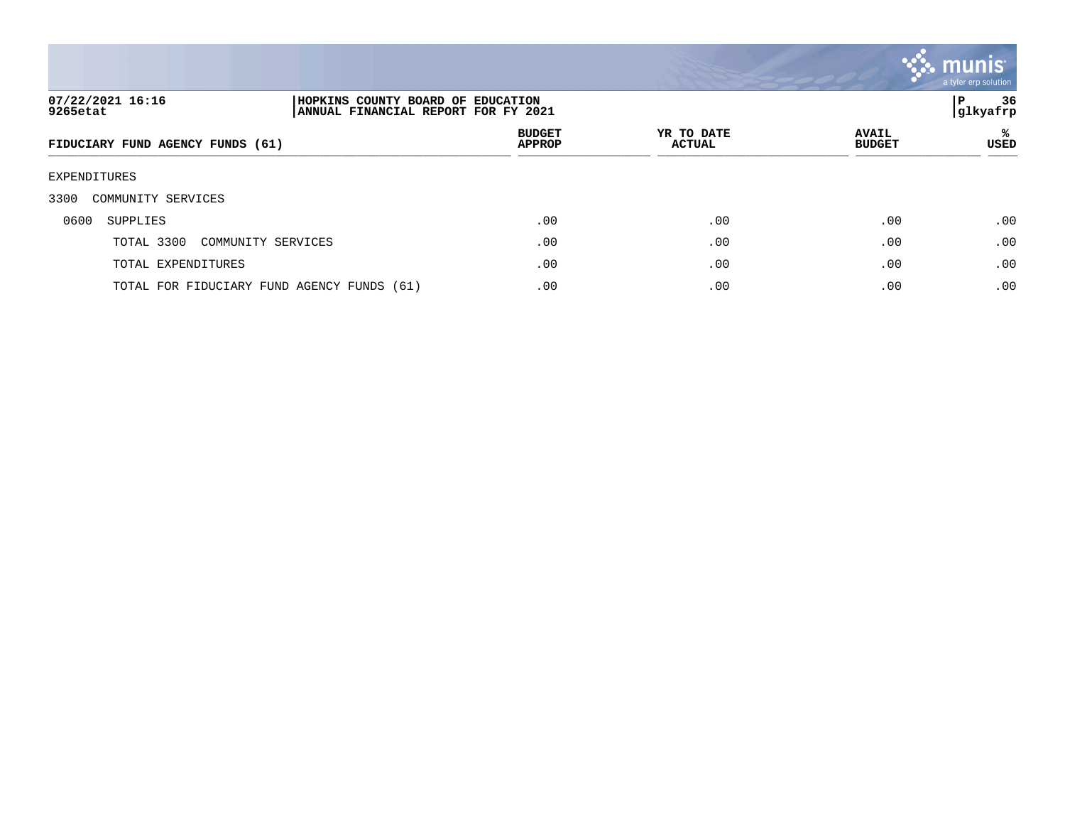

| 07/22/2021 16:16<br>9265etat               | HOPKINS COUNTY BOARD OF EDUCATION<br> ANNUAL FINANCIAL REPORT FOR FY 2021 |                                |                             |                               | 36<br>P<br> glkyafrp |  |
|--------------------------------------------|---------------------------------------------------------------------------|--------------------------------|-----------------------------|-------------------------------|----------------------|--|
| FIDUCIARY FUND AGENCY FUNDS (61)           |                                                                           | <b>BUDGET</b><br><b>APPROP</b> | YR TO DATE<br><b>ACTUAL</b> | <b>AVAIL</b><br><b>BUDGET</b> | %ะ<br>USED           |  |
| EXPENDITURES                               |                                                                           |                                |                             |                               |                      |  |
| 3300<br>COMMUNITY SERVICES                 |                                                                           |                                |                             |                               |                      |  |
| 0600<br>SUPPLIES                           |                                                                           | .00                            | .00                         | .00                           | .00                  |  |
| TOTAL 3300<br>COMMUNITY SERVICES           |                                                                           | .00                            | .00                         | .00                           | .00                  |  |
| TOTAL EXPENDITURES                         |                                                                           | .00                            | .00                         | .00                           | .00                  |  |
| TOTAL FOR FIDUCIARY FUND AGENCY FUNDS (61) |                                                                           | .00                            | .00                         | .00                           | .00                  |  |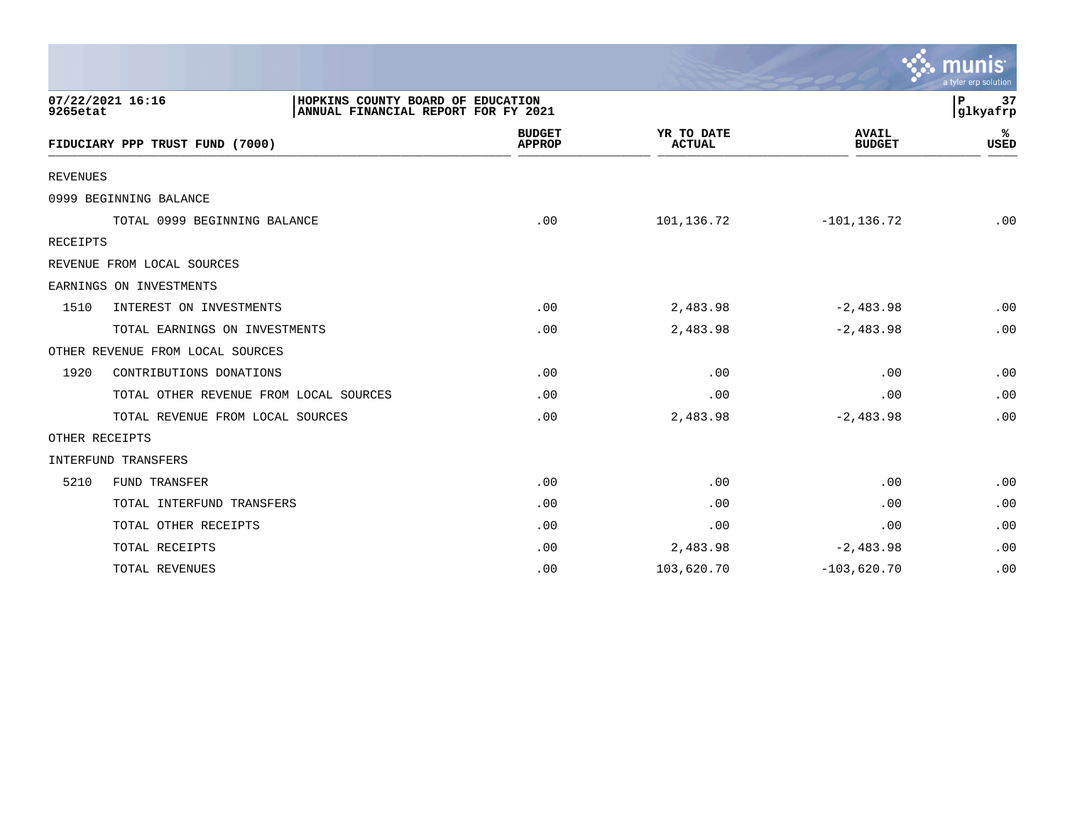|                 |                                                                                              |                                |                             |                               | munis<br>a tyler erp solution |
|-----------------|----------------------------------------------------------------------------------------------|--------------------------------|-----------------------------|-------------------------------|-------------------------------|
| 9265etat        | 07/22/2021 16:16<br>HOPKINS COUNTY BOARD OF EDUCATION<br>ANNUAL FINANCIAL REPORT FOR FY 2021 |                                |                             |                               | P<br>37<br>glkyafrp           |
|                 | FIDUCIARY PPP TRUST FUND (7000)                                                              | <b>BUDGET</b><br><b>APPROP</b> | YR TO DATE<br><b>ACTUAL</b> | <b>AVAIL</b><br><b>BUDGET</b> | ℁<br>USED                     |
| <b>REVENUES</b> |                                                                                              |                                |                             |                               |                               |
|                 | 0999 BEGINNING BALANCE                                                                       |                                |                             |                               |                               |
|                 | TOTAL 0999 BEGINNING BALANCE                                                                 | .00                            | 101,136.72                  | $-101, 136.72$                | .00                           |
| RECEIPTS        |                                                                                              |                                |                             |                               |                               |
|                 | REVENUE FROM LOCAL SOURCES                                                                   |                                |                             |                               |                               |
|                 | EARNINGS ON INVESTMENTS                                                                      |                                |                             |                               |                               |
| 1510            | INTEREST ON INVESTMENTS                                                                      | .00                            | 2,483.98                    | $-2,483.98$                   | .00                           |
|                 | TOTAL EARNINGS ON INVESTMENTS                                                                | .00                            | 2,483.98                    | $-2,483.98$                   | .00                           |
|                 | OTHER REVENUE FROM LOCAL SOURCES                                                             |                                |                             |                               |                               |
| 1920            | CONTRIBUTIONS DONATIONS                                                                      | .00                            | .00                         | .00                           | .00                           |
|                 | TOTAL OTHER REVENUE FROM LOCAL SOURCES                                                       | .00                            | .00                         | .00                           | .00                           |
|                 | TOTAL REVENUE FROM LOCAL SOURCES                                                             | .00                            | 2,483.98                    | $-2,483.98$                   | .00                           |
| OTHER RECEIPTS  |                                                                                              |                                |                             |                               |                               |
|                 | INTERFUND TRANSFERS                                                                          |                                |                             |                               |                               |
| 5210            | FUND TRANSFER                                                                                | .00                            | .00                         | .00                           | .00                           |
|                 | TOTAL INTERFUND TRANSFERS                                                                    | .00                            | .00                         | $.00 \,$                      | .00                           |
|                 | TOTAL OTHER RECEIPTS                                                                         | .00                            | .00                         | .00                           | .00                           |
|                 | TOTAL RECEIPTS                                                                               | .00                            | 2,483.98                    | $-2,483.98$                   | .00                           |
|                 | TOTAL REVENUES                                                                               | .00                            | 103,620.70                  | $-103,620.70$                 | .00                           |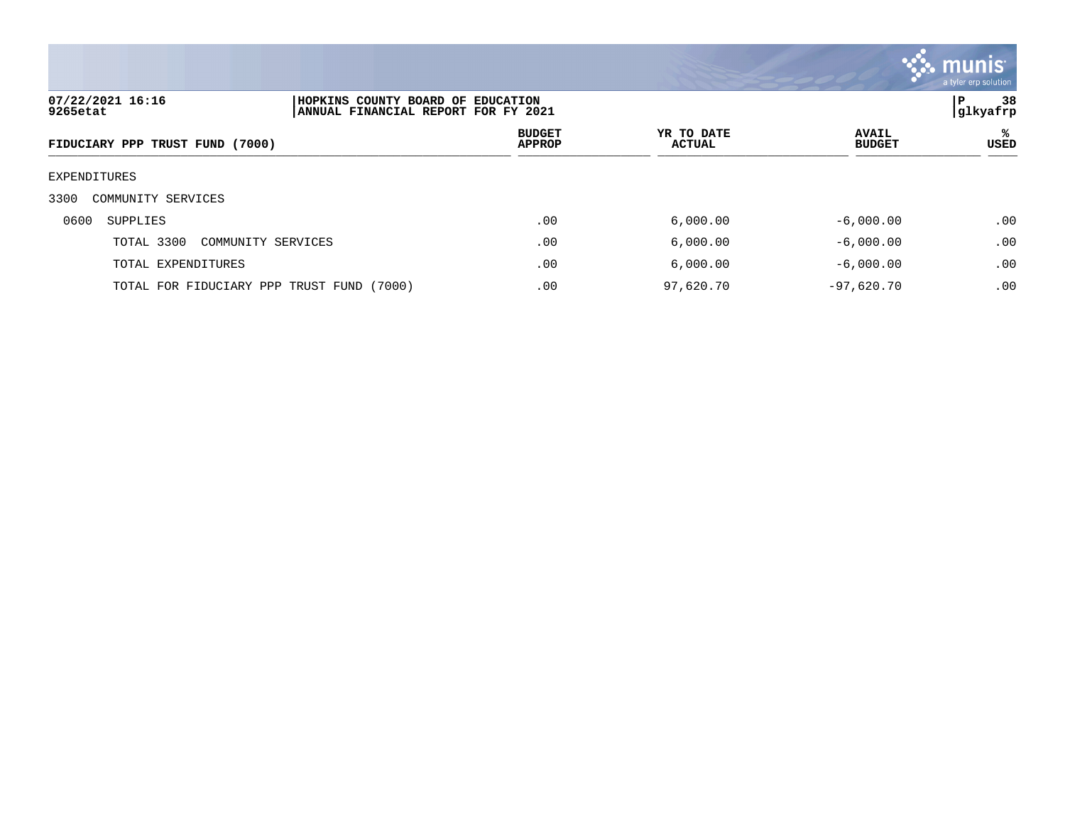

| 07/22/2021 16:16<br>9265etat              | P<br>HOPKINS COUNTY BOARD OF EDUCATION<br>glkyafrp<br> ANNUAL FINANCIAL REPORT FOR FY 2021 |                                |                             |                               |           |  |
|-------------------------------------------|--------------------------------------------------------------------------------------------|--------------------------------|-----------------------------|-------------------------------|-----------|--|
| FIDUCIARY PPP TRUST FUND (7000)           |                                                                                            | <b>BUDGET</b><br><b>APPROP</b> | YR TO DATE<br><b>ACTUAL</b> | <b>AVAIL</b><br><b>BUDGET</b> | ℁<br>USED |  |
| EXPENDITURES                              |                                                                                            |                                |                             |                               |           |  |
| 3300<br>COMMUNITY SERVICES                |                                                                                            |                                |                             |                               |           |  |
| 0600<br><b>SUPPLIES</b>                   |                                                                                            | .00                            | 6,000.00                    | $-6,000.00$                   | .00       |  |
| TOTAL 3300<br>COMMUNITY SERVICES          |                                                                                            | .00                            | 6,000.00                    | $-6,000.00$                   | .00       |  |
| TOTAL EXPENDITURES                        |                                                                                            | .00                            | 6,000.00                    | $-6,000.00$                   | .00       |  |
| TOTAL FOR FIDUCIARY PPP TRUST FUND (7000) |                                                                                            | .00                            | 97,620.70                   | $-97,620.70$                  | .00       |  |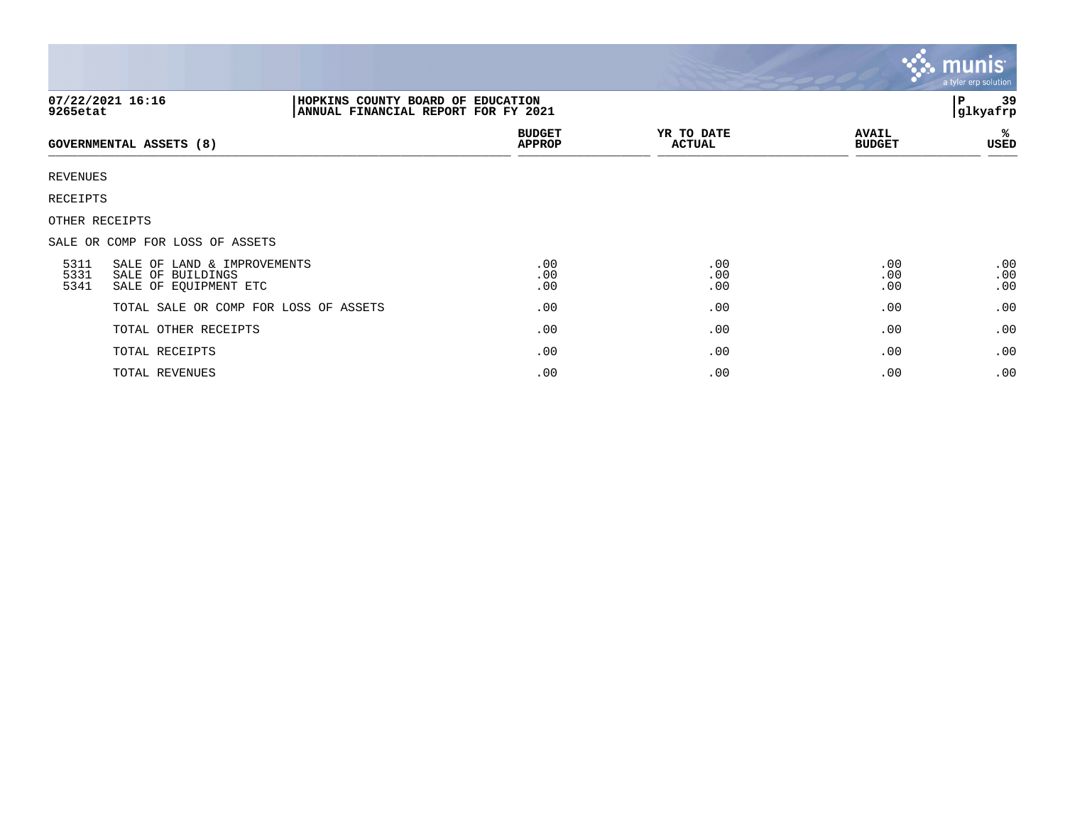|                      |                                                                                              |                                |                             |                               | <b>munis</b><br>a tyler erp solution |
|----------------------|----------------------------------------------------------------------------------------------|--------------------------------|-----------------------------|-------------------------------|--------------------------------------|
| 9265etat             | 07/22/2021 16:16<br>HOPKINS COUNTY BOARD OF EDUCATION<br>ANNUAL FINANCIAL REPORT FOR FY 2021 |                                |                             | 39<br>l P<br>glkyafrp         |                                      |
|                      | <b>GOVERNMENTAL ASSETS (8)</b>                                                               | <b>BUDGET</b><br><b>APPROP</b> | YR TO DATE<br><b>ACTUAL</b> | <b>AVAIL</b><br><b>BUDGET</b> | ℁<br>USED                            |
| REVENUES             |                                                                                              |                                |                             |                               |                                      |
| RECEIPTS             |                                                                                              |                                |                             |                               |                                      |
|                      | OTHER RECEIPTS                                                                               |                                |                             |                               |                                      |
|                      | SALE OR COMP FOR LOSS OF ASSETS                                                              |                                |                             |                               |                                      |
| 5311<br>5331<br>5341 | SALE OF LAND & IMPROVEMENTS<br>SALE OF BUILDINGS<br>SALE OF EQUIPMENT ETC                    | .00<br>.00<br>.00              | .00<br>.00<br>.00           | .00<br>.00<br>.00             | .00<br>.00<br>.00                    |
|                      | TOTAL SALE OR COMP FOR LOSS OF ASSETS                                                        | .00                            | .00                         | .00                           | .00                                  |
|                      | TOTAL OTHER RECEIPTS                                                                         | .00                            | .00                         | .00                           | .00                                  |
|                      | TOTAL RECEIPTS                                                                               | .00                            | .00                         | .00                           | .00                                  |
|                      | TOTAL REVENUES                                                                               | .00                            | .00                         | .00                           | .00                                  |

**Tara**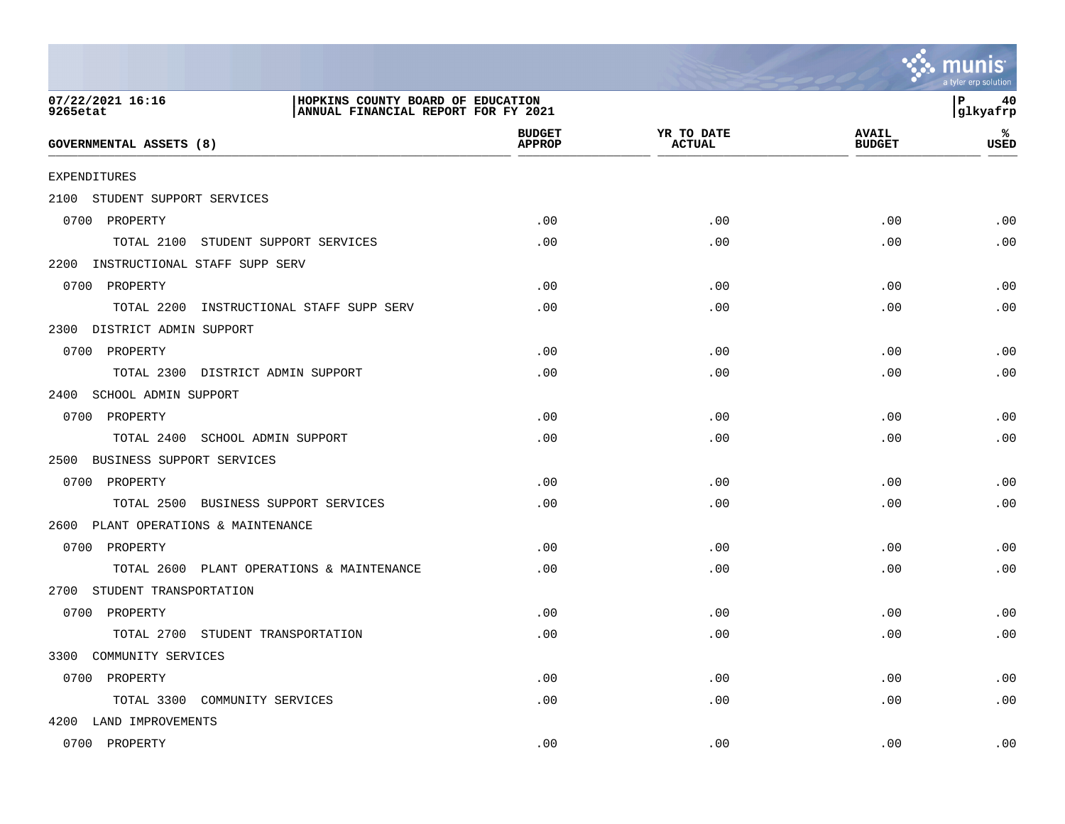

| 07/22/2021 16:16<br>HOPKINS COUNTY BOARD OF EDUCATION<br>ANNUAL FINANCIAL REPORT FOR FY 2021<br>9265etat |                                |                             | l P-<br>40<br>glkyafrp        |            |
|----------------------------------------------------------------------------------------------------------|--------------------------------|-----------------------------|-------------------------------|------------|
| GOVERNMENTAL ASSETS (8)                                                                                  | <b>BUDGET</b><br><b>APPROP</b> | YR TO DATE<br><b>ACTUAL</b> | <b>AVAIL</b><br><b>BUDGET</b> | %ะ<br>USED |
| <b>EXPENDITURES</b>                                                                                      |                                |                             |                               |            |
| 2100 STUDENT SUPPORT SERVICES                                                                            |                                |                             |                               |            |
| 0700 PROPERTY                                                                                            | .00                            | .00                         | .00                           | .00        |
| TOTAL 2100 STUDENT SUPPORT SERVICES                                                                      | .00                            | .00                         | .00                           | .00        |
| 2200 INSTRUCTIONAL STAFF SUPP SERV                                                                       |                                |                             |                               |            |
| 0700 PROPERTY                                                                                            | .00                            | .00                         | .00                           | .00        |
| TOTAL 2200 INSTRUCTIONAL STAFF SUPP SERV                                                                 | .00                            | .00                         | .00                           | .00        |
| 2300 DISTRICT ADMIN SUPPORT                                                                              |                                |                             |                               |            |
| 0700 PROPERTY                                                                                            | .00                            | .00                         | .00                           | .00        |
| TOTAL 2300 DISTRICT ADMIN SUPPORT                                                                        | .00                            | .00                         | .00                           | .00        |
| 2400 SCHOOL ADMIN SUPPORT                                                                                |                                |                             |                               |            |
| 0700 PROPERTY                                                                                            | .00                            | .00                         | .00                           | .00        |
| TOTAL 2400 SCHOOL ADMIN SUPPORT                                                                          | .00                            | .00                         | .00                           | .00        |
| 2500 BUSINESS SUPPORT SERVICES                                                                           |                                |                             |                               |            |
| 0700 PROPERTY                                                                                            | .00                            | .00                         | .00                           | .00        |
| TOTAL 2500 BUSINESS SUPPORT SERVICES                                                                     | .00                            | .00                         | .00                           | .00        |
| 2600 PLANT OPERATIONS & MAINTENANCE                                                                      |                                |                             |                               |            |
| 0700 PROPERTY                                                                                            | .00                            | .00                         | .00                           | .00        |
| TOTAL 2600 PLANT OPERATIONS & MAINTENANCE                                                                | .00                            | .00                         | .00                           | .00        |
| 2700 STUDENT TRANSPORTATION                                                                              |                                |                             |                               |            |
| 0700 PROPERTY                                                                                            | .00                            | .00                         | .00                           | .00        |
| TOTAL 2700 STUDENT TRANSPORTATION                                                                        | .00                            | .00                         | .00                           | .00        |
| 3300<br>COMMUNITY SERVICES                                                                               |                                |                             |                               |            |
| 0700 PROPERTY                                                                                            | .00                            | .00                         | .00                           | .00        |
| TOTAL 3300 COMMUNITY SERVICES                                                                            | .00                            | .00                         | .00                           | .00        |
| 4200 LAND IMPROVEMENTS                                                                                   |                                |                             |                               |            |
| 0700 PROPERTY                                                                                            | .00                            | .00                         | .00                           | .00        |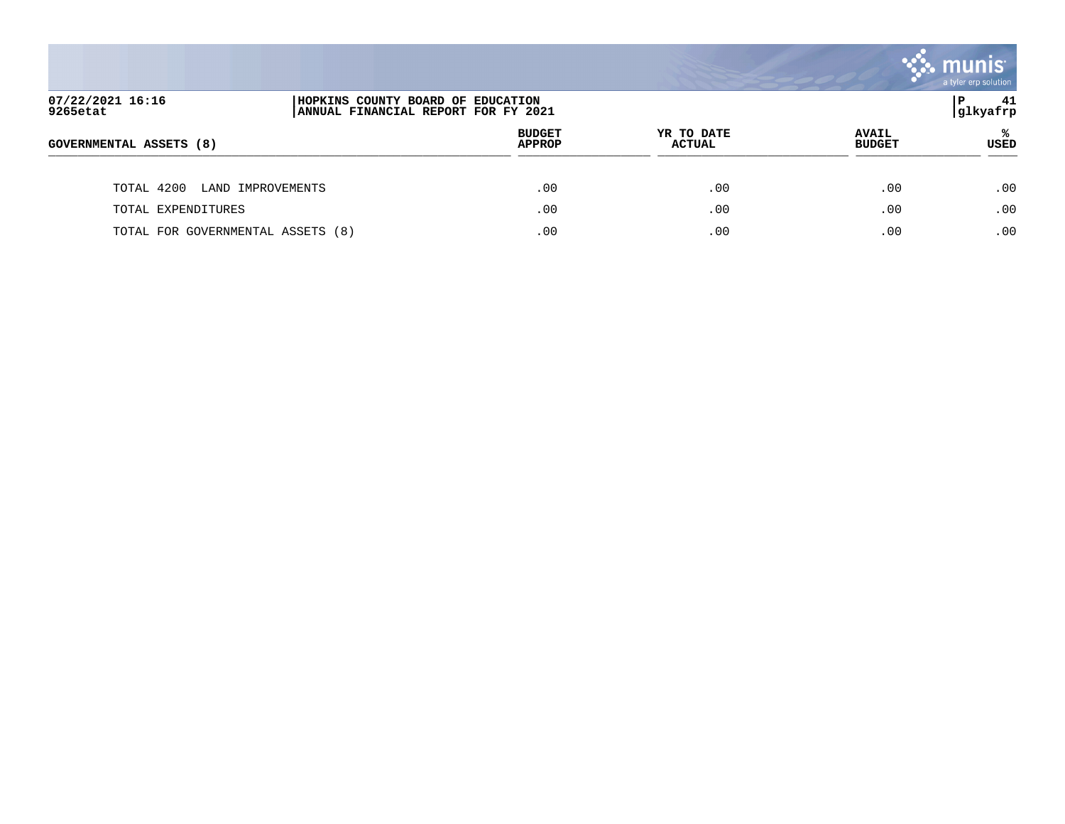

| 07/22/2021 16:16<br>9265etat       | HOPKINS COUNTY BOARD OF EDUCATION<br> ANNUAL FINANCIAL REPORT FOR FY 2021 |                      |                               | 41<br>Р<br>glkyafrp |
|------------------------------------|---------------------------------------------------------------------------|----------------------|-------------------------------|---------------------|
| GOVERNMENTAL ASSETS (8)            | <b>BUDGET</b><br><b>APPROP</b>                                            | YR TO DATE<br>ACTUAL | <b>AVAIL</b><br><b>BUDGET</b> | <b>USED</b>         |
| 4200<br>LAND IMPROVEMENTS<br>TOTAL | .00                                                                       | .00                  | .00                           | .00                 |
| TOTAL EXPENDITURES                 | .00                                                                       | .00                  | .00                           | .00                 |
| TOTAL FOR GOVERNMENTAL ASSETS (8)  | .00                                                                       | .00                  | .00                           | .00                 |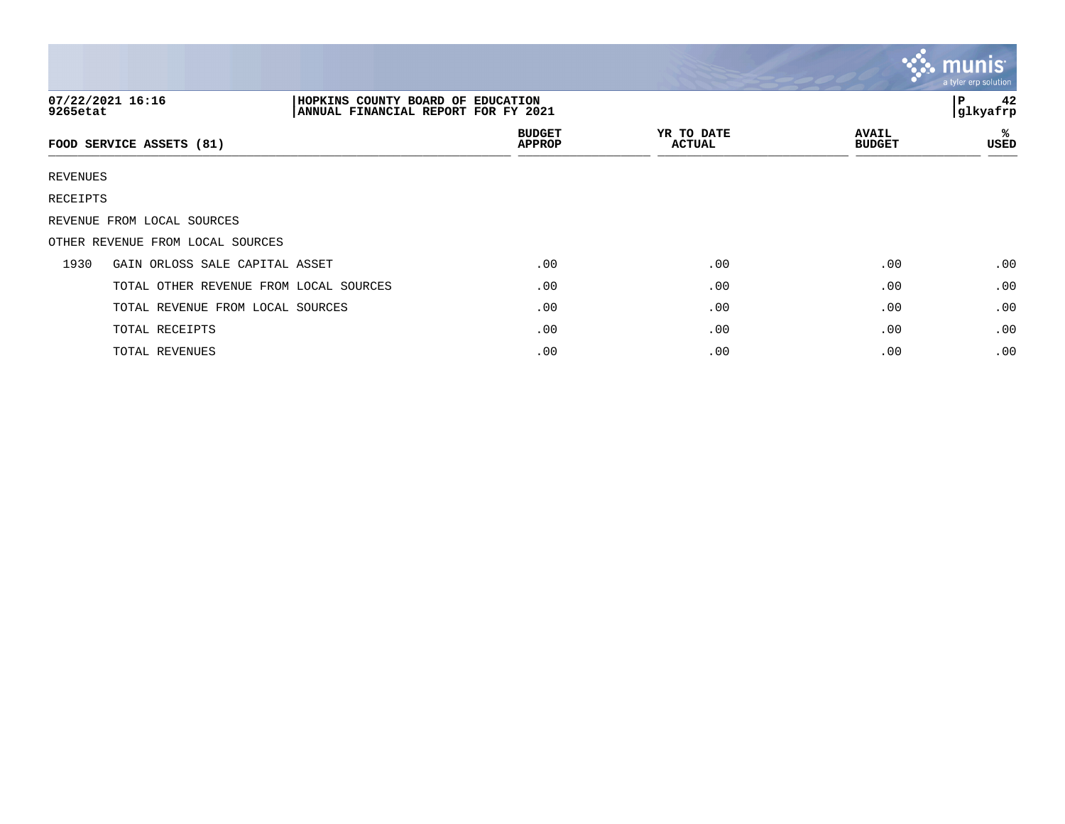|          |                                        |                                                                          |                                |                             |                               | $\ddot{\mathbf{v}}$ munis<br>a tyler erp solution |
|----------|----------------------------------------|--------------------------------------------------------------------------|--------------------------------|-----------------------------|-------------------------------|---------------------------------------------------|
| 9265etat | 07/22/2021 16:16                       | HOPKINS COUNTY BOARD OF EDUCATION<br>ANNUAL FINANCIAL REPORT FOR FY 2021 |                                |                             |                               | 42<br>l P<br>glkyafrp                             |
|          | FOOD SERVICE ASSETS (81)               |                                                                          | <b>BUDGET</b><br><b>APPROP</b> | YR TO DATE<br><b>ACTUAL</b> | <b>AVAIL</b><br><b>BUDGET</b> | ℁<br>USED                                         |
| REVENUES |                                        |                                                                          |                                |                             |                               |                                                   |
| RECEIPTS |                                        |                                                                          |                                |                             |                               |                                                   |
|          | REVENUE FROM LOCAL SOURCES             |                                                                          |                                |                             |                               |                                                   |
|          | OTHER REVENUE FROM LOCAL SOURCES       |                                                                          |                                |                             |                               |                                                   |
| 1930     | GAIN ORLOSS SALE CAPITAL ASSET         |                                                                          | .00                            | .00                         | .00                           | .00                                               |
|          | TOTAL OTHER REVENUE FROM LOCAL SOURCES |                                                                          | .00                            | .00                         | .00                           | .00                                               |
|          | TOTAL REVENUE FROM LOCAL SOURCES       |                                                                          | .00                            | .00                         | .00                           | .00                                               |
|          | TOTAL RECEIPTS                         |                                                                          | .00                            | .00                         | .00                           | .00                                               |
|          | TOTAL REVENUES                         |                                                                          | .00                            | .00                         | .00                           | .00                                               |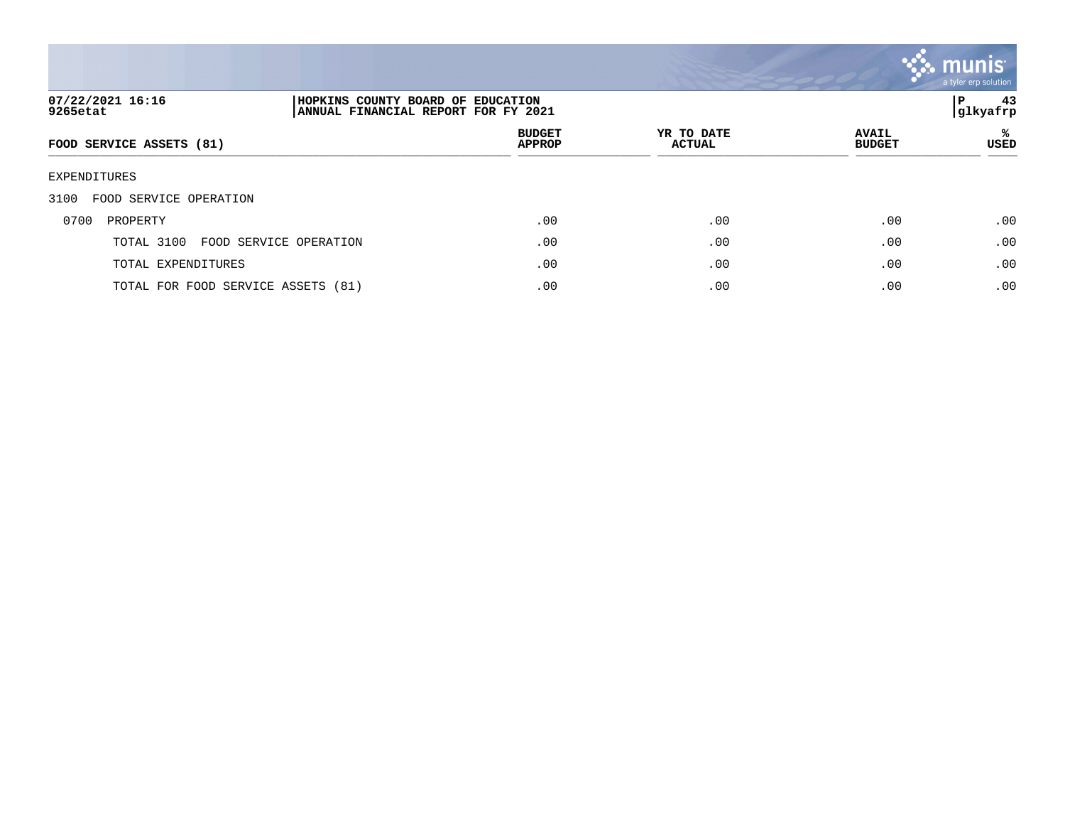

| 07/22/2021 16:16<br>9265etat         | HOPKINS COUNTY BOARD OF EDUCATION<br>ANNUAL FINANCIAL REPORT FOR FY 2021 |                                |                             |                               | 43<br>P<br> glkyafrp |
|--------------------------------------|--------------------------------------------------------------------------|--------------------------------|-----------------------------|-------------------------------|----------------------|
| FOOD SERVICE ASSETS (81)             |                                                                          | <b>BUDGET</b><br><b>APPROP</b> | YR TO DATE<br><b>ACTUAL</b> | <b>AVAIL</b><br><b>BUDGET</b> | %ะ<br><b>USED</b>    |
| EXPENDITURES                         |                                                                          |                                |                             |                               |                      |
| 3100<br>FOOD SERVICE OPERATION       |                                                                          |                                |                             |                               |                      |
| 0700<br>PROPERTY                     |                                                                          | .00                            | .00                         | .00                           | .00                  |
| TOTAL 3100<br>FOOD SERVICE OPERATION |                                                                          | .00                            | .00                         | .00                           | .00                  |
| TOTAL EXPENDITURES                   |                                                                          | .00                            | .00                         | .00                           | .00                  |
| TOTAL FOR FOOD SERVICE ASSETS (81)   |                                                                          | .00                            | .00                         | .00                           | .00                  |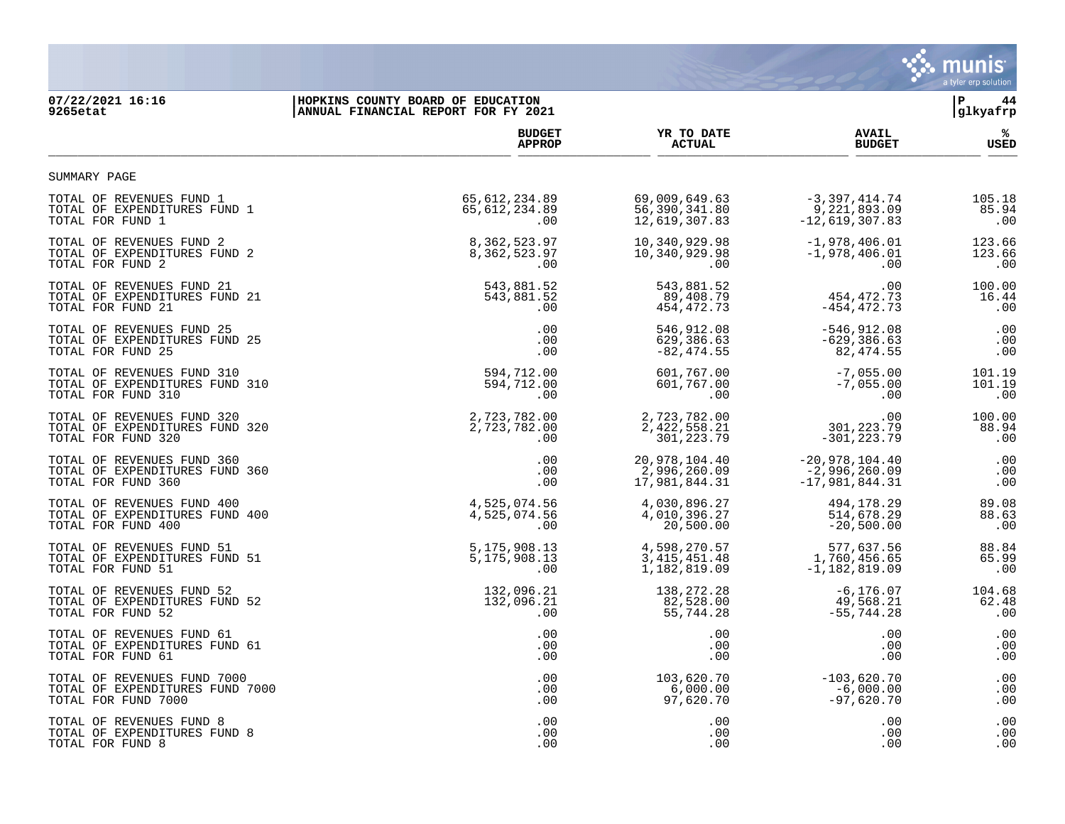

## **07/22/2021 16:16 |HOPKINS COUNTY BOARD OF EDUCATION |P 44 9265etat |ANNUAL FINANCIAL REPORT FOR FY 2021 |glkyafrp**

|                                 | <b>BUDGET</b>   | YR TO DATE     | <b>AVAIL</b>     | %           |
|---------------------------------|-----------------|----------------|------------------|-------------|
|                                 | <b>APPROP</b>   | <b>ACTUAL</b>  | <b>BUDGET</b>    | <b>USED</b> |
| SUMMARY PAGE                    |                 |                |                  |             |
| TOTAL OF REVENUES FUND 1        | 65, 612, 234.89 | 69,009,649.63  | $-3,397,414.74$  | 105.18      |
| TOTAL OF EXPENDITURES FUND 1    | 65, 612, 234.89 | 56,390,341.80  | 9,221,893.09     | 85.94       |
| TOTAL FOR FUND 1                | .00             | 12,619,307.83  | $-12,619,307.83$ | .00         |
| TOTAL OF REVENUES FUND 2        | 8,362,523.97    | 10,340,929.98  | $-1,978,406.01$  | 123.66      |
| TOTAL OF EXPENDITURES FUND 2    | 8,362,523.97    | 10,340,929.98  | $-1,978,406.01$  | 123.66      |
| TOTAL FOR FUND 2                | .00             | .00            | .00              | .00         |
| TOTAL OF REVENUES FUND 21       | 543,881.52      | 543,881.52     | .00              | 100.00      |
| TOTAL OF EXPENDITURES FUND 21   | 543,881.52      | 89,408.79      | 454, 472. 73     | 16.44       |
| TOTAL FOR FUND 21               | .00             | 454, 472. 73   | $-454, 472.73$   | .00         |
| TOTAL OF REVENUES FUND 25       | .00             | 546,912.08     | $-546, 912.08$   | .00         |
| TOTAL OF EXPENDITURES FUND 25   | .00             | 629,386.63     | $-629, 386.63$   | .00         |
| TOTAL FOR FUND 25               | .00             | $-82, 474.55$  | 82,474.55        | .00         |
| TOTAL OF REVENUES FUND 310      | 594,712.00      | 601,767.00     | $-7,055.00$      | 101.19      |
| TOTAL OF EXPENDITURES FUND 310  | 594,712.00      | 601,767.00     | $-7,055.00$      | 101.19      |
| TOTAL FOR FUND 310              | $.00 \,$        | .00            | .00              | .00         |
| TOTAL OF REVENUES FUND 320      | 2,723,782.00    | 2,723,782.00   | .00              | 100.00      |
| TOTAL OF EXPENDITURES FUND 320  | 2,723,782.00    | 2,422,558.21   | 301, 223.79      | 88.94       |
| TOTAL FOR FUND 320              | .00             | 301,223.79     | $-301, 223.79$   | .00         |
| TOTAL OF REVENUES FUND 360      | .00             | 20,978,104.40  | $-20,978,104.40$ | .00         |
| TOTAL OF EXPENDITURES FUND 360  | .00             | 2,996,260.09   | $-2,996,260.09$  | .00         |
| TOTAL FOR FUND 360              | .00             | 17,981,844.31  | $-17,981,844.31$ | .00         |
| TOTAL OF REVENUES FUND 400      | 4,525,074.56    | 4,030,896.27   | 494, 178. 29     | 89.08       |
| TOTAL OF EXPENDITURES FUND 400  | 4,525,074.56    | 4,010,396.27   | 514,678.29       | 88.63       |
| TOTAL FOR FUND 400              | .00             | 20,500.00      | $-20,500.00$     | .00         |
| TOTAL OF REVENUES FUND 51       | 5,175,908.13    | 4,598,270.57   | 577,637.56       | 88.84       |
| TOTAL OF EXPENDITURES FUND 51   | 5, 175, 908. 13 | 3, 415, 451.48 | 1,760,456.65     | 65.99       |
| TOTAL FOR FUND 51               | .00             | 1,182,819.09   | $-1,182,819.09$  | .00         |
| TOTAL OF REVENUES FUND 52       | 132,096.21      | 138,272.28     | $-6, 176.07$     | 104.68      |
| TOTAL OF EXPENDITURES FUND 52   | 132,096.21      | 82,528.00      | 49,568.21        | 62.48       |
| TOTAL FOR FUND 52               | $.00 \,$        | 55,744.28      | $-55,744.28$     | .00         |
| TOTAL OF REVENUES FUND 61       | $.00 \,$        | .00            | .00              | .00         |
| TOTAL OF EXPENDITURES FUND 61   | $.00 \,$        | .00            | .00              | .00         |
| TOTAL FOR FUND 61               | $.00 \,$        | .00            | .00              | .00         |
| TOTAL OF REVENUES FUND 7000     | $.00 \,$        | 103,620.70     | $-103,620.70$    | .00         |
| TOTAL OF EXPENDITURES FUND 7000 | $.00 \,$        | 6,000.00       | $-6,000.00$      | .00         |
| TOTAL FOR FUND 7000             | $.00 \,$        | 97,620.70      | $-97,620.70$     | .00         |
| TOTAL OF REVENUES FUND 8        | .00             | .00            | .00              | .00         |
| TOTAL OF EXPENDITURES FUND 8    | $.00 \,$        | .00            | .00              | .00         |
| TOTAL FOR FUND 8                | .00             | .00            | .00              | .00         |